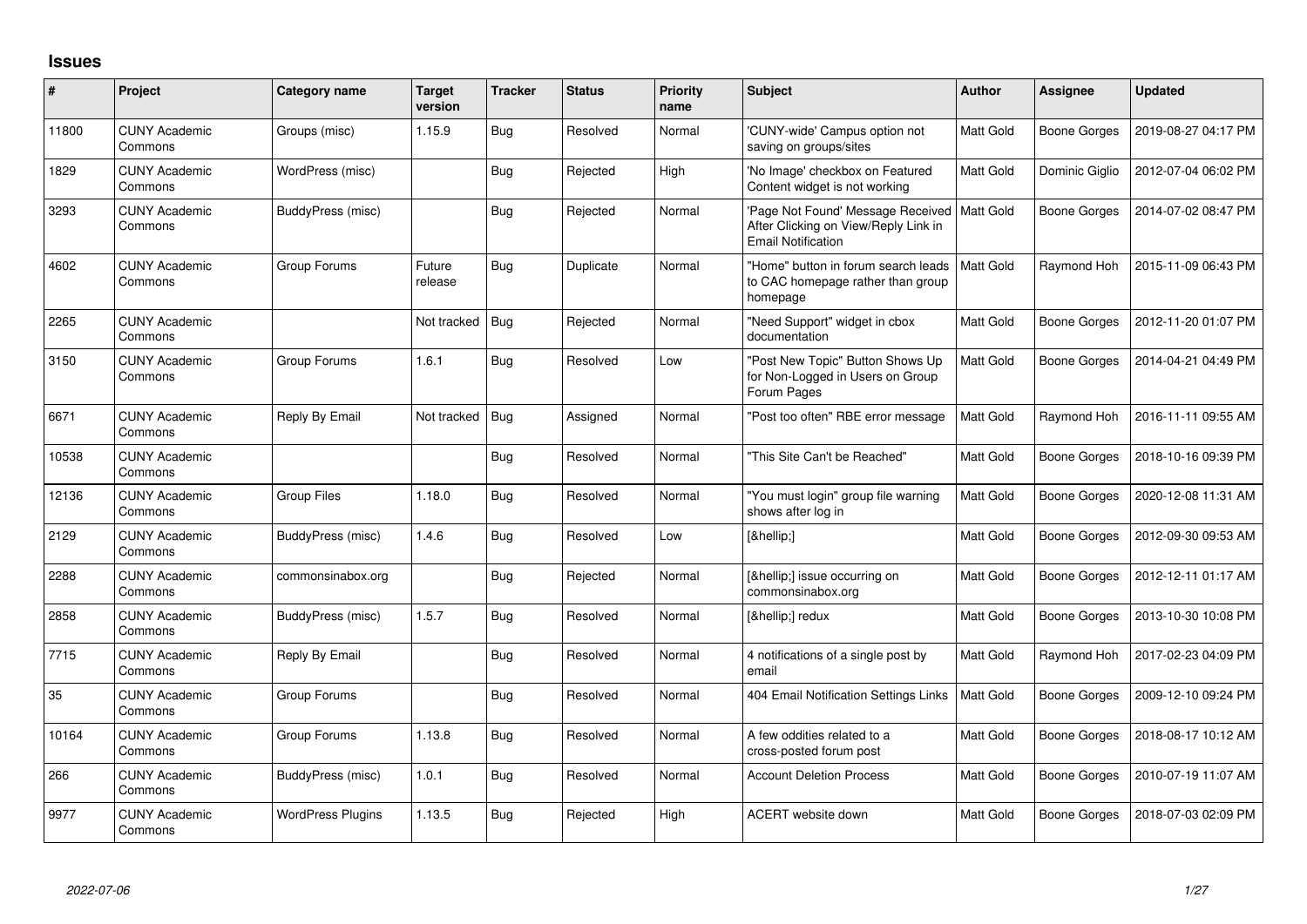## **Issues**

| #     | Project                         | Category name            | Target<br>version | <b>Tracker</b> | <b>Status</b> | <b>Priority</b><br>name | <b>Subject</b>                                                                                                     | Author           | <b>Assignee</b>     | <b>Updated</b>      |
|-------|---------------------------------|--------------------------|-------------------|----------------|---------------|-------------------------|--------------------------------------------------------------------------------------------------------------------|------------------|---------------------|---------------------|
| 11800 | <b>CUNY Academic</b><br>Commons | Groups (misc)            | 1.15.9            | <b>Bug</b>     | Resolved      | Normal                  | 'CUNY-wide' Campus option not<br>saving on groups/sites                                                            | Matt Gold        | <b>Boone Gorges</b> | 2019-08-27 04:17 PM |
| 1829  | <b>CUNY Academic</b><br>Commons | WordPress (misc)         |                   | Bug            | Rejected      | High                    | 'No Image' checkbox on Featured<br>Content widget is not working                                                   | Matt Gold        | Dominic Giglio      | 2012-07-04 06:02 PM |
| 3293  | <b>CUNY Academic</b><br>Commons | BuddyPress (misc)        |                   | <b>Bug</b>     | Rejected      | Normal                  | 'Page Not Found' Message Received   Matt Gold<br>After Clicking on View/Reply Link in<br><b>Email Notification</b> |                  | <b>Boone Gorges</b> | 2014-07-02 08:47 PM |
| 4602  | <b>CUNY Academic</b><br>Commons | Group Forums             | Future<br>release | <b>Bug</b>     | Duplicate     | Normal                  | "Home" button in forum search leads<br>to CAC homepage rather than group<br>homepage                               | Matt Gold        | Raymond Hoh         | 2015-11-09 06:43 PM |
| 2265  | <b>CUNY Academic</b><br>Commons |                          | Not tracked       | Bug            | Rejected      | Normal                  | "Need Support" widget in cbox<br>documentation                                                                     | Matt Gold        | <b>Boone Gorges</b> | 2012-11-20 01:07 PM |
| 3150  | <b>CUNY Academic</b><br>Commons | Group Forums             | 1.6.1             | Bug            | Resolved      | Low                     | "Post New Topic" Button Shows Up<br>for Non-Logged in Users on Group<br>Forum Pages                                | Matt Gold        | <b>Boone Gorges</b> | 2014-04-21 04:49 PM |
| 6671  | <b>CUNY Academic</b><br>Commons | Reply By Email           | Not tracked       | Bug            | Assigned      | Normal                  | "Post too often" RBE error message                                                                                 | Matt Gold        | Raymond Hoh         | 2016-11-11 09:55 AM |
| 10538 | <b>CUNY Academic</b><br>Commons |                          |                   | Bug            | Resolved      | Normal                  | "This Site Can't be Reached"                                                                                       | <b>Matt Gold</b> | <b>Boone Gorges</b> | 2018-10-16 09:39 PM |
| 12136 | <b>CUNY Academic</b><br>Commons | Group Files              | 1.18.0            | Bug            | Resolved      | Normal                  | "You must login" group file warning<br>shows after log in                                                          | Matt Gold        | <b>Boone Gorges</b> | 2020-12-08 11:31 AM |
| 2129  | <b>CUNY Academic</b><br>Commons | BuddyPress (misc)        | 1.4.6             | Bug            | Resolved      | Low                     | […]                                                                                                                | Matt Gold        | <b>Boone Gorges</b> | 2012-09-30 09:53 AM |
| 2288  | <b>CUNY Academic</b><br>Commons | commonsinabox.org        |                   | Bug            | Rejected      | Normal                  | […] issue occurring on<br>commonsinabox.org                                                                        | Matt Gold        | <b>Boone Gorges</b> | 2012-12-11 01:17 AM |
| 2858  | <b>CUNY Academic</b><br>Commons | BuddyPress (misc)        | 1.5.7             | Bug            | Resolved      | Normal                  | […] redux                                                                                                          | Matt Gold        | <b>Boone Gorges</b> | 2013-10-30 10:08 PM |
| 7715  | <b>CUNY Academic</b><br>Commons | Reply By Email           |                   | Bug            | Resolved      | Normal                  | 4 notifications of a single post by<br>email                                                                       | Matt Gold        | Raymond Hoh         | 2017-02-23 04:09 PM |
| 35    | <b>CUNY Academic</b><br>Commons | Group Forums             |                   | Bug            | Resolved      | Normal                  | 404 Email Notification Settings Links                                                                              | Matt Gold        | <b>Boone Gorges</b> | 2009-12-10 09:24 PM |
| 10164 | <b>CUNY Academic</b><br>Commons | Group Forums             | 1.13.8            | Bug            | Resolved      | Normal                  | A few oddities related to a<br>cross-posted forum post                                                             | Matt Gold        | <b>Boone Gorges</b> | 2018-08-17 10:12 AM |
| 266   | <b>CUNY Academic</b><br>Commons | BuddyPress (misc)        | 1.0.1             | <b>Bug</b>     | Resolved      | Normal                  | <b>Account Deletion Process</b>                                                                                    | Matt Gold        | <b>Boone Gorges</b> | 2010-07-19 11:07 AM |
| 9977  | <b>CUNY Academic</b><br>Commons | <b>WordPress Plugins</b> | 1.13.5            | Bug            | Rejected      | High                    | ACERT website down                                                                                                 | Matt Gold        | Boone Gorges        | 2018-07-03 02:09 PM |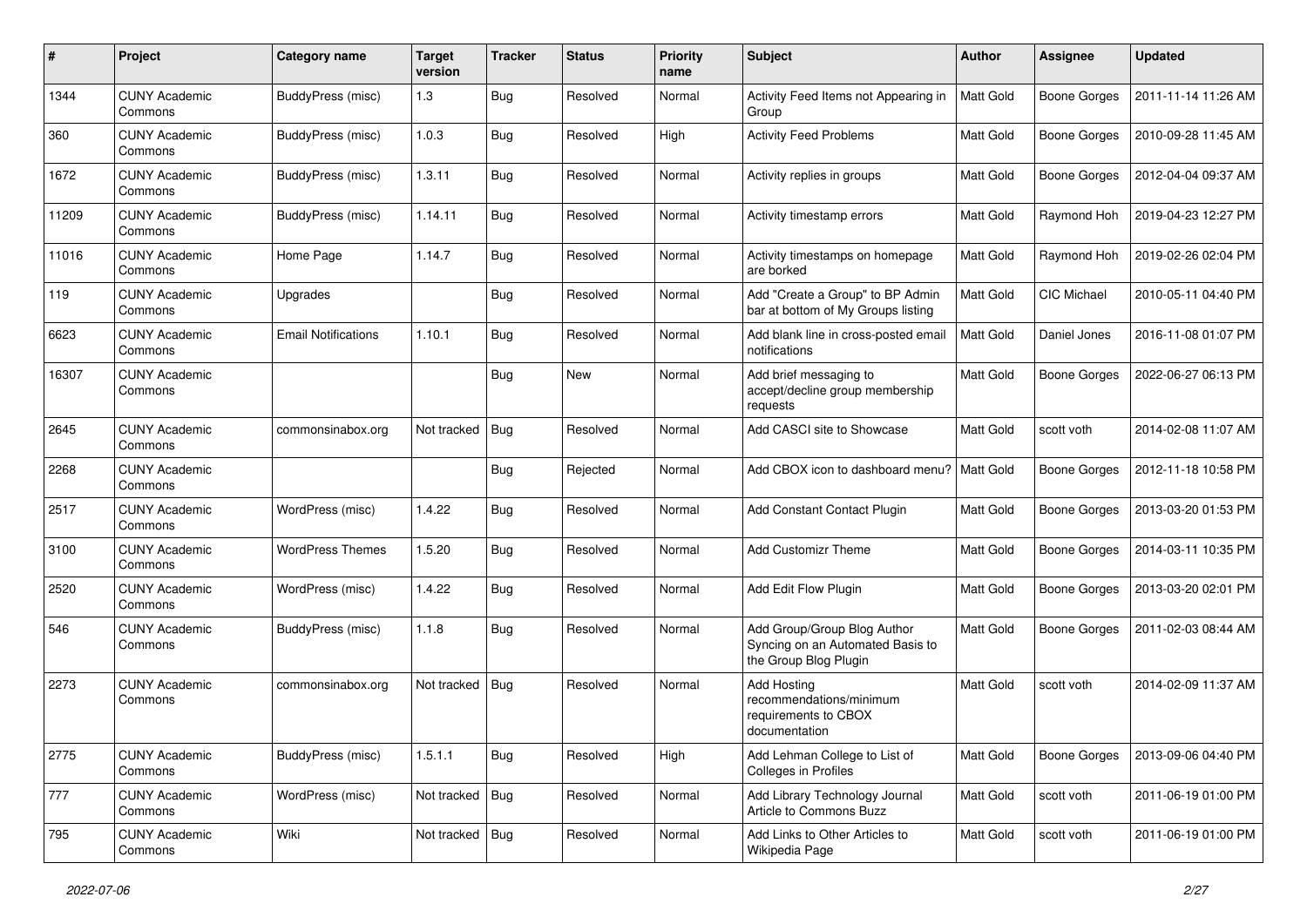| #     | Project                         | Category name              | <b>Target</b><br>version | <b>Tracker</b> | <b>Status</b> | <b>Priority</b><br>name | Subject                                                                                  | Author           | Assignee            | <b>Updated</b>      |
|-------|---------------------------------|----------------------------|--------------------------|----------------|---------------|-------------------------|------------------------------------------------------------------------------------------|------------------|---------------------|---------------------|
| 1344  | <b>CUNY Academic</b><br>Commons | <b>BuddyPress</b> (misc)   | 1.3                      | Bug            | Resolved      | Normal                  | Activity Feed Items not Appearing in<br>Group                                            | <b>Matt Gold</b> | <b>Boone Gorges</b> | 2011-11-14 11:26 AM |
| 360   | <b>CUNY Academic</b><br>Commons | BuddyPress (misc)          | 1.0.3                    | Bug            | Resolved      | High                    | <b>Activity Feed Problems</b>                                                            | Matt Gold        | <b>Boone Gorges</b> | 2010-09-28 11:45 AM |
| 1672  | <b>CUNY Academic</b><br>Commons | BuddyPress (misc)          | 1.3.11                   | <b>Bug</b>     | Resolved      | Normal                  | Activity replies in groups                                                               | Matt Gold        | <b>Boone Gorges</b> | 2012-04-04 09:37 AM |
| 11209 | <b>CUNY Academic</b><br>Commons | BuddyPress (misc)          | 1.14.11                  | Bug            | Resolved      | Normal                  | Activity timestamp errors                                                                | Matt Gold        | Raymond Hoh         | 2019-04-23 12:27 PM |
| 11016 | <b>CUNY Academic</b><br>Commons | Home Page                  | 1.14.7                   | Bug            | Resolved      | Normal                  | Activity timestamps on homepage<br>are borked                                            | Matt Gold        | Raymond Hoh         | 2019-02-26 02:04 PM |
| 119   | <b>CUNY Academic</b><br>Commons | Upgrades                   |                          | Bug            | Resolved      | Normal                  | Add "Create a Group" to BP Admin<br>bar at bottom of My Groups listing                   | Matt Gold        | CIC Michael         | 2010-05-11 04:40 PM |
| 6623  | <b>CUNY Academic</b><br>Commons | <b>Email Notifications</b> | 1.10.1                   | Bug            | Resolved      | Normal                  | Add blank line in cross-posted email<br>notifications                                    | Matt Gold        | Daniel Jones        | 2016-11-08 01:07 PM |
| 16307 | <b>CUNY Academic</b><br>Commons |                            |                          | Bug            | New           | Normal                  | Add brief messaging to<br>accept/decline group membership<br>requests                    | Matt Gold        | <b>Boone Gorges</b> | 2022-06-27 06:13 PM |
| 2645  | <b>CUNY Academic</b><br>Commons | commonsinabox.org          | Not tracked              | Bug            | Resolved      | Normal                  | Add CASCI site to Showcase                                                               | Matt Gold        | scott voth          | 2014-02-08 11:07 AM |
| 2268  | <b>CUNY Academic</b><br>Commons |                            |                          | Bug            | Rejected      | Normal                  | Add CBOX icon to dashboard menu?   Matt Gold                                             |                  | <b>Boone Gorges</b> | 2012-11-18 10:58 PM |
| 2517  | <b>CUNY Academic</b><br>Commons | WordPress (misc)           | 1.4.22                   | Bug            | Resolved      | Normal                  | Add Constant Contact Plugin                                                              | Matt Gold        | <b>Boone Gorges</b> | 2013-03-20 01:53 PM |
| 3100  | <b>CUNY Academic</b><br>Commons | <b>WordPress Themes</b>    | 1.5.20                   | Bug            | Resolved      | Normal                  | <b>Add Customizr Theme</b>                                                               | Matt Gold        | <b>Boone Gorges</b> | 2014-03-11 10:35 PM |
| 2520  | <b>CUNY Academic</b><br>Commons | WordPress (misc)           | 1.4.22                   | <b>Bug</b>     | Resolved      | Normal                  | Add Edit Flow Plugin                                                                     | Matt Gold        | <b>Boone Gorges</b> | 2013-03-20 02:01 PM |
| 546   | <b>CUNY Academic</b><br>Commons | BuddyPress (misc)          | 1.1.8                    | Bug            | Resolved      | Normal                  | Add Group/Group Blog Author<br>Syncing on an Automated Basis to<br>the Group Blog Plugin | Matt Gold        | <b>Boone Gorges</b> | 2011-02-03 08:44 AM |
| 2273  | <b>CUNY Academic</b><br>Commons | commonsinabox.org          | Not tracked              | Bug            | Resolved      | Normal                  | Add Hosting<br>recommendations/minimum<br>requirements to CBOX<br>documentation          | Matt Gold        | scott voth          | 2014-02-09 11:37 AM |
| 2775  | <b>CUNY Academic</b><br>Commons | BuddyPress (misc)          | 1.5.1.1                  | <b>Bug</b>     | Resolved      | High                    | Add Lehman College to List of<br>Colleges in Profiles                                    | Matt Gold        | <b>Boone Gorges</b> | 2013-09-06 04:40 PM |
| 777   | <b>CUNY Academic</b><br>Commons | WordPress (misc)           | Not tracked              | Bug            | Resolved      | Normal                  | Add Library Technology Journal<br>Article to Commons Buzz                                | Matt Gold        | scott voth          | 2011-06-19 01:00 PM |
| 795   | <b>CUNY Academic</b><br>Commons | Wiki                       | Not tracked              | Bug            | Resolved      | Normal                  | Add Links to Other Articles to<br>Wikipedia Page                                         | Matt Gold        | scott voth          | 2011-06-19 01:00 PM |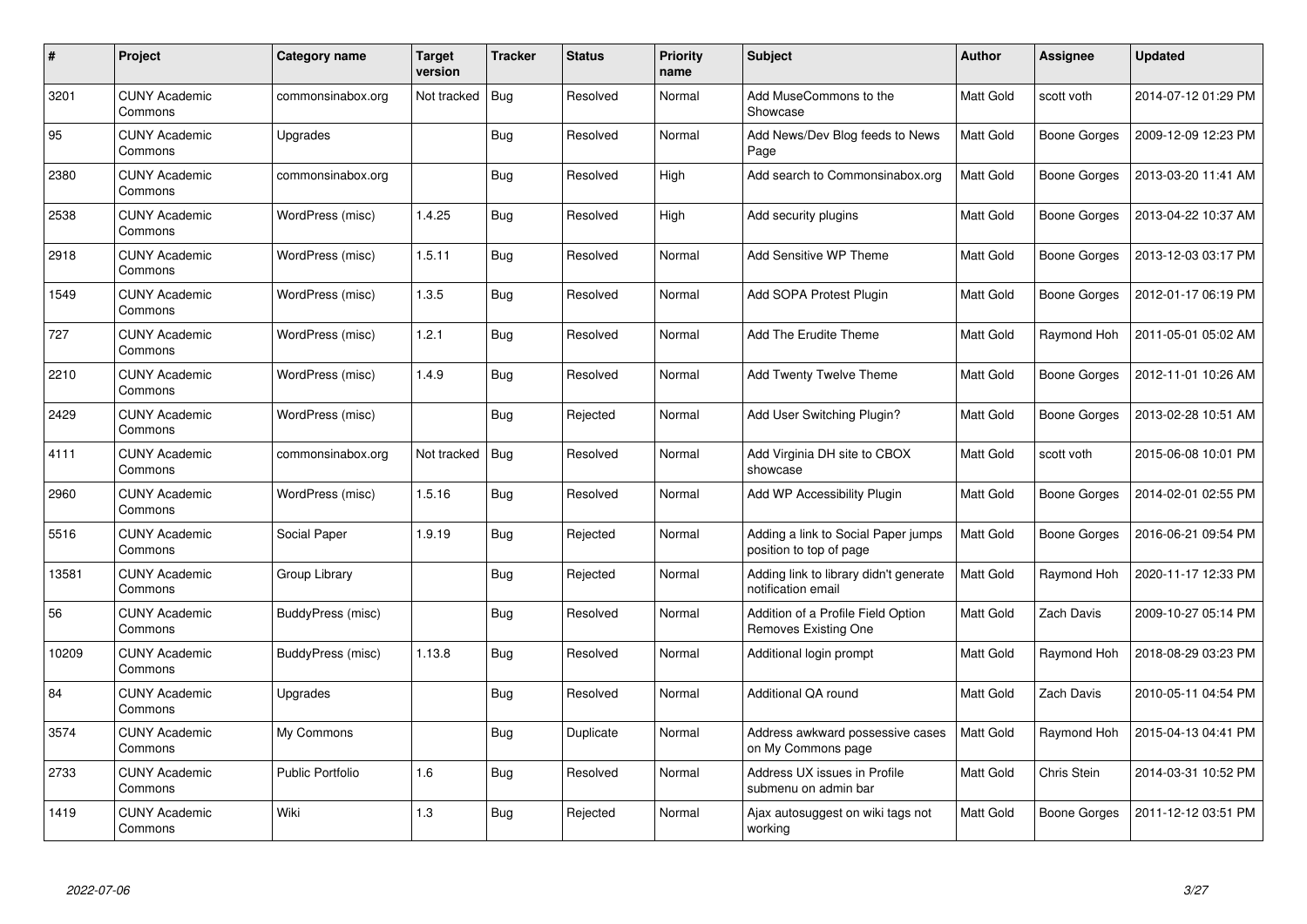| #     | Project                         | <b>Category name</b> | Target<br>version | <b>Tracker</b> | <b>Status</b> | <b>Priority</b><br>name | Subject                                                        | <b>Author</b>    | Assignee            | <b>Updated</b>      |
|-------|---------------------------------|----------------------|-------------------|----------------|---------------|-------------------------|----------------------------------------------------------------|------------------|---------------------|---------------------|
| 3201  | <b>CUNY Academic</b><br>Commons | commonsinabox.org    | Not tracked       | <b>Bug</b>     | Resolved      | Normal                  | Add MuseCommons to the<br>Showcase                             | Matt Gold        | scott voth          | 2014-07-12 01:29 PM |
| 95    | <b>CUNY Academic</b><br>Commons | Upgrades             |                   | Bug            | Resolved      | Normal                  | Add News/Dev Blog feeds to News<br>Page                        | <b>Matt Gold</b> | Boone Gorges        | 2009-12-09 12:23 PM |
| 2380  | <b>CUNY Academic</b><br>Commons | commonsinabox.org    |                   | Bug            | Resolved      | High                    | Add search to Commonsinabox.org                                | Matt Gold        | <b>Boone Gorges</b> | 2013-03-20 11:41 AM |
| 2538  | <b>CUNY Academic</b><br>Commons | WordPress (misc)     | 1.4.25            | Bug            | Resolved      | High                    | Add security plugins                                           | Matt Gold        | Boone Gorges        | 2013-04-22 10:37 AM |
| 2918  | <b>CUNY Academic</b><br>Commons | WordPress (misc)     | 1.5.11            | Bug            | Resolved      | Normal                  | Add Sensitive WP Theme                                         | Matt Gold        | Boone Gorges        | 2013-12-03 03:17 PM |
| 1549  | <b>CUNY Academic</b><br>Commons | WordPress (misc)     | 1.3.5             | Bug            | Resolved      | Normal                  | Add SOPA Protest Plugin                                        | Matt Gold        | Boone Gorges        | 2012-01-17 06:19 PM |
| 727   | <b>CUNY Academic</b><br>Commons | WordPress (misc)     | 1.2.1             | Bug            | Resolved      | Normal                  | Add The Erudite Theme                                          | Matt Gold        | Raymond Hoh         | 2011-05-01 05:02 AM |
| 2210  | <b>CUNY Academic</b><br>Commons | WordPress (misc)     | 1.4.9             | Bug            | Resolved      | Normal                  | Add Twenty Twelve Theme                                        | Matt Gold        | Boone Gorges        | 2012-11-01 10:26 AM |
| 2429  | <b>CUNY Academic</b><br>Commons | WordPress (misc)     |                   | Bug            | Rejected      | Normal                  | Add User Switching Plugin?                                     | <b>Matt Gold</b> | Boone Gorges        | 2013-02-28 10:51 AM |
| 4111  | <b>CUNY Academic</b><br>Commons | commonsinabox.org    | Not tracked       | <b>Bug</b>     | Resolved      | Normal                  | Add Virginia DH site to CBOX<br>showcase                       | <b>Matt Gold</b> | scott voth          | 2015-06-08 10:01 PM |
| 2960  | <b>CUNY Academic</b><br>Commons | WordPress (misc)     | 1.5.16            | Bug            | Resolved      | Normal                  | Add WP Accessibility Plugin                                    | Matt Gold        | Boone Gorges        | 2014-02-01 02:55 PM |
| 5516  | <b>CUNY Academic</b><br>Commons | Social Paper         | 1.9.19            | <b>Bug</b>     | Rejected      | Normal                  | Adding a link to Social Paper jumps<br>position to top of page | Matt Gold        | Boone Gorges        | 2016-06-21 09:54 PM |
| 13581 | <b>CUNY Academic</b><br>Commons | Group Library        |                   | Bug            | Rejected      | Normal                  | Adding link to library didn't generate<br>notification email   | Matt Gold        | Raymond Hoh         | 2020-11-17 12:33 PM |
| 56    | <b>CUNY Academic</b><br>Commons | BuddyPress (misc)    |                   | Bug            | Resolved      | Normal                  | Addition of a Profile Field Option<br>Removes Existing One     | Matt Gold        | Zach Davis          | 2009-10-27 05:14 PM |
| 10209 | <b>CUNY Academic</b><br>Commons | BuddyPress (misc)    | 1.13.8            | Bug            | Resolved      | Normal                  | Additional login prompt                                        | Matt Gold        | Raymond Hoh         | 2018-08-29 03:23 PM |
| 84    | <b>CUNY Academic</b><br>Commons | Upgrades             |                   | Bug            | Resolved      | Normal                  | <b>Additional QA round</b>                                     | Matt Gold        | Zach Davis          | 2010-05-11 04:54 PM |
| 3574  | <b>CUNY Academic</b><br>Commons | My Commons           |                   | Bug            | Duplicate     | Normal                  | Address awkward possessive cases<br>on My Commons page         | <b>Matt Gold</b> | Raymond Hoh         | 2015-04-13 04:41 PM |
| 2733  | <b>CUNY Academic</b><br>Commons | Public Portfolio     | 1.6               | <b>Bug</b>     | Resolved      | Normal                  | Address UX issues in Profile<br>submenu on admin bar           | Matt Gold        | Chris Stein         | 2014-03-31 10:52 PM |
| 1419  | <b>CUNY Academic</b><br>Commons | Wiki                 | 1.3               | Bug            | Rejected      | Normal                  | Ajax autosuggest on wiki tags not<br>working                   | Matt Gold        | Boone Gorges        | 2011-12-12 03:51 PM |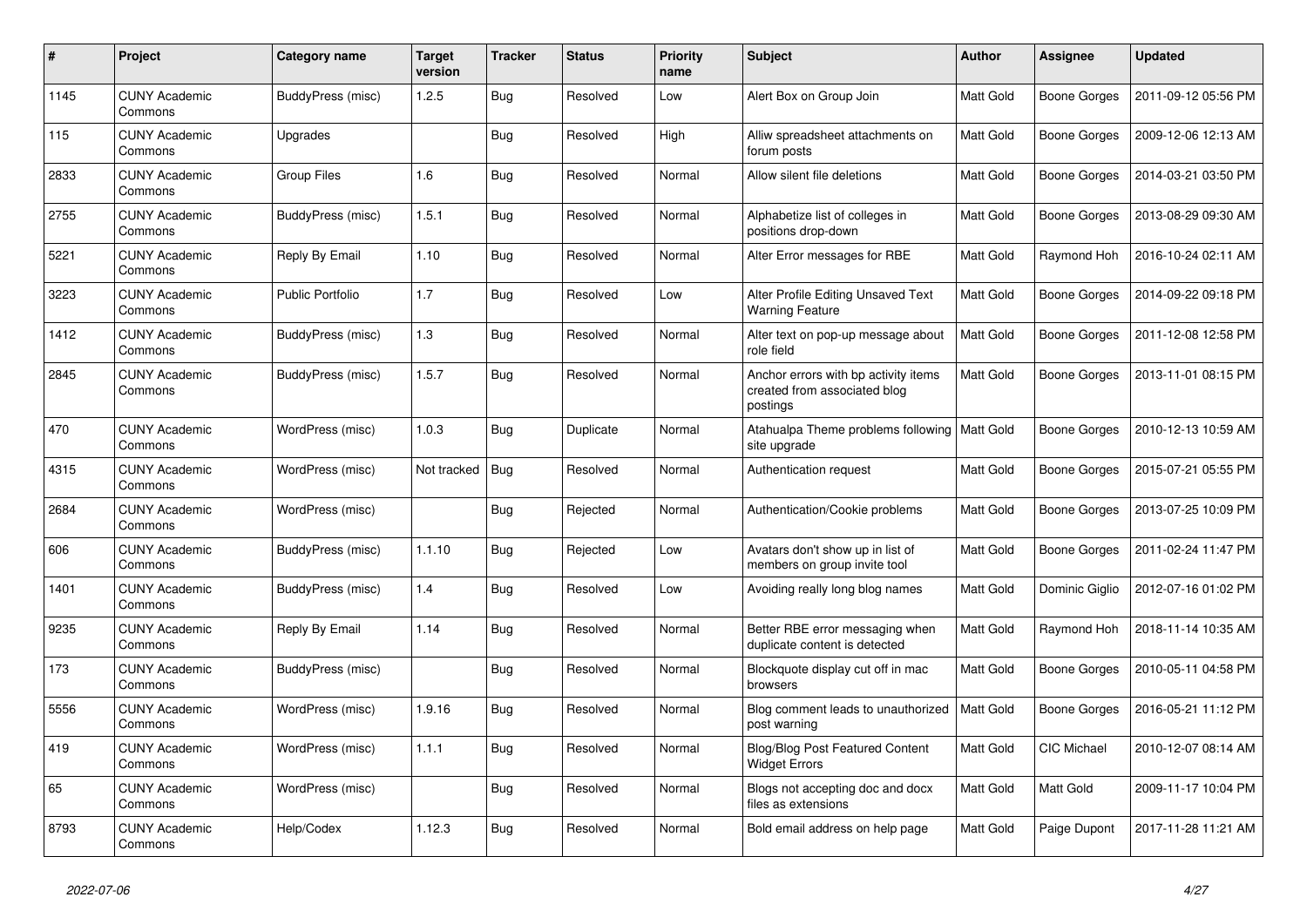| $\pmb{\#}$ | Project                         | Category name           | <b>Target</b><br>version | <b>Tracker</b> | <b>Status</b> | <b>Priority</b><br>name | <b>Subject</b>                                                                   | <b>Author</b>    | <b>Assignee</b>     | <b>Updated</b>      |
|------------|---------------------------------|-------------------------|--------------------------|----------------|---------------|-------------------------|----------------------------------------------------------------------------------|------------------|---------------------|---------------------|
| 1145       | <b>CUNY Academic</b><br>Commons | BuddyPress (misc)       | 1.2.5                    | Bug            | Resolved      | Low                     | Alert Box on Group Join                                                          | <b>Matt Gold</b> | <b>Boone Gorges</b> | 2011-09-12 05:56 PM |
| 115        | <b>CUNY Academic</b><br>Commons | Upgrades                |                          | Bug            | Resolved      | High                    | Alliw spreadsheet attachments on<br>forum posts                                  | Matt Gold        | <b>Boone Gorges</b> | 2009-12-06 12:13 AM |
| 2833       | <b>CUNY Academic</b><br>Commons | <b>Group Files</b>      | 1.6                      | <b>Bug</b>     | Resolved      | Normal                  | Allow silent file deletions                                                      | Matt Gold        | <b>Boone Gorges</b> | 2014-03-21 03:50 PM |
| 2755       | <b>CUNY Academic</b><br>Commons | BuddyPress (misc)       | 1.5.1                    | <b>Bug</b>     | Resolved      | Normal                  | Alphabetize list of colleges in<br>positions drop-down                           | Matt Gold        | Boone Gorges        | 2013-08-29 09:30 AM |
| 5221       | <b>CUNY Academic</b><br>Commons | Reply By Email          | 1.10                     | Bug            | Resolved      | Normal                  | Alter Error messages for RBE                                                     | Matt Gold        | Raymond Hoh         | 2016-10-24 02:11 AM |
| 3223       | <b>CUNY Academic</b><br>Commons | <b>Public Portfolio</b> | 1.7                      | Bug            | Resolved      | Low                     | Alter Profile Editing Unsaved Text<br><b>Warning Feature</b>                     | Matt Gold        | <b>Boone Gorges</b> | 2014-09-22 09:18 PM |
| 1412       | <b>CUNY Academic</b><br>Commons | BuddyPress (misc)       | 1.3                      | Bug            | Resolved      | Normal                  | Alter text on pop-up message about<br>role field                                 | Matt Gold        | Boone Gorges        | 2011-12-08 12:58 PM |
| 2845       | <b>CUNY Academic</b><br>Commons | BuddyPress (misc)       | 1.5.7                    | Bug            | Resolved      | Normal                  | Anchor errors with bp activity items<br>created from associated blog<br>postings | Matt Gold        | Boone Gorges        | 2013-11-01 08:15 PM |
| 470        | <b>CUNY Academic</b><br>Commons | WordPress (misc)        | 1.0.3                    | Bug            | Duplicate     | Normal                  | Atahualpa Theme problems following   Matt Gold<br>site upgrade                   |                  | Boone Gorges        | 2010-12-13 10:59 AM |
| 4315       | <b>CUNY Academic</b><br>Commons | WordPress (misc)        | Not tracked              | Bug            | Resolved      | Normal                  | Authentication request                                                           | Matt Gold        | <b>Boone Gorges</b> | 2015-07-21 05:55 PM |
| 2684       | <b>CUNY Academic</b><br>Commons | WordPress (misc)        |                          | Bug            | Rejected      | Normal                  | Authentication/Cookie problems                                                   | Matt Gold        | Boone Gorges        | 2013-07-25 10:09 PM |
| 606        | <b>CUNY Academic</b><br>Commons | BuddyPress (misc)       | 1.1.10                   | Bug            | Rejected      | Low                     | Avatars don't show up in list of<br>members on group invite tool                 | Matt Gold        | <b>Boone Gorges</b> | 2011-02-24 11:47 PM |
| 1401       | <b>CUNY Academic</b><br>Commons | BuddyPress (misc)       | 1.4                      | Bug            | Resolved      | Low                     | Avoiding really long blog names                                                  | <b>Matt Gold</b> | Dominic Giglio      | 2012-07-16 01:02 PM |
| 9235       | <b>CUNY Academic</b><br>Commons | Reply By Email          | 1.14                     | <b>Bug</b>     | Resolved      | Normal                  | Better RBE error messaging when<br>duplicate content is detected                 | Matt Gold        | Raymond Hoh         | 2018-11-14 10:35 AM |
| 173        | <b>CUNY Academic</b><br>Commons | BuddyPress (misc)       |                          | Bug            | Resolved      | Normal                  | Blockquote display cut off in mac<br>browsers                                    | Matt Gold        | Boone Gorges        | 2010-05-11 04:58 PM |
| 5556       | <b>CUNY Academic</b><br>Commons | WordPress (misc)        | 1.9.16                   | Bug            | Resolved      | Normal                  | Blog comment leads to unauthorized<br>post warning                               | Matt Gold        | <b>Boone Gorges</b> | 2016-05-21 11:12 PM |
| 419        | <b>CUNY Academic</b><br>Commons | WordPress (misc)        | 1.1.1                    | <b>Bug</b>     | Resolved      | Normal                  | <b>Blog/Blog Post Featured Content</b><br><b>Widget Errors</b>                   | Matt Gold        | CIC Michael         | 2010-12-07 08:14 AM |
| 65         | <b>CUNY Academic</b><br>Commons | WordPress (misc)        |                          | <b>Bug</b>     | Resolved      | Normal                  | Blogs not accepting doc and docx<br>files as extensions                          | Matt Gold        | Matt Gold           | 2009-11-17 10:04 PM |
| 8793       | <b>CUNY Academic</b><br>Commons | Help/Codex              | 1.12.3                   | Bug            | Resolved      | Normal                  | Bold email address on help page                                                  | Matt Gold        | Paige Dupont        | 2017-11-28 11:21 AM |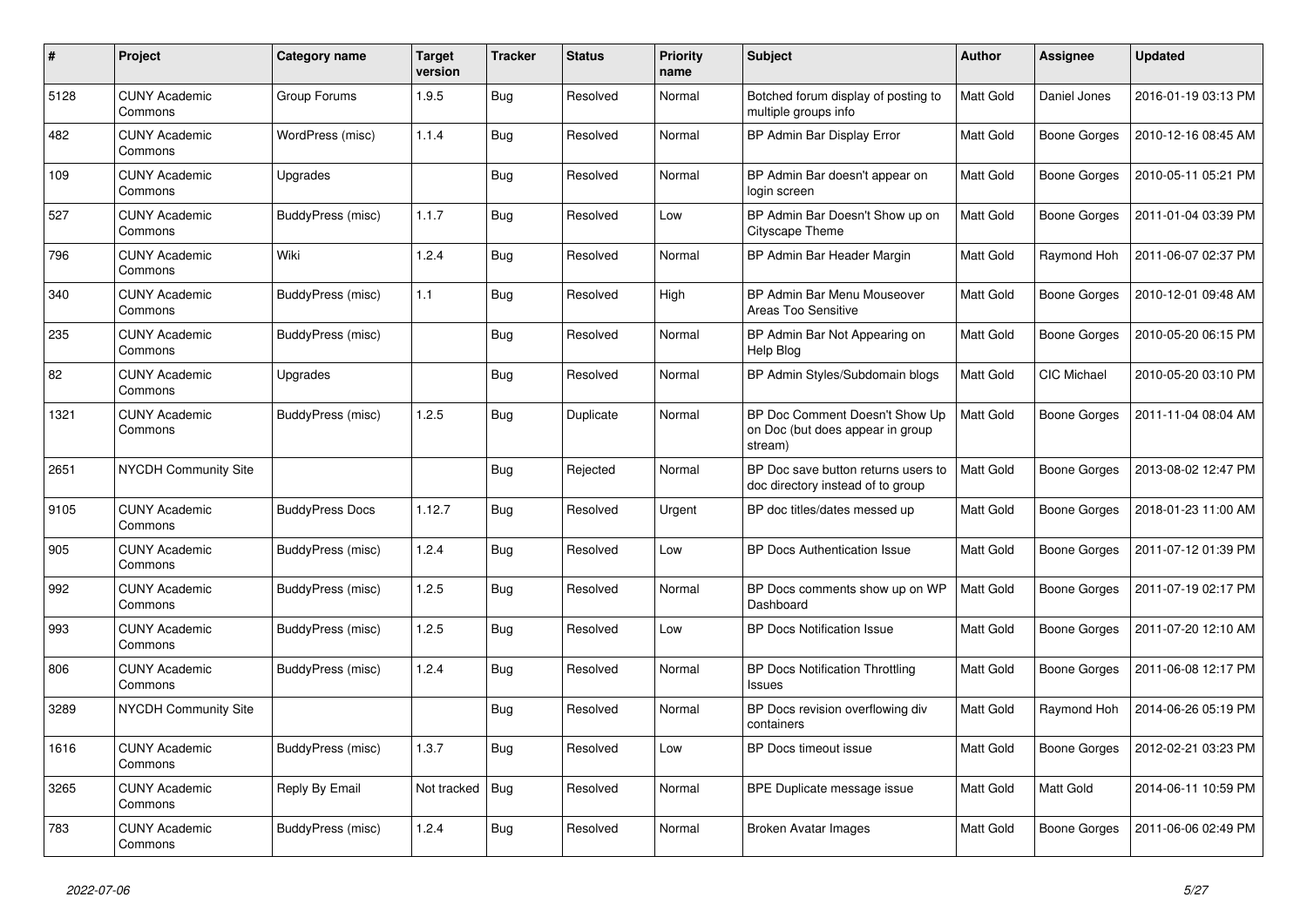| #    | Project                         | <b>Category name</b>   | Target<br>version | <b>Tracker</b> | <b>Status</b> | <b>Priority</b><br>name | <b>Subject</b>                                                                | <b>Author</b>    | Assignee     | <b>Updated</b>      |
|------|---------------------------------|------------------------|-------------------|----------------|---------------|-------------------------|-------------------------------------------------------------------------------|------------------|--------------|---------------------|
| 5128 | <b>CUNY Academic</b><br>Commons | Group Forums           | 1.9.5             | Bug            | Resolved      | Normal                  | Botched forum display of posting to<br>multiple groups info                   | <b>Matt Gold</b> | Daniel Jones | 2016-01-19 03:13 PM |
| 482  | <b>CUNY Academic</b><br>Commons | WordPress (misc)       | 1.1.4             | <b>Bug</b>     | Resolved      | Normal                  | BP Admin Bar Display Error                                                    | Matt Gold        | Boone Gorges | 2010-12-16 08:45 AM |
| 109  | <b>CUNY Academic</b><br>Commons | Upgrades               |                   | Bug            | Resolved      | Normal                  | BP Admin Bar doesn't appear on<br>login screen                                | Matt Gold        | Boone Gorges | 2010-05-11 05:21 PM |
| 527  | <b>CUNY Academic</b><br>Commons | BuddyPress (misc)      | 1.1.7             | Bug            | Resolved      | Low                     | BP Admin Bar Doesn't Show up on<br>Cityscape Theme                            | Matt Gold        | Boone Gorges | 2011-01-04 03:39 PM |
| 796  | <b>CUNY Academic</b><br>Commons | Wiki                   | 1.2.4             | Bug            | Resolved      | Normal                  | BP Admin Bar Header Margin                                                    | Matt Gold        | Raymond Hoh  | 2011-06-07 02:37 PM |
| 340  | <b>CUNY Academic</b><br>Commons | BuddyPress (misc)      | 1.1               | Bug            | Resolved      | High                    | BP Admin Bar Menu Mouseover<br>Areas Too Sensitive                            | Matt Gold        | Boone Gorges | 2010-12-01 09:48 AM |
| 235  | <b>CUNY Academic</b><br>Commons | BuddyPress (misc)      |                   | Bug            | Resolved      | Normal                  | BP Admin Bar Not Appearing on<br>Help Blog                                    | Matt Gold        | Boone Gorges | 2010-05-20 06:15 PM |
| 82   | <b>CUNY Academic</b><br>Commons | Upgrades               |                   | Bug            | Resolved      | Normal                  | BP Admin Styles/Subdomain blogs                                               | <b>Matt Gold</b> | CIC Michael  | 2010-05-20 03:10 PM |
| 1321 | <b>CUNY Academic</b><br>Commons | BuddyPress (misc)      | 1.2.5             | Bug            | Duplicate     | Normal                  | BP Doc Comment Doesn't Show Up<br>on Doc (but does appear in group<br>stream) | Matt Gold        | Boone Gorges | 2011-11-04 08:04 AM |
| 2651 | <b>NYCDH Community Site</b>     |                        |                   | Bug            | Rejected      | Normal                  | BP Doc save button returns users to<br>doc directory instead of to group      | <b>Matt Gold</b> | Boone Gorges | 2013-08-02 12:47 PM |
| 9105 | <b>CUNY Academic</b><br>Commons | <b>BuddyPress Docs</b> | 1.12.7            | Bug            | Resolved      | Urgent                  | BP doc titles/dates messed up                                                 | Matt Gold        | Boone Gorges | 2018-01-23 11:00 AM |
| 905  | <b>CUNY Academic</b><br>Commons | BuddyPress (misc)      | 1.2.4             | Bug            | Resolved      | Low                     | BP Docs Authentication Issue                                                  | Matt Gold        | Boone Gorges | 2011-07-12 01:39 PM |
| 992  | <b>CUNY Academic</b><br>Commons | BuddyPress (misc)      | 1.2.5             | Bug            | Resolved      | Normal                  | BP Docs comments show up on WP<br>Dashboard                                   | Matt Gold        | Boone Gorges | 2011-07-19 02:17 PM |
| 993  | <b>CUNY Academic</b><br>Commons | BuddyPress (misc)      | 1.2.5             | <b>Bug</b>     | Resolved      | Low                     | <b>BP Docs Notification Issue</b>                                             | Matt Gold        | Boone Gorges | 2011-07-20 12:10 AM |
| 806  | <b>CUNY Academic</b><br>Commons | BuddyPress (misc)      | 1.2.4             | Bug            | Resolved      | Normal                  | <b>BP Docs Notification Throttling</b><br><b>Issues</b>                       | <b>Matt Gold</b> | Boone Gorges | 2011-06-08 12:17 PM |
| 3289 | NYCDH Community Site            |                        |                   | Bug            | Resolved      | Normal                  | BP Docs revision overflowing div<br>containers                                | Matt Gold        | Raymond Hoh  | 2014-06-26 05:19 PM |
| 1616 | <b>CUNY Academic</b><br>Commons | BuddyPress (misc)      | 1.3.7             | Bug            | Resolved      | Low                     | BP Docs timeout issue                                                         | Matt Gold        | Boone Gorges | 2012-02-21 03:23 PM |
| 3265 | <b>CUNY Academic</b><br>Commons | Reply By Email         | Not tracked       | Bug            | Resolved      | Normal                  | BPE Duplicate message issue                                                   | Matt Gold        | Matt Gold    | 2014-06-11 10:59 PM |
| 783  | <b>CUNY Academic</b><br>Commons | BuddyPress (misc)      | 1.2.4             | Bug            | Resolved      | Normal                  | Broken Avatar Images                                                          | Matt Gold        | Boone Gorges | 2011-06-06 02:49 PM |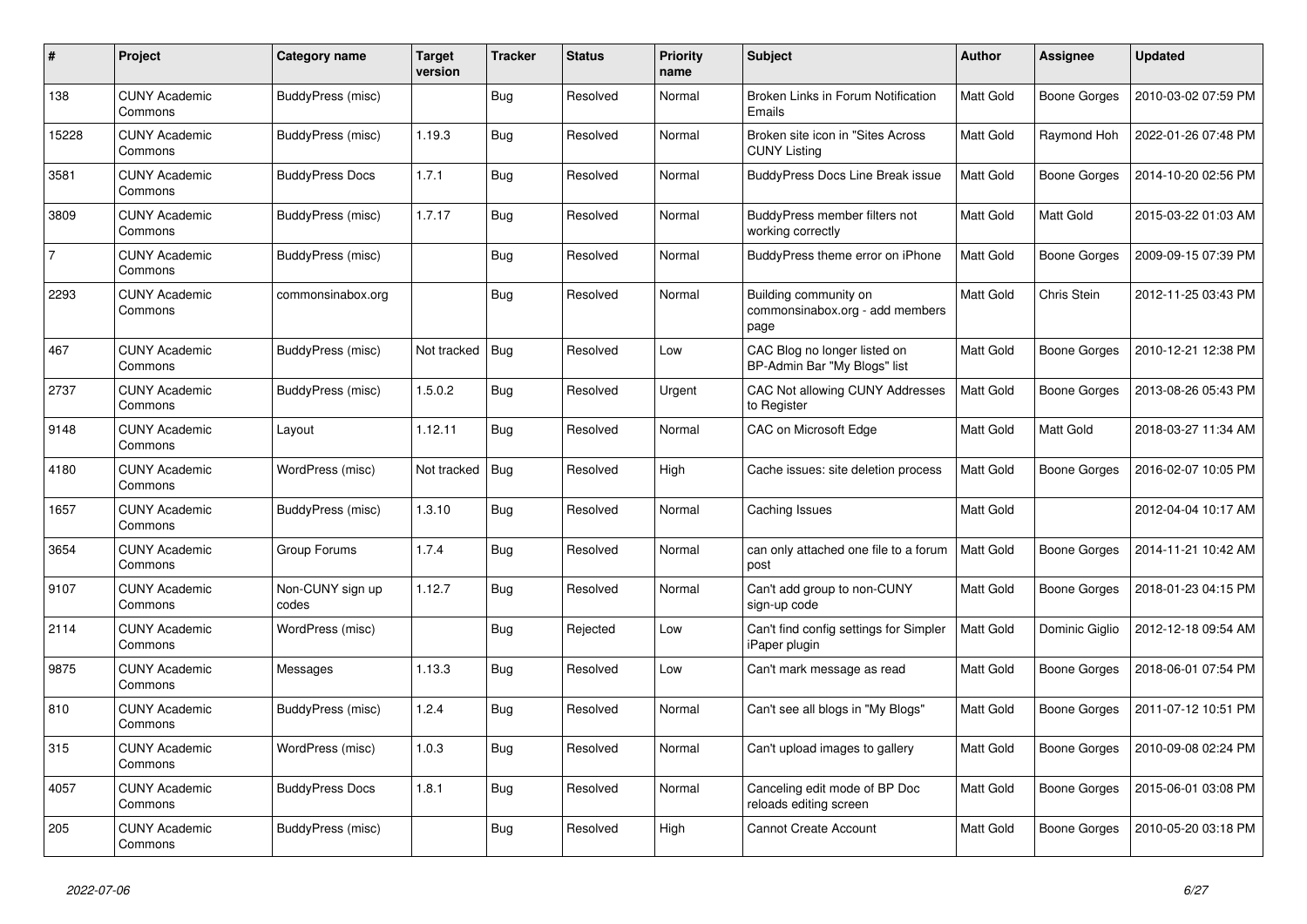| #              | Project                         | Category name             | <b>Target</b><br>version | <b>Tracker</b> | <b>Status</b> | <b>Priority</b><br>name | <b>Subject</b>                                                   | <b>Author</b>    | Assignee            | <b>Updated</b>      |
|----------------|---------------------------------|---------------------------|--------------------------|----------------|---------------|-------------------------|------------------------------------------------------------------|------------------|---------------------|---------------------|
| 138            | <b>CUNY Academic</b><br>Commons | BuddyPress (misc)         |                          | <b>Bug</b>     | Resolved      | Normal                  | Broken Links in Forum Notification<br>Emails                     | <b>Matt Gold</b> | Boone Gorges        | 2010-03-02 07:59 PM |
| 15228          | <b>CUNY Academic</b><br>Commons | BuddyPress (misc)         | 1.19.3                   | <b>Bug</b>     | Resolved      | Normal                  | Broken site icon in "Sites Across"<br><b>CUNY Listing</b>        | Matt Gold        | Raymond Hoh         | 2022-01-26 07:48 PM |
| 3581           | <b>CUNY Academic</b><br>Commons | <b>BuddyPress Docs</b>    | 1.7.1                    | Bug            | Resolved      | Normal                  | <b>BuddyPress Docs Line Break issue</b>                          | Matt Gold        | Boone Gorges        | 2014-10-20 02:56 PM |
| 3809           | <b>CUNY Academic</b><br>Commons | BuddyPress (misc)         | 1.7.17                   | <b>Bug</b>     | Resolved      | Normal                  | BuddyPress member filters not<br>working correctly               | Matt Gold        | Matt Gold           | 2015-03-22 01:03 AM |
| $\overline{7}$ | <b>CUNY Academic</b><br>Commons | BuddyPress (misc)         |                          | <b>Bug</b>     | Resolved      | Normal                  | BuddyPress theme error on iPhone                                 | Matt Gold        | Boone Gorges        | 2009-09-15 07:39 PM |
| 2293           | <b>CUNY Academic</b><br>Commons | commonsinabox.org         |                          | <b>Bug</b>     | Resolved      | Normal                  | Building community on<br>commonsinabox.org - add members<br>page | Matt Gold        | Chris Stein         | 2012-11-25 03:43 PM |
| 467            | <b>CUNY Academic</b><br>Commons | BuddyPress (misc)         | Not tracked              | <b>Bug</b>     | Resolved      | Low                     | CAC Blog no longer listed on<br>BP-Admin Bar "My Blogs" list     | <b>Matt Gold</b> | Boone Gorges        | 2010-12-21 12:38 PM |
| 2737           | <b>CUNY Academic</b><br>Commons | BuddyPress (misc)         | 1.5.0.2                  | <b>Bug</b>     | Resolved      | Urgent                  | CAC Not allowing CUNY Addresses<br>to Register                   | Matt Gold        | Boone Gorges        | 2013-08-26 05:43 PM |
| 9148           | <b>CUNY Academic</b><br>Commons | Layout                    | 1.12.11                  | <b>Bug</b>     | Resolved      | Normal                  | CAC on Microsoft Edge                                            | Matt Gold        | Matt Gold           | 2018-03-27 11:34 AM |
| 4180           | <b>CUNY Academic</b><br>Commons | WordPress (misc)          | Not tracked              | <b>Bug</b>     | Resolved      | High                    | Cache issues: site deletion process                              | Matt Gold        | Boone Gorges        | 2016-02-07 10:05 PM |
| 1657           | <b>CUNY Academic</b><br>Commons | BuddyPress (misc)         | 1.3.10                   | <b>Bug</b>     | Resolved      | Normal                  | Caching Issues                                                   | Matt Gold        |                     | 2012-04-04 10:17 AM |
| 3654           | <b>CUNY Academic</b><br>Commons | Group Forums              | 1.7.4                    | <b>Bug</b>     | Resolved      | Normal                  | can only attached one file to a forum<br>post                    | <b>Matt Gold</b> | Boone Gorges        | 2014-11-21 10:42 AM |
| 9107           | <b>CUNY Academic</b><br>Commons | Non-CUNY sign up<br>codes | 1.12.7                   | Bug            | Resolved      | Normal                  | Can't add group to non-CUNY<br>sign-up code                      | Matt Gold        | Boone Gorges        | 2018-01-23 04:15 PM |
| 2114           | <b>CUNY Academic</b><br>Commons | WordPress (misc)          |                          | <b>Bug</b>     | Rejected      | Low                     | Can't find config settings for Simpler<br>iPaper plugin          | Matt Gold        | Dominic Giglio      | 2012-12-18 09:54 AM |
| 9875           | <b>CUNY Academic</b><br>Commons | Messages                  | 1.13.3                   | Bug            | Resolved      | Low                     | Can't mark message as read                                       | Matt Gold        | <b>Boone Gorges</b> | 2018-06-01 07:54 PM |
| 810            | <b>CUNY Academic</b><br>Commons | BuddyPress (misc)         | 1.2.4                    | <b>Bug</b>     | Resolved      | Normal                  | Can't see all blogs in "My Blogs"                                | Matt Gold        | Boone Gorges        | 2011-07-12 10:51 PM |
| 315            | <b>CUNY Academic</b><br>Commons | WordPress (misc)          | 1.0.3                    | <b>Bug</b>     | Resolved      | Normal                  | Can't upload images to gallery                                   | Matt Gold        | Boone Gorges        | 2010-09-08 02:24 PM |
| 4057           | <b>CUNY Academic</b><br>Commons | <b>BuddyPress Docs</b>    | 1.8.1                    | <b>Bug</b>     | Resolved      | Normal                  | Canceling edit mode of BP Doc<br>reloads editing screen          | Matt Gold        | Boone Gorges        | 2015-06-01 03:08 PM |
| 205            | <b>CUNY Academic</b><br>Commons | BuddyPress (misc)         |                          | <b>Bug</b>     | Resolved      | High                    | <b>Cannot Create Account</b>                                     | Matt Gold        | Boone Gorges        | 2010-05-20 03:18 PM |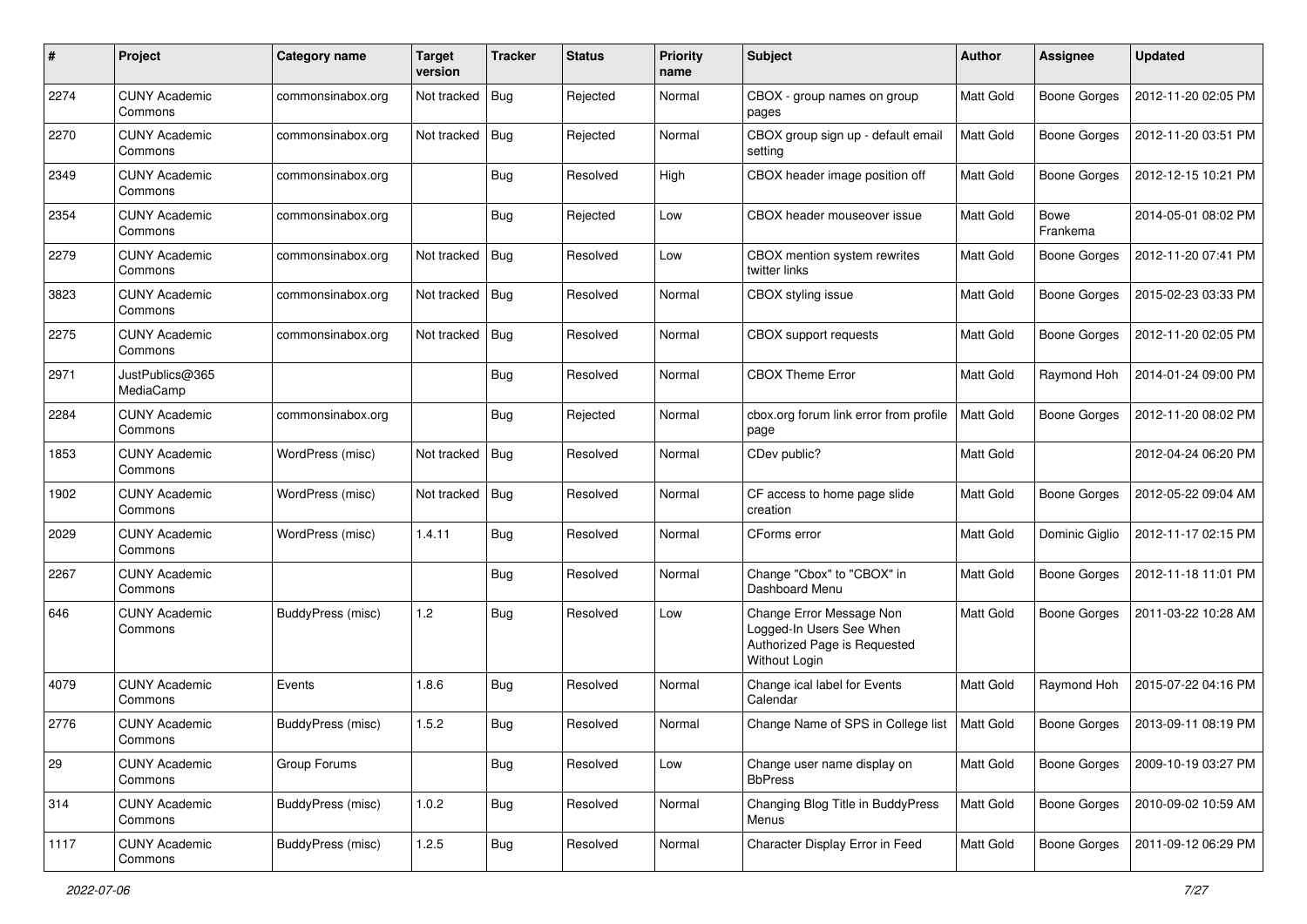| #    | Project                         | Category name            | <b>Target</b><br>version | <b>Tracker</b> | <b>Status</b> | <b>Priority</b><br>name | Subject                                                                                               | Author           | <b>Assignee</b>         | <b>Updated</b>      |
|------|---------------------------------|--------------------------|--------------------------|----------------|---------------|-------------------------|-------------------------------------------------------------------------------------------------------|------------------|-------------------------|---------------------|
| 2274 | <b>CUNY Academic</b><br>Commons | commonsinabox.org        | Not tracked              | Bug            | Rejected      | Normal                  | CBOX - group names on group<br>pages                                                                  | <b>Matt Gold</b> | <b>Boone Gorges</b>     | 2012-11-20 02:05 PM |
| 2270 | <b>CUNY Academic</b><br>Commons | commonsinabox.org        | Not tracked              | <b>Bug</b>     | Rejected      | Normal                  | CBOX group sign up - default email<br>setting                                                         | Matt Gold        | <b>Boone Gorges</b>     | 2012-11-20 03:51 PM |
| 2349 | <b>CUNY Academic</b><br>Commons | commonsinabox.org        |                          | Bug            | Resolved      | High                    | CBOX header image position off                                                                        | Matt Gold        | <b>Boone Gorges</b>     | 2012-12-15 10:21 PM |
| 2354 | <b>CUNY Academic</b><br>Commons | commonsinabox.org        |                          | Bug            | Rejected      | Low                     | CBOX header mouseover issue                                                                           | Matt Gold        | <b>Bowe</b><br>Frankema | 2014-05-01 08:02 PM |
| 2279 | <b>CUNY Academic</b><br>Commons | commonsinabox.org        | Not tracked              | Bug            | Resolved      | Low                     | CBOX mention system rewrites<br>twitter links                                                         | Matt Gold        | <b>Boone Gorges</b>     | 2012-11-20 07:41 PM |
| 3823 | <b>CUNY Academic</b><br>Commons | commonsinabox.org        | Not tracked              | Bug            | Resolved      | Normal                  | CBOX styling issue                                                                                    | Matt Gold        | <b>Boone Gorges</b>     | 2015-02-23 03:33 PM |
| 2275 | <b>CUNY Academic</b><br>Commons | commonsinabox.org        | Not tracked              | Bug            | Resolved      | Normal                  | <b>CBOX</b> support requests                                                                          | Matt Gold        | <b>Boone Gorges</b>     | 2012-11-20 02:05 PM |
| 2971 | JustPublics@365<br>MediaCamp    |                          |                          | <b>Bug</b>     | Resolved      | Normal                  | <b>CBOX Theme Error</b>                                                                               | Matt Gold        | Raymond Hoh             | 2014-01-24 09:00 PM |
| 2284 | <b>CUNY Academic</b><br>Commons | commonsinabox.org        |                          | <b>Bug</b>     | Rejected      | Normal                  | cbox.org forum link error from profile<br>page                                                        | <b>Matt Gold</b> | <b>Boone Gorges</b>     | 2012-11-20 08:02 PM |
| 1853 | <b>CUNY Academic</b><br>Commons | WordPress (misc)         | Not tracked              | <b>Bug</b>     | Resolved      | Normal                  | CDev public?                                                                                          | Matt Gold        |                         | 2012-04-24 06:20 PM |
| 1902 | <b>CUNY Academic</b><br>Commons | WordPress (misc)         | Not tracked              | Bug            | Resolved      | Normal                  | CF access to home page slide<br>creation                                                              | <b>Matt Gold</b> | <b>Boone Gorges</b>     | 2012-05-22 09:04 AM |
| 2029 | <b>CUNY Academic</b><br>Commons | WordPress (misc)         | 1.4.11                   | Bug            | Resolved      | Normal                  | CForms error                                                                                          | Matt Gold        | Dominic Giglio          | 2012-11-17 02:15 PM |
| 2267 | <b>CUNY Academic</b><br>Commons |                          |                          | <b>Bug</b>     | Resolved      | Normal                  | Change "Cbox" to "CBOX" in<br>Dashboard Menu                                                          | <b>Matt Gold</b> | <b>Boone Gorges</b>     | 2012-11-18 11:01 PM |
| 646  | <b>CUNY Academic</b><br>Commons | BuddyPress (misc)        | 1.2                      | Bug            | Resolved      | Low                     | Change Error Message Non<br>Logged-In Users See When<br>Authorized Page is Requested<br>Without Login | Matt Gold        | <b>Boone Gorges</b>     | 2011-03-22 10:28 AM |
| 4079 | <b>CUNY Academic</b><br>Commons | Events                   | 1.8.6                    | <b>Bug</b>     | Resolved      | Normal                  | Change ical label for Events<br>Calendar                                                              | Matt Gold        | Raymond Hoh             | 2015-07-22 04:16 PM |
| 2776 | <b>CUNY Academic</b><br>Commons | <b>BuddyPress</b> (misc) | 1.5.2                    | Bug            | Resolved      | Normal                  | Change Name of SPS in College list                                                                    | <b>Matt Gold</b> | <b>Boone Gorges</b>     | 2013-09-11 08:19 PM |
| 29   | <b>CUNY Academic</b><br>Commons | Group Forums             |                          | <b>Bug</b>     | Resolved      | Low                     | Change user name display on<br><b>BbPress</b>                                                         | Matt Gold        | <b>Boone Gorges</b>     | 2009-10-19 03:27 PM |
| 314  | <b>CUNY Academic</b><br>Commons | <b>BuddyPress (misc)</b> | 1.0.2                    | <b>Bug</b>     | Resolved      | Normal                  | Changing Blog Title in BuddyPress<br>Menus                                                            | Matt Gold        | Boone Gorges            | 2010-09-02 10:59 AM |
| 1117 | <b>CUNY Academic</b><br>Commons | BuddyPress (misc)        | 1.2.5                    | <b>Bug</b>     | Resolved      | Normal                  | Character Display Error in Feed                                                                       | Matt Gold        | <b>Boone Gorges</b>     | 2011-09-12 06:29 PM |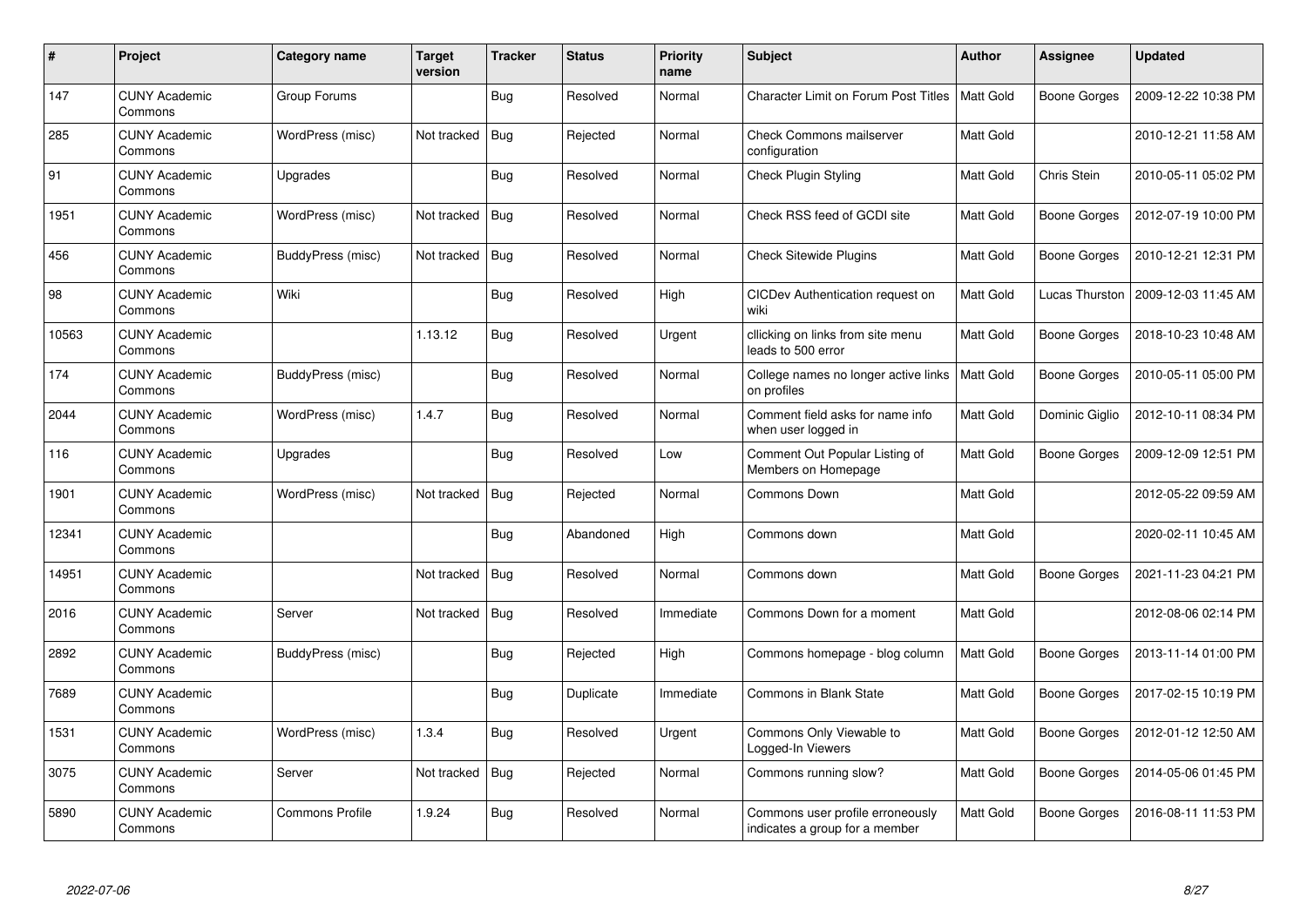| $\#$  | Project                         | Category name          | <b>Target</b><br>version | <b>Tracker</b> | <b>Status</b> | <b>Priority</b><br>name | <b>Subject</b>                                                     | <b>Author</b>    | Assignee            | <b>Updated</b>      |
|-------|---------------------------------|------------------------|--------------------------|----------------|---------------|-------------------------|--------------------------------------------------------------------|------------------|---------------------|---------------------|
| 147   | <b>CUNY Academic</b><br>Commons | Group Forums           |                          | Bug            | Resolved      | Normal                  | <b>Character Limit on Forum Post Titles</b>                        | <b>Matt Gold</b> | <b>Boone Gorges</b> | 2009-12-22 10:38 PM |
| 285   | <b>CUNY Academic</b><br>Commons | WordPress (misc)       | Not tracked              | Bug            | Rejected      | Normal                  | <b>Check Commons mailserver</b><br>configuration                   | Matt Gold        |                     | 2010-12-21 11:58 AM |
| 91    | <b>CUNY Academic</b><br>Commons | Upgrades               |                          | Bug            | Resolved      | Normal                  | <b>Check Plugin Styling</b>                                        | Matt Gold        | Chris Stein         | 2010-05-11 05:02 PM |
| 1951  | <b>CUNY Academic</b><br>Commons | WordPress (misc)       | Not tracked              | <b>Bug</b>     | Resolved      | Normal                  | Check RSS feed of GCDI site                                        | Matt Gold        | <b>Boone Gorges</b> | 2012-07-19 10:00 PM |
| 456   | <b>CUNY Academic</b><br>Commons | BuddyPress (misc)      | Not tracked              | Bug            | Resolved      | Normal                  | <b>Check Sitewide Plugins</b>                                      | Matt Gold        | Boone Gorges        | 2010-12-21 12:31 PM |
| 98    | <b>CUNY Academic</b><br>Commons | Wiki                   |                          | Bug            | Resolved      | High                    | CICDev Authentication request on<br>wiki                           | Matt Gold        | Lucas Thurston      | 2009-12-03 11:45 AM |
| 10563 | <b>CUNY Academic</b><br>Commons |                        | 1.13.12                  | <b>Bug</b>     | Resolved      | Urgent                  | cllicking on links from site menu<br>leads to 500 error            | Matt Gold        | <b>Boone Gorges</b> | 2018-10-23 10:48 AM |
| 174   | <b>CUNY Academic</b><br>Commons | BuddyPress (misc)      |                          | Bug            | Resolved      | Normal                  | College names no longer active links<br>on profiles                | Matt Gold        | Boone Gorges        | 2010-05-11 05:00 PM |
| 2044  | <b>CUNY Academic</b><br>Commons | WordPress (misc)       | 1.4.7                    | Bug            | Resolved      | Normal                  | Comment field asks for name info<br>when user logged in            | <b>Matt Gold</b> | Dominic Giglio      | 2012-10-11 08:34 PM |
| 116   | <b>CUNY Academic</b><br>Commons | Upgrades               |                          | Bug            | Resolved      | Low                     | Comment Out Popular Listing of<br>Members on Homepage              | Matt Gold        | <b>Boone Gorges</b> | 2009-12-09 12:51 PM |
| 1901  | <b>CUNY Academic</b><br>Commons | WordPress (misc)       | Not tracked              | <b>Bug</b>     | Rejected      | Normal                  | Commons Down                                                       | Matt Gold        |                     | 2012-05-22 09:59 AM |
| 12341 | <b>CUNY Academic</b><br>Commons |                        |                          | Bug            | Abandoned     | High                    | Commons down                                                       | Matt Gold        |                     | 2020-02-11 10:45 AM |
| 14951 | <b>CUNY Academic</b><br>Commons |                        | Not tracked              | Bug            | Resolved      | Normal                  | Commons down                                                       | Matt Gold        | <b>Boone Gorges</b> | 2021-11-23 04:21 PM |
| 2016  | <b>CUNY Academic</b><br>Commons | Server                 | Not tracked              | Bug            | Resolved      | Immediate               | Commons Down for a moment                                          | Matt Gold        |                     | 2012-08-06 02:14 PM |
| 2892  | <b>CUNY Academic</b><br>Commons | BuddyPress (misc)      |                          | <b>Bug</b>     | Rejected      | High                    | Commons homepage - blog column                                     | Matt Gold        | Boone Gorges        | 2013-11-14 01:00 PM |
| 7689  | <b>CUNY Academic</b><br>Commons |                        |                          | <b>Bug</b>     | Duplicate     | Immediate               | <b>Commons in Blank State</b>                                      | Matt Gold        | Boone Gorges        | 2017-02-15 10:19 PM |
| 1531  | <b>CUNY Academic</b><br>Commons | WordPress (misc)       | 1.3.4                    | Bug            | Resolved      | Urgent                  | Commons Only Viewable to<br>Logged-In Viewers                      | Matt Gold        | Boone Gorges        | 2012-01-12 12:50 AM |
| 3075  | <b>CUNY Academic</b><br>Commons | Server                 | Not tracked              | Bug            | Rejected      | Normal                  | Commons running slow?                                              | Matt Gold        | Boone Gorges        | 2014-05-06 01:45 PM |
| 5890  | <b>CUNY Academic</b><br>Commons | <b>Commons Profile</b> | 1.9.24                   | <b>Bug</b>     | Resolved      | Normal                  | Commons user profile erroneously<br>indicates a group for a member | Matt Gold        | Boone Gorges        | 2016-08-11 11:53 PM |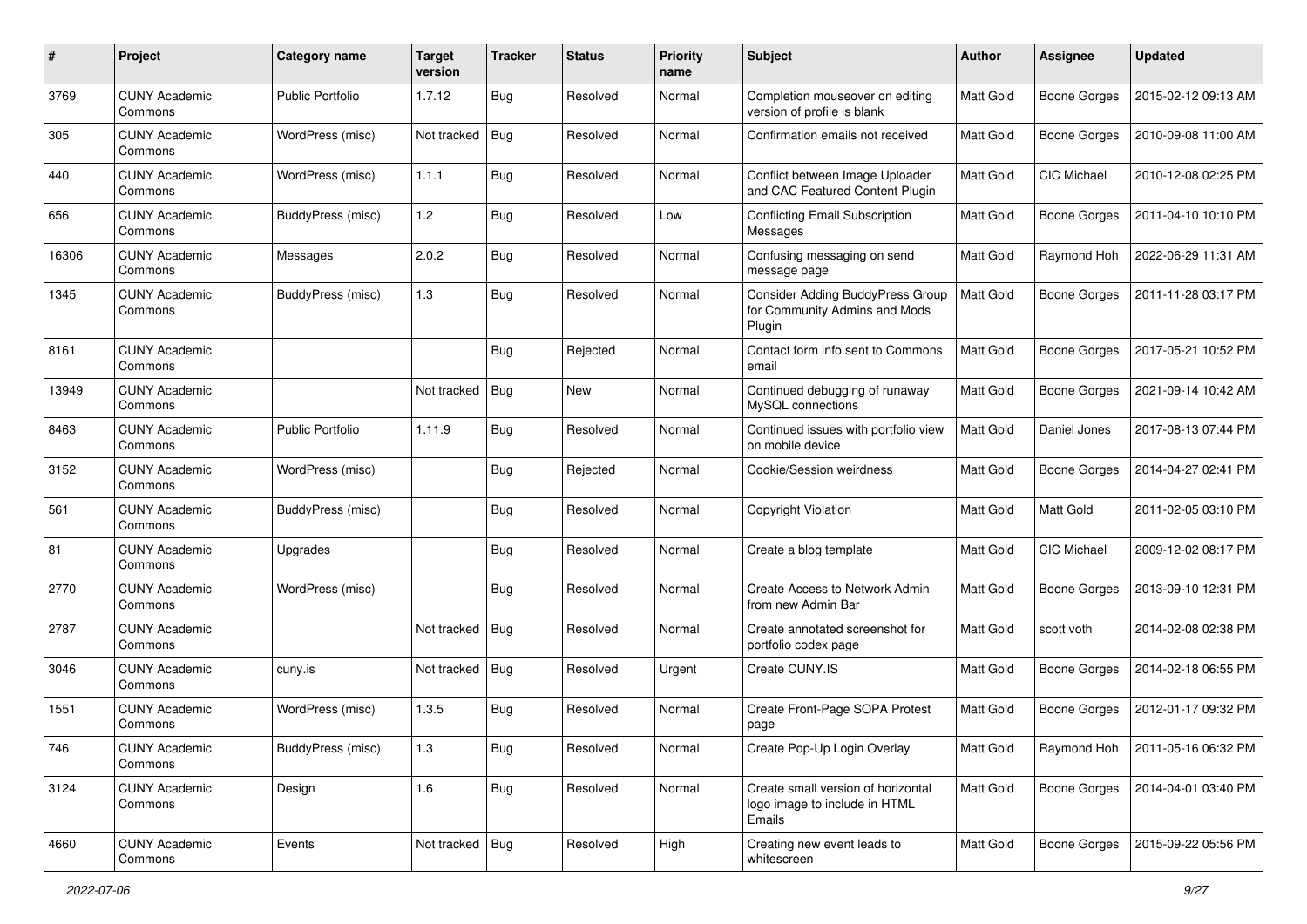| #     | Project                         | Category name            | <b>Target</b><br>version | <b>Tracker</b> | <b>Status</b> | <b>Priority</b><br>name | Subject                                                                            | Author    | Assignee            | <b>Updated</b>      |
|-------|---------------------------------|--------------------------|--------------------------|----------------|---------------|-------------------------|------------------------------------------------------------------------------------|-----------|---------------------|---------------------|
| 3769  | <b>CUNY Academic</b><br>Commons | <b>Public Portfolio</b>  | 1.7.12                   | Bug            | Resolved      | Normal                  | Completion mouseover on editing<br>version of profile is blank                     | Matt Gold | <b>Boone Gorges</b> | 2015-02-12 09:13 AM |
| 305   | <b>CUNY Academic</b><br>Commons | WordPress (misc)         | Not tracked              | Bug            | Resolved      | Normal                  | Confirmation emails not received                                                   | Matt Gold | <b>Boone Gorges</b> | 2010-09-08 11:00 AM |
| 440   | <b>CUNY Academic</b><br>Commons | WordPress (misc)         | 1.1.1                    | <b>Bug</b>     | Resolved      | Normal                  | Conflict between Image Uploader<br>and CAC Featured Content Plugin                 | Matt Gold | CIC Michael         | 2010-12-08 02:25 PM |
| 656   | <b>CUNY Academic</b><br>Commons | BuddyPress (misc)        | 1.2                      | Bug            | Resolved      | Low                     | Conflicting Email Subscription<br>Messages                                         | Matt Gold | <b>Boone Gorges</b> | 2011-04-10 10:10 PM |
| 16306 | <b>CUNY Academic</b><br>Commons | Messages                 | 2.0.2                    | <b>Bug</b>     | Resolved      | Normal                  | Confusing messaging on send<br>message page                                        | Matt Gold | Raymond Hoh         | 2022-06-29 11:31 AM |
| 1345  | <b>CUNY Academic</b><br>Commons | <b>BuddyPress</b> (misc) | 1.3                      | Bug            | Resolved      | Normal                  | <b>Consider Adding BuddyPress Group</b><br>for Community Admins and Mods<br>Plugin | Matt Gold | <b>Boone Gorges</b> | 2011-11-28 03:17 PM |
| 8161  | <b>CUNY Academic</b><br>Commons |                          |                          | <b>Bug</b>     | Rejected      | Normal                  | Contact form info sent to Commons<br>email                                         | Matt Gold | <b>Boone Gorges</b> | 2017-05-21 10:52 PM |
| 13949 | <b>CUNY Academic</b><br>Commons |                          | Not tracked              | Bug            | New           | Normal                  | Continued debugging of runaway<br>MySQL connections                                | Matt Gold | <b>Boone Gorges</b> | 2021-09-14 10:42 AM |
| 8463  | <b>CUNY Academic</b><br>Commons | <b>Public Portfolio</b>  | 1.11.9                   | Bug            | Resolved      | Normal                  | Continued issues with portfolio view<br>on mobile device                           | Matt Gold | Daniel Jones        | 2017-08-13 07:44 PM |
| 3152  | <b>CUNY Academic</b><br>Commons | WordPress (misc)         |                          | Bug            | Rejected      | Normal                  | Cookie/Session weirdness                                                           | Matt Gold | <b>Boone Gorges</b> | 2014-04-27 02:41 PM |
| 561   | <b>CUNY Academic</b><br>Commons | BuddyPress (misc)        |                          | <b>Bug</b>     | Resolved      | Normal                  | Copyright Violation                                                                | Matt Gold | Matt Gold           | 2011-02-05 03:10 PM |
| 81    | <b>CUNY Academic</b><br>Commons | Upgrades                 |                          | Bug            | Resolved      | Normal                  | Create a blog template                                                             | Matt Gold | CIC Michael         | 2009-12-02 08:17 PM |
| 2770  | <b>CUNY Academic</b><br>Commons | WordPress (misc)         |                          | <b>Bug</b>     | Resolved      | Normal                  | Create Access to Network Admin<br>from new Admin Bar                               | Matt Gold | <b>Boone Gorges</b> | 2013-09-10 12:31 PM |
| 2787  | <b>CUNY Academic</b><br>Commons |                          | Not tracked              | Bug            | Resolved      | Normal                  | Create annotated screenshot for<br>portfolio codex page                            | Matt Gold | scott voth          | 2014-02-08 02:38 PM |
| 3046  | <b>CUNY Academic</b><br>Commons | cuny.is                  | Not tracked              | <b>Bug</b>     | Resolved      | Urgent                  | Create CUNY.IS                                                                     | Matt Gold | <b>Boone Gorges</b> | 2014-02-18 06:55 PM |
| 1551  | <b>CUNY Academic</b><br>Commons | WordPress (misc)         | 1.3.5                    | Bug            | Resolved      | Normal                  | Create Front-Page SOPA Protest<br>page                                             | Matt Gold | <b>Boone Gorges</b> | 2012-01-17 09:32 PM |
| 746   | <b>CUNY Academic</b><br>Commons | BuddyPress (misc)        | 1.3                      | <b>Bug</b>     | Resolved      | Normal                  | Create Pop-Up Login Overlay                                                        | Matt Gold | Raymond Hoh         | 2011-05-16 06:32 PM |
| 3124  | <b>CUNY Academic</b><br>Commons | Design                   | 1.6                      | <b>Bug</b>     | Resolved      | Normal                  | Create small version of horizontal<br>logo image to include in HTML<br>Emails      | Matt Gold | Boone Gorges        | 2014-04-01 03:40 PM |
| 4660  | <b>CUNY Academic</b><br>Commons | Events                   | Not tracked   Bug        |                | Resolved      | High                    | Creating new event leads to<br>whitescreen                                         | Matt Gold | <b>Boone Gorges</b> | 2015-09-22 05:56 PM |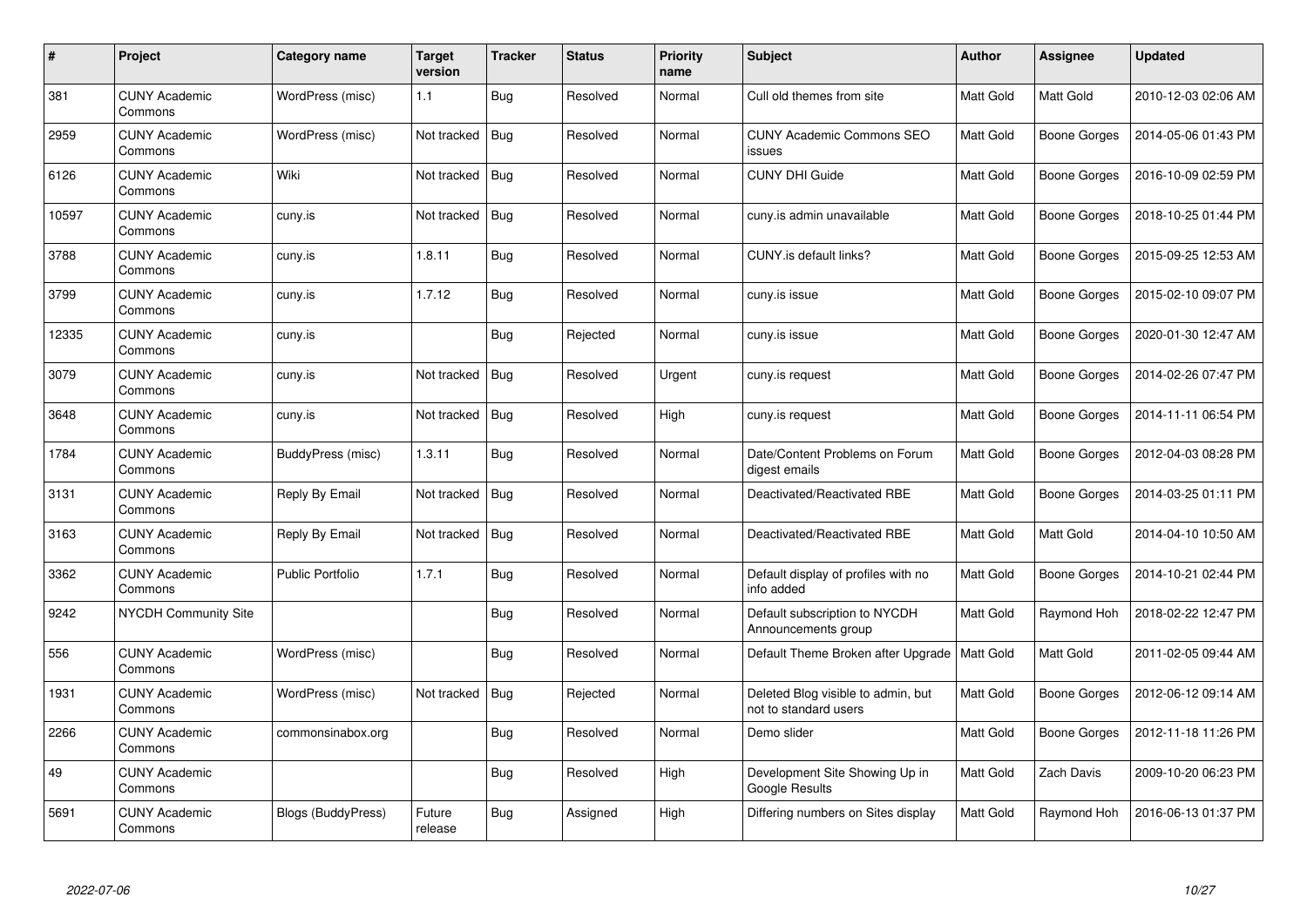| $\#$  | Project                         | Category name           | <b>Target</b><br>version | <b>Tracker</b> | <b>Status</b> | <b>Priority</b><br>name | <b>Subject</b>                                              | <b>Author</b>    | Assignee            | <b>Updated</b>      |
|-------|---------------------------------|-------------------------|--------------------------|----------------|---------------|-------------------------|-------------------------------------------------------------|------------------|---------------------|---------------------|
| 381   | <b>CUNY Academic</b><br>Commons | WordPress (misc)        | 1.1                      | Bug            | Resolved      | Normal                  | Cull old themes from site                                   | Matt Gold        | Matt Gold           | 2010-12-03 02:06 AM |
| 2959  | <b>CUNY Academic</b><br>Commons | WordPress (misc)        | Not tracked              | Bug            | Resolved      | Normal                  | <b>CUNY Academic Commons SEO</b><br>issues                  | <b>Matt Gold</b> | <b>Boone Gorges</b> | 2014-05-06 01:43 PM |
| 6126  | <b>CUNY Academic</b><br>Commons | Wiki                    | Not tracked              | Bug            | Resolved      | Normal                  | <b>CUNY DHI Guide</b>                                       | <b>Matt Gold</b> | <b>Boone Gorges</b> | 2016-10-09 02:59 PM |
| 10597 | <b>CUNY Academic</b><br>Commons | cuny.is                 | Not tracked              | <b>Bug</b>     | Resolved      | Normal                  | cuny.is admin unavailable                                   | Matt Gold        | Boone Gorges        | 2018-10-25 01:44 PM |
| 3788  | <b>CUNY Academic</b><br>Commons | cuny.is                 | 1.8.11                   | Bug            | Resolved      | Normal                  | CUNY.is default links?                                      | Matt Gold        | Boone Gorges        | 2015-09-25 12:53 AM |
| 3799  | <b>CUNY Academic</b><br>Commons | cuny.is                 | 1.7.12                   | Bug            | Resolved      | Normal                  | cuny.is issue                                               | Matt Gold        | Boone Gorges        | 2015-02-10 09:07 PM |
| 12335 | <b>CUNY Academic</b><br>Commons | cuny.is                 |                          | <b>Bug</b>     | Rejected      | Normal                  | cuny.is issue                                               | Matt Gold        | <b>Boone Gorges</b> | 2020-01-30 12:47 AM |
| 3079  | <b>CUNY Academic</b><br>Commons | cuny.is                 | Not tracked              | Bug            | Resolved      | Urgent                  | cuny.is request                                             | Matt Gold        | Boone Gorges        | 2014-02-26 07:47 PM |
| 3648  | <b>CUNY Academic</b><br>Commons | cuny.is                 | Not tracked              | Bug            | Resolved      | High                    | cuny.is request                                             | Matt Gold        | <b>Boone Gorges</b> | 2014-11-11 06:54 PM |
| 1784  | <b>CUNY Academic</b><br>Commons | BuddyPress (misc)       | 1.3.11                   | Bug            | Resolved      | Normal                  | Date/Content Problems on Forum<br>digest emails             | <b>Matt Gold</b> | Boone Gorges        | 2012-04-03 08:28 PM |
| 3131  | <b>CUNY Academic</b><br>Commons | Reply By Email          | Not tracked              | <b>Bug</b>     | Resolved      | Normal                  | Deactivated/Reactivated RBE                                 | Matt Gold        | <b>Boone Gorges</b> | 2014-03-25 01:11 PM |
| 3163  | <b>CUNY Academic</b><br>Commons | Reply By Email          | Not tracked              | Bug            | Resolved      | Normal                  | Deactivated/Reactivated RBE                                 | Matt Gold        | Matt Gold           | 2014-04-10 10:50 AM |
| 3362  | <b>CUNY Academic</b><br>Commons | <b>Public Portfolio</b> | 1.7.1                    | Bug            | Resolved      | Normal                  | Default display of profiles with no<br>info added           | Matt Gold        | Boone Gorges        | 2014-10-21 02:44 PM |
| 9242  | <b>NYCDH Community Site</b>     |                         |                          | Bug            | Resolved      | Normal                  | Default subscription to NYCDH<br>Announcements group        | Matt Gold        | Raymond Hoh         | 2018-02-22 12:47 PM |
| 556   | <b>CUNY Academic</b><br>Commons | WordPress (misc)        |                          | <b>Bug</b>     | Resolved      | Normal                  | Default Theme Broken after Upgrade   Matt Gold              |                  | Matt Gold           | 2011-02-05 09:44 AM |
| 1931  | <b>CUNY Academic</b><br>Commons | WordPress (misc)        | Not tracked              | Bug            | Rejected      | Normal                  | Deleted Blog visible to admin, but<br>not to standard users | Matt Gold        | Boone Gorges        | 2012-06-12 09:14 AM |
| 2266  | <b>CUNY Academic</b><br>Commons | commonsinabox.org       |                          | Bug            | Resolved      | Normal                  | Demo slider                                                 | Matt Gold        | Boone Gorges        | 2012-11-18 11:26 PM |
| 49    | <b>CUNY Academic</b><br>Commons |                         |                          | <b>Bug</b>     | Resolved      | High                    | Development Site Showing Up in<br>Google Results            | Matt Gold        | Zach Davis          | 2009-10-20 06:23 PM |
| 5691  | <b>CUNY Academic</b><br>Commons | Blogs (BuddyPress)      | Future<br>release        | <b>Bug</b>     | Assigned      | High                    | Differing numbers on Sites display                          | Matt Gold        | Raymond Hoh         | 2016-06-13 01:37 PM |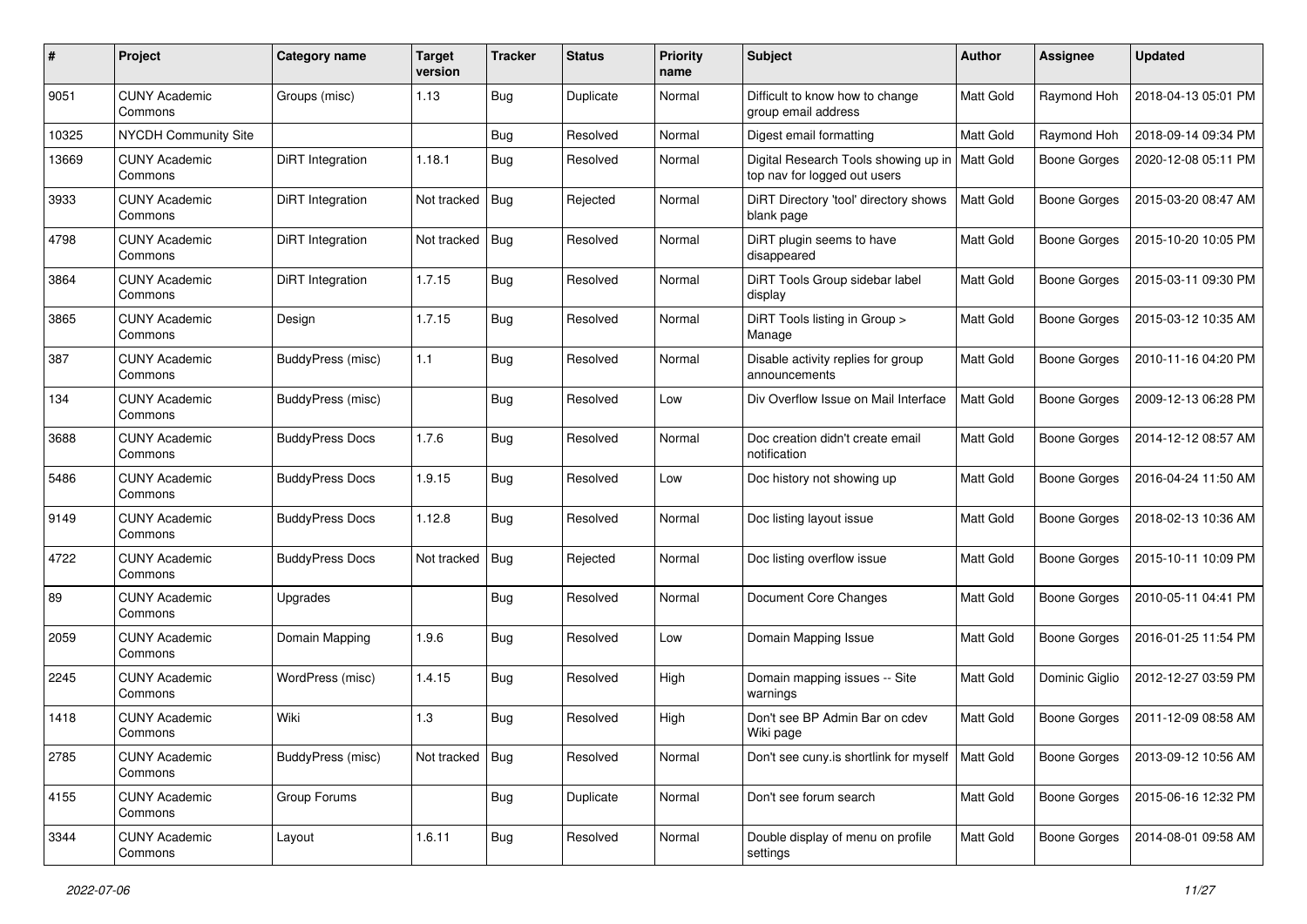| #     | Project                         | Category name          | <b>Target</b><br>version | <b>Tracker</b> | <b>Status</b> | <b>Priority</b><br>name | Subject                                                              | Author           | <b>Assignee</b>     | <b>Updated</b>      |
|-------|---------------------------------|------------------------|--------------------------|----------------|---------------|-------------------------|----------------------------------------------------------------------|------------------|---------------------|---------------------|
| 9051  | <b>CUNY Academic</b><br>Commons | Groups (misc)          | 1.13                     | Bug            | Duplicate     | Normal                  | Difficult to know how to change<br>group email address               | <b>Matt Gold</b> | Raymond Hoh         | 2018-04-13 05:01 PM |
| 10325 | <b>NYCDH Community Site</b>     |                        |                          | Bug            | Resolved      | Normal                  | Digest email formatting                                              | Matt Gold        | Raymond Hoh         | 2018-09-14 09:34 PM |
| 13669 | <b>CUNY Academic</b><br>Commons | DiRT Integration       | 1.18.1                   | <b>Bug</b>     | Resolved      | Normal                  | Digital Research Tools showing up in<br>top nav for logged out users | <b>Matt Gold</b> | Boone Gorges        | 2020-12-08 05:11 PM |
| 3933  | <b>CUNY Academic</b><br>Commons | DiRT Integration       | Not tracked              | Bug            | Rejected      | Normal                  | DiRT Directory 'tool' directory shows<br>blank page                  | Matt Gold        | <b>Boone Gorges</b> | 2015-03-20 08:47 AM |
| 4798  | <b>CUNY Academic</b><br>Commons | DiRT Integration       | Not tracked              | Bug            | Resolved      | Normal                  | DiRT plugin seems to have<br>disappeared                             | Matt Gold        | Boone Gorges        | 2015-10-20 10:05 PM |
| 3864  | <b>CUNY Academic</b><br>Commons | DiRT Integration       | 1.7.15                   | <b>Bug</b>     | Resolved      | Normal                  | DiRT Tools Group sidebar label<br>display                            | <b>Matt Gold</b> | <b>Boone Gorges</b> | 2015-03-11 09:30 PM |
| 3865  | <b>CUNY Academic</b><br>Commons | Design                 | 1.7.15                   | Bug            | Resolved      | Normal                  | DiRT Tools listing in Group ><br>Manage                              | Matt Gold        | <b>Boone Gorges</b> | 2015-03-12 10:35 AM |
| 387   | <b>CUNY Academic</b><br>Commons | BuddyPress (misc)      | 1.1                      | Bug            | Resolved      | Normal                  | Disable activity replies for group<br>announcements                  | Matt Gold        | <b>Boone Gorges</b> | 2010-11-16 04:20 PM |
| 134   | <b>CUNY Academic</b><br>Commons | BuddyPress (misc)      |                          | Bug            | Resolved      | Low                     | Div Overflow Issue on Mail Interface                                 | Matt Gold        | Boone Gorges        | 2009-12-13 06:28 PM |
| 3688  | <b>CUNY Academic</b><br>Commons | <b>BuddyPress Docs</b> | 1.7.6                    | Bug            | Resolved      | Normal                  | Doc creation didn't create email<br>notification                     | Matt Gold        | Boone Gorges        | 2014-12-12 08:57 AM |
| 5486  | <b>CUNY Academic</b><br>Commons | <b>BuddyPress Docs</b> | 1.9.15                   | <b>Bug</b>     | Resolved      | Low                     | Doc history not showing up                                           | Matt Gold        | <b>Boone Gorges</b> | 2016-04-24 11:50 AM |
| 9149  | <b>CUNY Academic</b><br>Commons | <b>BuddyPress Docs</b> | 1.12.8                   | Bug            | Resolved      | Normal                  | Doc listing layout issue                                             | Matt Gold        | Boone Gorges        | 2018-02-13 10:36 AM |
| 4722  | <b>CUNY Academic</b><br>Commons | <b>BuddyPress Docs</b> | Not tracked              | Bug            | Rejected      | Normal                  | Doc listing overflow issue                                           | Matt Gold        | <b>Boone Gorges</b> | 2015-10-11 10:09 PM |
| 89    | <b>CUNY Academic</b><br>Commons | Upgrades               |                          | Bug            | Resolved      | Normal                  | Document Core Changes                                                | Matt Gold        | <b>Boone Gorges</b> | 2010-05-11 04:41 PM |
| 2059  | <b>CUNY Academic</b><br>Commons | Domain Mapping         | 1.9.6                    | Bug            | Resolved      | Low                     | Domain Mapping Issue                                                 | Matt Gold        | <b>Boone Gorges</b> | 2016-01-25 11:54 PM |
| 2245  | <b>CUNY Academic</b><br>Commons | WordPress (misc)       | 1.4.15                   | <b>Bug</b>     | Resolved      | High                    | Domain mapping issues -- Site<br>warnings                            | Matt Gold        | Dominic Giglio      | 2012-12-27 03:59 PM |
| 1418  | <b>CUNY Academic</b><br>Commons | Wiki                   | 1.3                      | Bug            | Resolved      | High                    | Don't see BP Admin Bar on cdev<br>Wiki page                          | Matt Gold        | Boone Gorges        | 2011-12-09 08:58 AM |
| 2785  | <b>CUNY Academic</b><br>Commons | BuddyPress (misc)      | Not tracked              | Bug            | Resolved      | Normal                  | Don't see cuny is shortlink for myself   Matt Gold                   |                  | <b>Boone Gorges</b> | 2013-09-12 10:56 AM |
| 4155  | <b>CUNY Academic</b><br>Commons | Group Forums           |                          | <b>Bug</b>     | Duplicate     | Normal                  | Don't see forum search                                               | Matt Gold        | Boone Gorges        | 2015-06-16 12:32 PM |
| 3344  | <b>CUNY Academic</b><br>Commons | Layout                 | 1.6.11                   | <b>Bug</b>     | Resolved      | Normal                  | Double display of menu on profile<br>settings                        | Matt Gold        | Boone Gorges        | 2014-08-01 09:58 AM |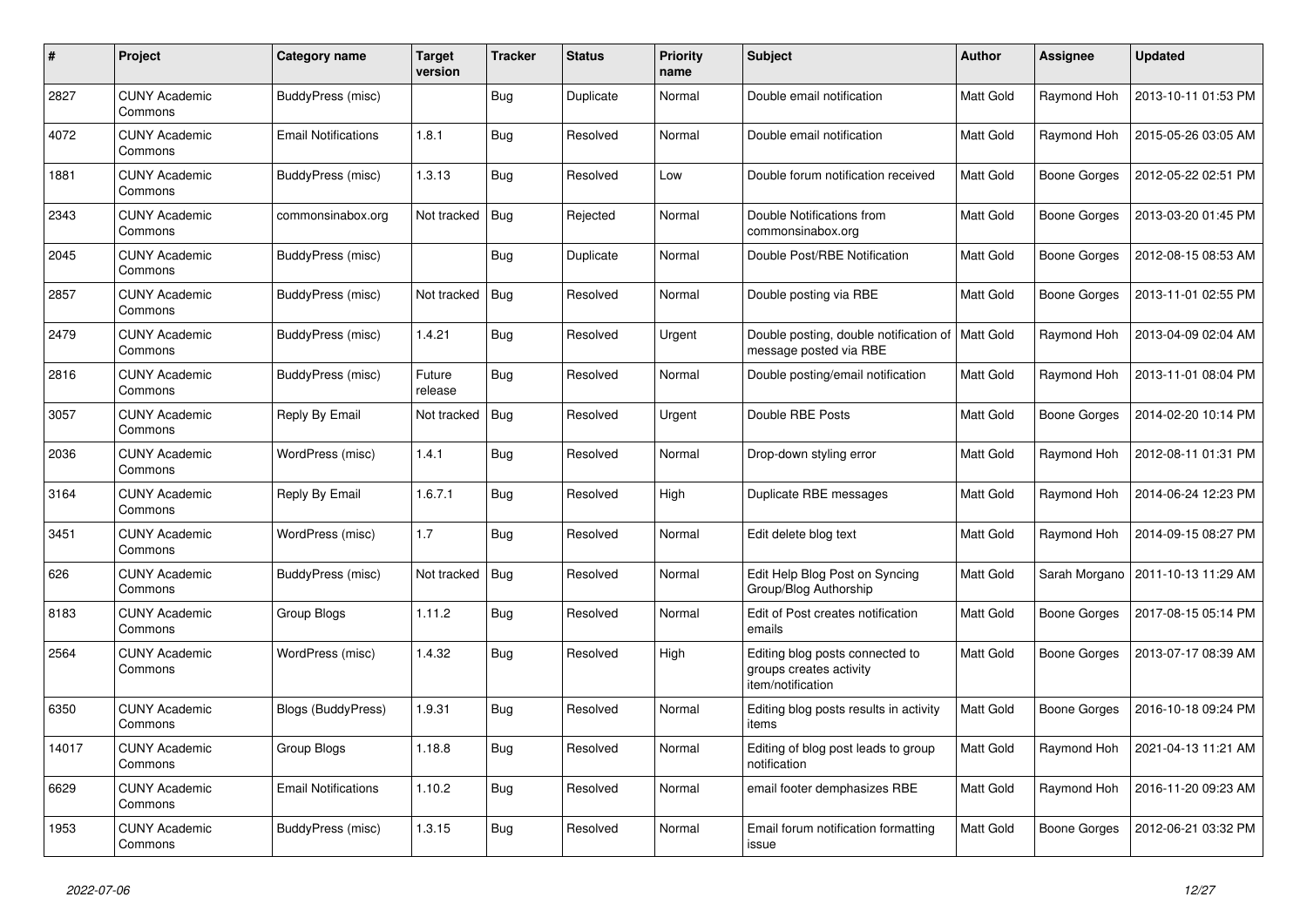| #     | Project                         | Category name              | <b>Target</b><br>version | <b>Tracker</b> | <b>Status</b> | <b>Priority</b><br>name | <b>Subject</b>                                                                  | <b>Author</b>    | Assignee            | <b>Updated</b>      |
|-------|---------------------------------|----------------------------|--------------------------|----------------|---------------|-------------------------|---------------------------------------------------------------------------------|------------------|---------------------|---------------------|
| 2827  | <b>CUNY Academic</b><br>Commons | BuddyPress (misc)          |                          | <b>Bug</b>     | Duplicate     | Normal                  | Double email notification                                                       | Matt Gold        | Raymond Hoh         | 2013-10-11 01:53 PM |
| 4072  | <b>CUNY Academic</b><br>Commons | <b>Email Notifications</b> | 1.8.1                    | <b>Bug</b>     | Resolved      | Normal                  | Double email notification                                                       | Matt Gold        | Raymond Hoh         | 2015-05-26 03:05 AM |
| 1881  | <b>CUNY Academic</b><br>Commons | BuddyPress (misc)          | 1.3.13                   | <b>Bug</b>     | Resolved      | Low                     | Double forum notification received                                              | Matt Gold        | Boone Gorges        | 2012-05-22 02:51 PM |
| 2343  | <b>CUNY Academic</b><br>Commons | commonsinabox.org          | Not tracked              | <b>Bug</b>     | Rejected      | Normal                  | Double Notifications from<br>commonsinabox.org                                  | Matt Gold        | <b>Boone Gorges</b> | 2013-03-20 01:45 PM |
| 2045  | <b>CUNY Academic</b><br>Commons | BuddyPress (misc)          |                          | Bug            | Duplicate     | Normal                  | Double Post/RBE Notification                                                    | Matt Gold        | Boone Gorges        | 2012-08-15 08:53 AM |
| 2857  | <b>CUNY Academic</b><br>Commons | BuddyPress (misc)          | Not tracked              | Bug            | Resolved      | Normal                  | Double posting via RBE                                                          | Matt Gold        | Boone Gorges        | 2013-11-01 02:55 PM |
| 2479  | <b>CUNY Academic</b><br>Commons | BuddyPress (misc)          | 1.4.21                   | Bug            | Resolved      | Urgent                  | Double posting, double notification of   Matt Gold<br>message posted via RBE    |                  | Raymond Hoh         | 2013-04-09 02:04 AM |
| 2816  | <b>CUNY Academic</b><br>Commons | BuddyPress (misc)          | Future<br>release        | Bug            | Resolved      | Normal                  | Double posting/email notification                                               | Matt Gold        | Raymond Hoh         | 2013-11-01 08:04 PM |
| 3057  | CUNY Academic<br>Commons        | Reply By Email             | Not tracked              | <b>Bug</b>     | Resolved      | Urgent                  | Double RBE Posts                                                                | Matt Gold        | Boone Gorges        | 2014-02-20 10:14 PM |
| 2036  | <b>CUNY Academic</b><br>Commons | WordPress (misc)           | 1.4.1                    | <b>Bug</b>     | Resolved      | Normal                  | Drop-down styling error                                                         | Matt Gold        | Raymond Hoh         | 2012-08-11 01:31 PM |
| 3164  | <b>CUNY Academic</b><br>Commons | Reply By Email             | 1.6.7.1                  | <b>Bug</b>     | Resolved      | High                    | Duplicate RBE messages                                                          | Matt Gold        | Raymond Hoh         | 2014-06-24 12:23 PM |
| 3451  | <b>CUNY Academic</b><br>Commons | WordPress (misc)           | 1.7                      | <b>Bug</b>     | Resolved      | Normal                  | Edit delete blog text                                                           | Matt Gold        | Raymond Hoh         | 2014-09-15 08:27 PM |
| 626   | <b>CUNY Academic</b><br>Commons | BuddyPress (misc)          | Not tracked              | Bug            | Resolved      | Normal                  | Edit Help Blog Post on Syncing<br>Group/Blog Authorship                         | Matt Gold        | Sarah Morgano       | 2011-10-13 11:29 AM |
| 8183  | <b>CUNY Academic</b><br>Commons | Group Blogs                | 1.11.2                   | Bug            | Resolved      | Normal                  | Edit of Post creates notification<br>emails                                     | Matt Gold        | Boone Gorges        | 2017-08-15 05:14 PM |
| 2564  | <b>CUNY Academic</b><br>Commons | WordPress (misc)           | 1.4.32                   | Bug            | Resolved      | High                    | Editing blog posts connected to<br>groups creates activity<br>item/notification | Matt Gold        | Boone Gorges        | 2013-07-17 08:39 AM |
| 6350  | <b>CUNY Academic</b><br>Commons | <b>Blogs (BuddyPress)</b>  | 1.9.31                   | Bug            | Resolved      | Normal                  | Editing blog posts results in activity<br>items                                 | <b>Matt Gold</b> | Boone Gorges        | 2016-10-18 09:24 PM |
| 14017 | <b>CUNY Academic</b><br>Commons | Group Blogs                | 1.18.8                   | <b>Bug</b>     | Resolved      | Normal                  | Editing of blog post leads to group<br>notification                             | Matt Gold        | Raymond Hoh         | 2021-04-13 11:21 AM |
| 6629  | <b>CUNY Academic</b><br>Commons | <b>Email Notifications</b> | 1.10.2                   | Bug            | Resolved      | Normal                  | email footer demphasizes RBE                                                    | Matt Gold        | Raymond Hoh         | 2016-11-20 09:23 AM |
| 1953  | <b>CUNY Academic</b><br>Commons | BuddyPress (misc)          | 1.3.15                   | Bug            | Resolved      | Normal                  | Email forum notification formatting<br>issue                                    | Matt Gold        | <b>Boone Gorges</b> | 2012-06-21 03:32 PM |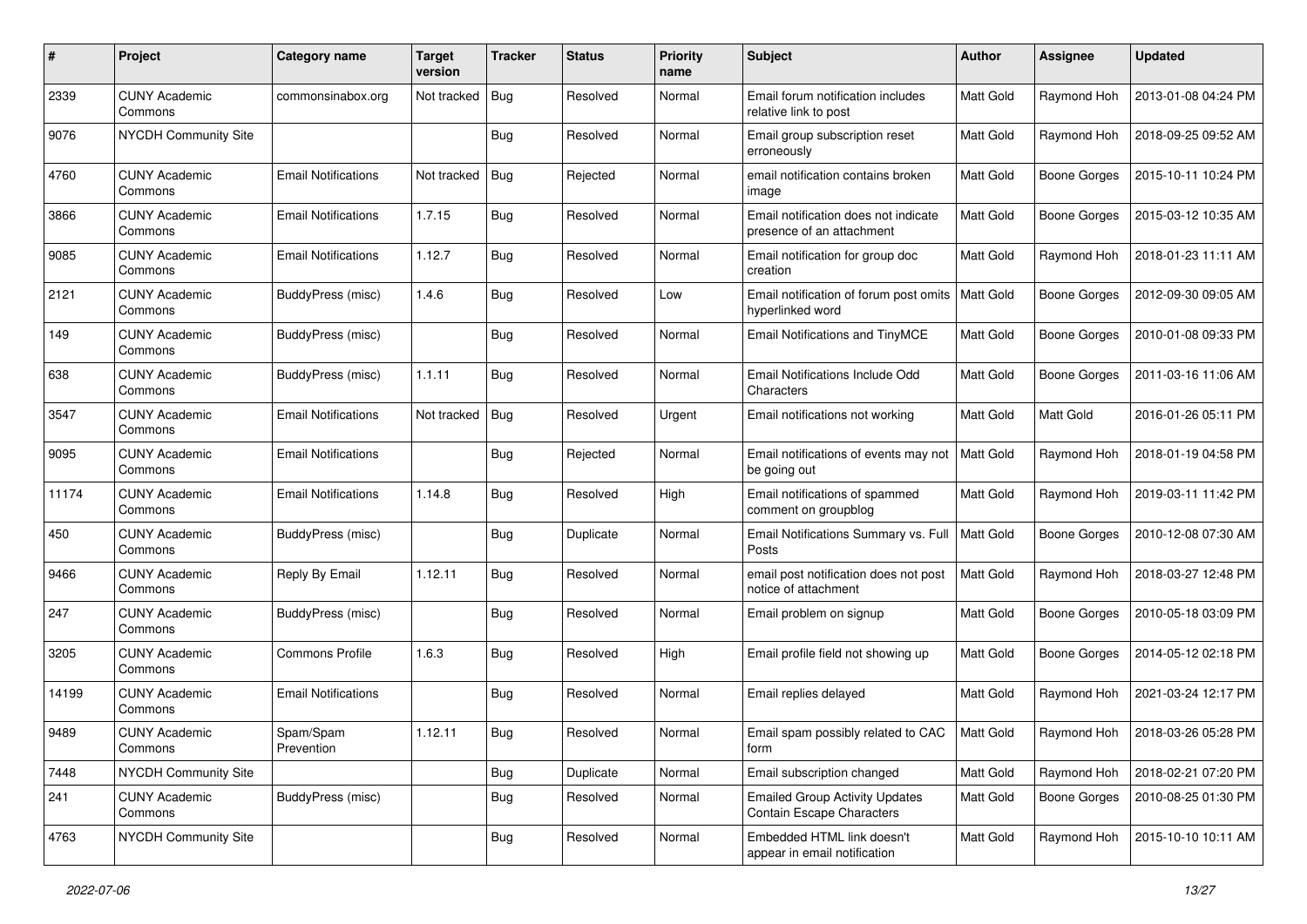| #     | Project                         | Category name              | <b>Target</b><br>version | <b>Tracker</b> | <b>Status</b> | <b>Priority</b><br>name | Subject                                                                   | Author           | <b>Assignee</b>     | <b>Updated</b>      |
|-------|---------------------------------|----------------------------|--------------------------|----------------|---------------|-------------------------|---------------------------------------------------------------------------|------------------|---------------------|---------------------|
| 2339  | <b>CUNY Academic</b><br>Commons | commonsinabox.org          | Not tracked              | Bug            | Resolved      | Normal                  | Email forum notification includes<br>relative link to post                | Matt Gold        | Raymond Hoh         | 2013-01-08 04:24 PM |
| 9076  | <b>NYCDH Community Site</b>     |                            |                          | Bug            | Resolved      | Normal                  | Email group subscription reset<br>erroneously                             | Matt Gold        | Raymond Hoh         | 2018-09-25 09:52 AM |
| 4760  | <b>CUNY Academic</b><br>Commons | <b>Email Notifications</b> | Not tracked              | Bug            | Rejected      | Normal                  | email notification contains broken<br>image                               | <b>Matt Gold</b> | <b>Boone Gorges</b> | 2015-10-11 10:24 PM |
| 3866  | <b>CUNY Academic</b><br>Commons | <b>Email Notifications</b> | 1.7.15                   | Bug            | Resolved      | Normal                  | Email notification does not indicate<br>presence of an attachment         | <b>Matt Gold</b> | <b>Boone Gorges</b> | 2015-03-12 10:35 AM |
| 9085  | <b>CUNY Academic</b><br>Commons | <b>Email Notifications</b> | 1.12.7                   | <b>Bug</b>     | Resolved      | Normal                  | Email notification for group doc<br>creation                              | <b>Matt Gold</b> | Raymond Hoh         | 2018-01-23 11:11 AM |
| 2121  | <b>CUNY Academic</b><br>Commons | BuddyPress (misc)          | 1.4.6                    | Bug            | Resolved      | Low                     | Email notification of forum post omits<br>hyperlinked word                | Matt Gold        | <b>Boone Gorges</b> | 2012-09-30 09:05 AM |
| 149   | <b>CUNY Academic</b><br>Commons | BuddyPress (misc)          |                          | Bug            | Resolved      | Normal                  | Email Notifications and TinyMCE                                           | Matt Gold        | <b>Boone Gorges</b> | 2010-01-08 09:33 PM |
| 638   | <b>CUNY Academic</b><br>Commons | BuddyPress (misc)          | 1.1.11                   | Bug            | Resolved      | Normal                  | Email Notifications Include Odd<br>Characters                             | Matt Gold        | <b>Boone Gorges</b> | 2011-03-16 11:06 AM |
| 3547  | <b>CUNY Academic</b><br>Commons | <b>Email Notifications</b> | Not tracked              | Bug            | Resolved      | Urgent                  | Email notifications not working                                           | Matt Gold        | Matt Gold           | 2016-01-26 05:11 PM |
| 9095  | <b>CUNY Academic</b><br>Commons | <b>Email Notifications</b> |                          | <b>Bug</b>     | Rejected      | Normal                  | Email notifications of events may not<br>be going out                     | <b>Matt Gold</b> | Raymond Hoh         | 2018-01-19 04:58 PM |
| 11174 | <b>CUNY Academic</b><br>Commons | <b>Email Notifications</b> | 1.14.8                   | Bug            | Resolved      | High                    | Email notifications of spammed<br>comment on groupblog                    | Matt Gold        | Raymond Hoh         | 2019-03-11 11:42 PM |
| 450   | <b>CUNY Academic</b><br>Commons | BuddyPress (misc)          |                          | <b>Bug</b>     | Duplicate     | Normal                  | Email Notifications Summary vs. Full<br>Posts                             | <b>Matt Gold</b> | <b>Boone Gorges</b> | 2010-12-08 07:30 AM |
| 9466  | <b>CUNY Academic</b><br>Commons | Reply By Email             | 1.12.11                  | Bug            | Resolved      | Normal                  | email post notification does not post<br>notice of attachment             | <b>Matt Gold</b> | Raymond Hoh         | 2018-03-27 12:48 PM |
| 247   | <b>CUNY Academic</b><br>Commons | BuddyPress (misc)          |                          | Bug            | Resolved      | Normal                  | Email problem on signup                                                   | Matt Gold        | <b>Boone Gorges</b> | 2010-05-18 03:09 PM |
| 3205  | <b>CUNY Academic</b><br>Commons | <b>Commons Profile</b>     | 1.6.3                    | Bug            | Resolved      | High                    | Email profile field not showing up                                        | Matt Gold        | <b>Boone Gorges</b> | 2014-05-12 02:18 PM |
| 14199 | <b>CUNY Academic</b><br>Commons | <b>Email Notifications</b> |                          | Bug            | Resolved      | Normal                  | Email replies delayed                                                     | Matt Gold        | Raymond Hoh         | 2021-03-24 12:17 PM |
| 9489  | <b>CUNY Academic</b><br>Commons | Spam/Spam<br>Prevention    | 1.12.11                  | Bug            | Resolved      | Normal                  | Email spam possibly related to CAC<br>form                                | Matt Gold        | Raymond Hoh         | 2018-03-26 05:28 PM |
| 7448  | NYCDH Community Site            |                            |                          | <b>Bug</b>     | Duplicate     | Normal                  | Email subscription changed                                                | Matt Gold        | Raymond Hoh         | 2018-02-21 07:20 PM |
| 241   | <b>CUNY Academic</b><br>Commons | <b>BuddyPress (misc)</b>   |                          | <b>Bug</b>     | Resolved      | Normal                  | <b>Emailed Group Activity Updates</b><br><b>Contain Escape Characters</b> | Matt Gold        | Boone Gorges        | 2010-08-25 01:30 PM |
| 4763  | <b>NYCDH Community Site</b>     |                            |                          | Bug            | Resolved      | Normal                  | Embedded HTML link doesn't<br>appear in email notification                | Matt Gold        | Raymond Hoh         | 2015-10-10 10:11 AM |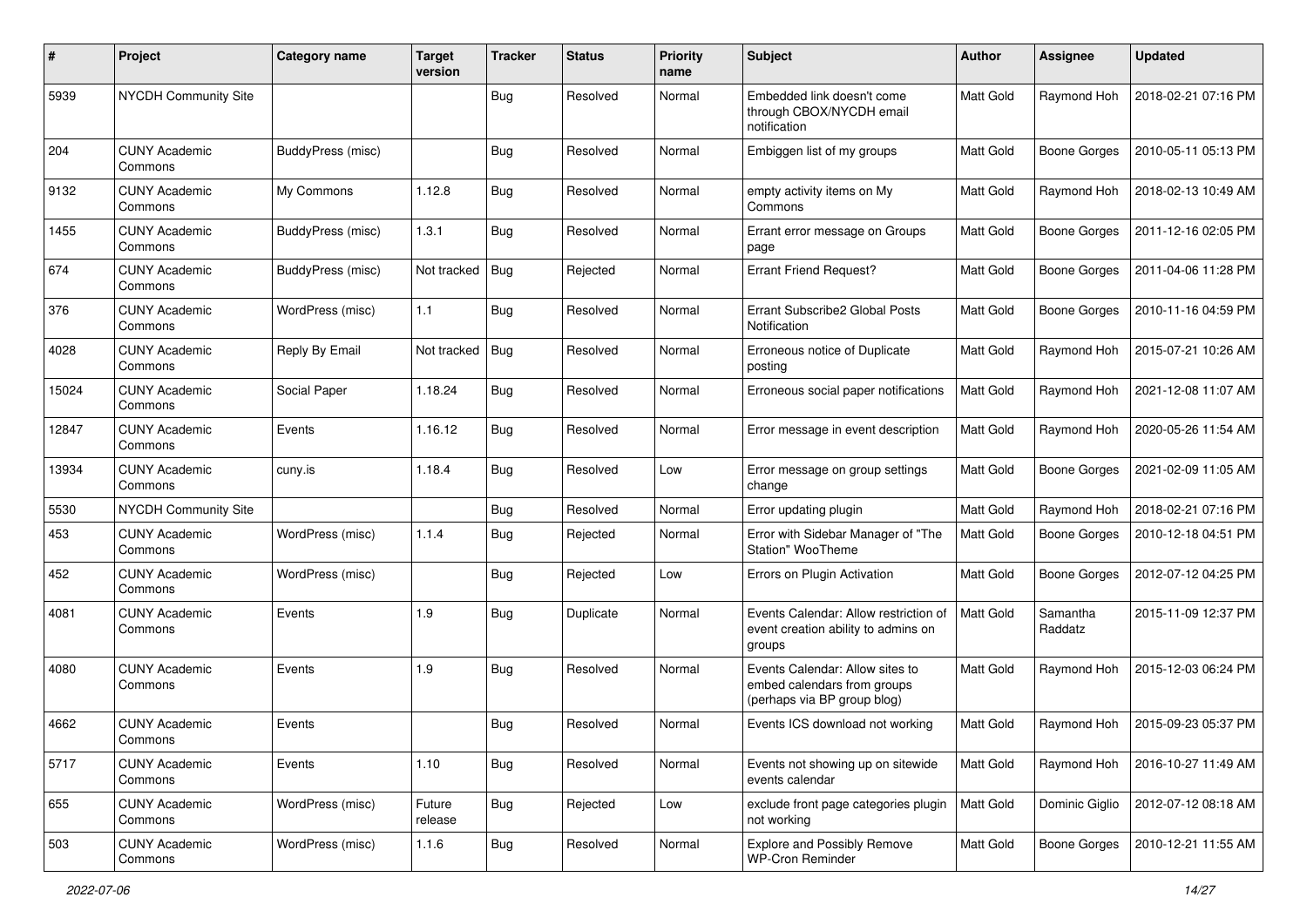| #     | Project                         | Category name     | <b>Target</b><br>version | <b>Tracker</b> | <b>Status</b> | <b>Priority</b><br>name | <b>Subject</b>                                                                                | Author           | <b>Assignee</b>     | <b>Updated</b>      |
|-------|---------------------------------|-------------------|--------------------------|----------------|---------------|-------------------------|-----------------------------------------------------------------------------------------------|------------------|---------------------|---------------------|
| 5939  | NYCDH Community Site            |                   |                          | Bug            | Resolved      | Normal                  | Embedded link doesn't come<br>through CBOX/NYCDH email<br>notification                        | <b>Matt Gold</b> | Raymond Hoh         | 2018-02-21 07:16 PM |
| 204   | <b>CUNY Academic</b><br>Commons | BuddyPress (misc) |                          | Bug            | Resolved      | Normal                  | Embiggen list of my groups                                                                    | <b>Matt Gold</b> | <b>Boone Gorges</b> | 2010-05-11 05:13 PM |
| 9132  | <b>CUNY Academic</b><br>Commons | My Commons        | 1.12.8                   | Bug            | Resolved      | Normal                  | empty activity items on My<br>Commons                                                         | Matt Gold        | Raymond Hoh         | 2018-02-13 10:49 AM |
| 1455  | <b>CUNY Academic</b><br>Commons | BuddyPress (misc) | 1.3.1                    | Bug            | Resolved      | Normal                  | Errant error message on Groups<br>page                                                        | <b>Matt Gold</b> | <b>Boone Gorges</b> | 2011-12-16 02:05 PM |
| 674   | <b>CUNY Academic</b><br>Commons | BuddyPress (misc) | Not tracked              | Bug            | Rejected      | Normal                  | <b>Errant Friend Request?</b>                                                                 | <b>Matt Gold</b> | <b>Boone Gorges</b> | 2011-04-06 11:28 PM |
| 376   | <b>CUNY Academic</b><br>Commons | WordPress (misc)  | 1.1                      | Bug            | Resolved      | Normal                  | Errant Subscribe2 Global Posts<br>Notification                                                | <b>Matt Gold</b> | <b>Boone Gorges</b> | 2010-11-16 04:59 PM |
| 4028  | <b>CUNY Academic</b><br>Commons | Reply By Email    | Not tracked              | Bug            | Resolved      | Normal                  | Erroneous notice of Duplicate<br>posting                                                      | Matt Gold        | Raymond Hoh         | 2015-07-21 10:26 AM |
| 15024 | <b>CUNY Academic</b><br>Commons | Social Paper      | 1.18.24                  | Bug            | Resolved      | Normal                  | Erroneous social paper notifications                                                          | Matt Gold        | Raymond Hoh         | 2021-12-08 11:07 AM |
| 12847 | <b>CUNY Academic</b><br>Commons | Events            | 1.16.12                  | Bug            | Resolved      | Normal                  | Error message in event description                                                            | <b>Matt Gold</b> | Raymond Hoh         | 2020-05-26 11:54 AM |
| 13934 | <b>CUNY Academic</b><br>Commons | cuny.is           | 1.18.4                   | Bug            | Resolved      | Low                     | Error message on group settings<br>change                                                     | Matt Gold        | <b>Boone Gorges</b> | 2021-02-09 11:05 AM |
| 5530  | <b>NYCDH Community Site</b>     |                   |                          | Bug            | Resolved      | Normal                  | Error updating plugin                                                                         | Matt Gold        | Raymond Hoh         | 2018-02-21 07:16 PM |
| 453   | <b>CUNY Academic</b><br>Commons | WordPress (misc)  | 1.1.4                    | Bug            | Rejected      | Normal                  | Error with Sidebar Manager of "The<br>Station" WooTheme                                       | <b>Matt Gold</b> | <b>Boone Gorges</b> | 2010-12-18 04:51 PM |
| 452   | <b>CUNY Academic</b><br>Commons | WordPress (misc)  |                          | Bug            | Rejected      | Low                     | Errors on Plugin Activation                                                                   | <b>Matt Gold</b> | <b>Boone Gorges</b> | 2012-07-12 04:25 PM |
| 4081  | <b>CUNY Academic</b><br>Commons | Events            | 1.9                      | Bug            | Duplicate     | Normal                  | Events Calendar: Allow restriction of<br>event creation ability to admins on<br>groups        | <b>Matt Gold</b> | Samantha<br>Raddatz | 2015-11-09 12:37 PM |
| 4080  | <b>CUNY Academic</b><br>Commons | Events            | 1.9                      | Bug            | Resolved      | Normal                  | Events Calendar: Allow sites to<br>embed calendars from groups<br>(perhaps via BP group blog) | <b>Matt Gold</b> | Raymond Hoh         | 2015-12-03 06:24 PM |
| 4662  | <b>CUNY Academic</b><br>Commons | Events            |                          | <b>Bug</b>     | Resolved      | Normal                  | Events ICS download not working                                                               | <b>Matt Gold</b> | Raymond Hoh         | 2015-09-23 05:37 PM |
| 5717  | <b>CUNY Academic</b><br>Commons | Events            | 1.10                     | <b>Bug</b>     | Resolved      | Normal                  | Events not showing up on sitewide<br>events calendar                                          | Matt Gold        | Raymond Hoh         | 2016-10-27 11:49 AM |
| 655   | <b>CUNY Academic</b><br>Commons | WordPress (misc)  | Future<br>release        | <b>Bug</b>     | Rejected      | Low                     | exclude front page categories plugin<br>not working                                           | <b>Matt Gold</b> | Dominic Giglio      | 2012-07-12 08:18 AM |
| 503   | <b>CUNY Academic</b><br>Commons | WordPress (misc)  | 1.1.6                    | Bug            | Resolved      | Normal                  | <b>Explore and Possibly Remove</b><br><b>WP-Cron Reminder</b>                                 | Matt Gold        | <b>Boone Gorges</b> | 2010-12-21 11:55 AM |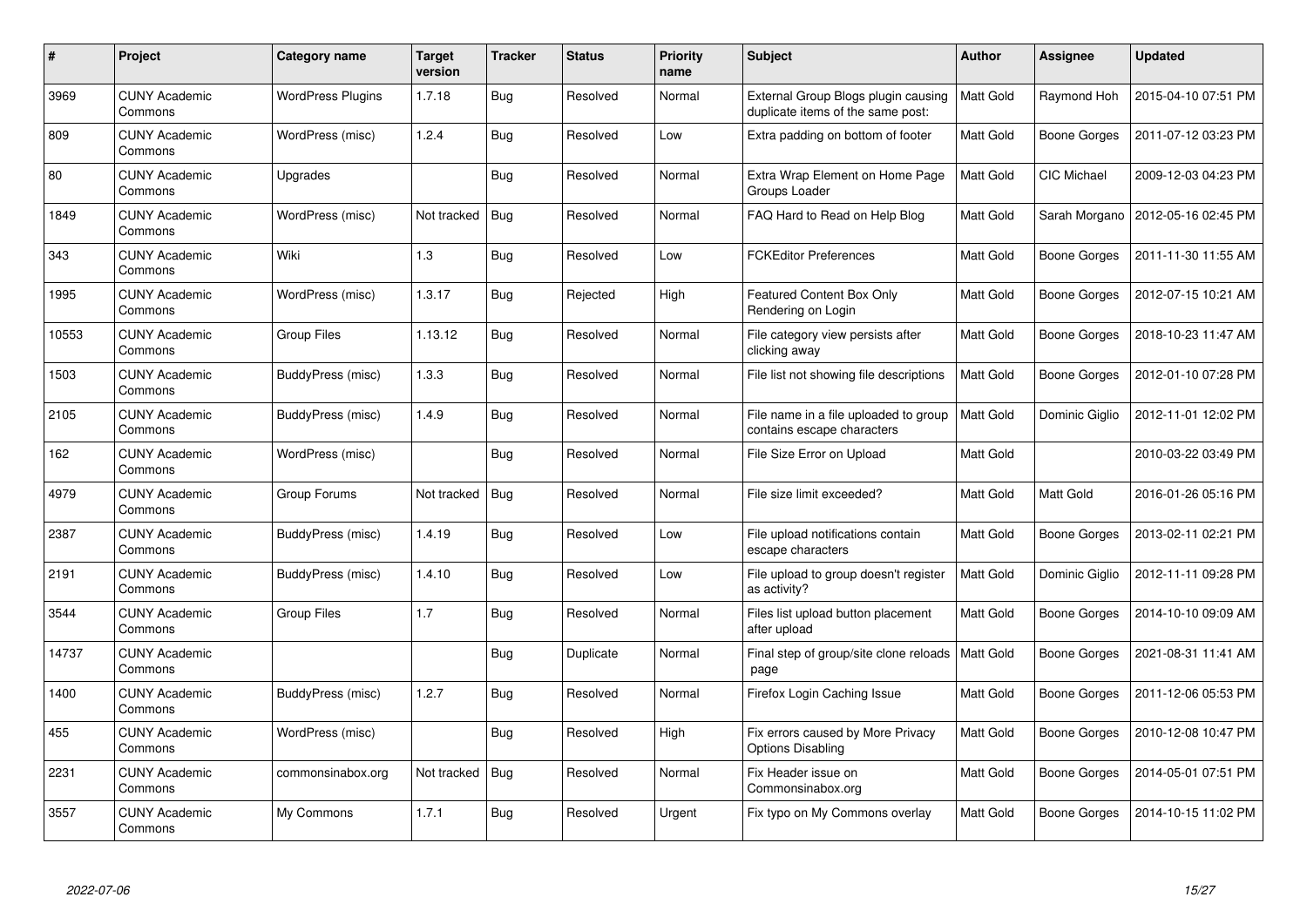| $\#$  | <b>Project</b>                  | Category name            | <b>Target</b><br>version | <b>Tracker</b> | <b>Status</b> | <b>Priority</b><br>name | <b>Subject</b>                                                           | <b>Author</b>    | Assignee            | <b>Updated</b>      |
|-------|---------------------------------|--------------------------|--------------------------|----------------|---------------|-------------------------|--------------------------------------------------------------------------|------------------|---------------------|---------------------|
| 3969  | <b>CUNY Academic</b><br>Commons | <b>WordPress Plugins</b> | 1.7.18                   | <b>Bug</b>     | Resolved      | Normal                  | External Group Blogs plugin causing<br>duplicate items of the same post: | Matt Gold        | Raymond Hoh         | 2015-04-10 07:51 PM |
| 809   | <b>CUNY Academic</b><br>Commons | WordPress (misc)         | 1.2.4                    | Bug            | Resolved      | Low                     | Extra padding on bottom of footer                                        | <b>Matt Gold</b> | <b>Boone Gorges</b> | 2011-07-12 03:23 PM |
| 80    | <b>CUNY Academic</b><br>Commons | Upgrades                 |                          | <b>Bug</b>     | Resolved      | Normal                  | Extra Wrap Element on Home Page<br>Groups Loader                         | Matt Gold        | CIC Michael         | 2009-12-03 04:23 PM |
| 1849  | <b>CUNY Academic</b><br>Commons | WordPress (misc)         | Not tracked              | <b>Bug</b>     | Resolved      | Normal                  | FAQ Hard to Read on Help Blog                                            | Matt Gold        | Sarah Morgano       | 2012-05-16 02:45 PM |
| 343   | <b>CUNY Academic</b><br>Commons | Wiki                     | 1.3                      | Bug            | Resolved      | Low                     | <b>FCKEditor Preferences</b>                                             | <b>Matt Gold</b> | Boone Gorges        | 2011-11-30 11:55 AM |
| 1995  | <b>CUNY Academic</b><br>Commons | WordPress (misc)         | 1.3.17                   | Bug            | Rejected      | High                    | Featured Content Box Only<br>Rendering on Login                          | Matt Gold        | Boone Gorges        | 2012-07-15 10:21 AM |
| 10553 | <b>CUNY Academic</b><br>Commons | <b>Group Files</b>       | 1.13.12                  | Bug            | Resolved      | Normal                  | File category view persists after<br>clicking away                       | Matt Gold        | Boone Gorges        | 2018-10-23 11:47 AM |
| 1503  | <b>CUNY Academic</b><br>Commons | BuddyPress (misc)        | 1.3.3                    | Bug            | Resolved      | Normal                  | File list not showing file descriptions                                  | Matt Gold        | Boone Gorges        | 2012-01-10 07:28 PM |
| 2105  | <b>CUNY Academic</b><br>Commons | BuddyPress (misc)        | 1.4.9                    | Bug            | Resolved      | Normal                  | File name in a file uploaded to group<br>contains escape characters      | <b>Matt Gold</b> | Dominic Giglio      | 2012-11-01 12:02 PM |
| 162   | <b>CUNY Academic</b><br>Commons | WordPress (misc)         |                          | Bug            | Resolved      | Normal                  | File Size Error on Upload                                                | Matt Gold        |                     | 2010-03-22 03:49 PM |
| 4979  | <b>CUNY Academic</b><br>Commons | Group Forums             | Not tracked              | Bug            | Resolved      | Normal                  | File size limit exceeded?                                                | Matt Gold        | Matt Gold           | 2016-01-26 05:16 PM |
| 2387  | <b>CUNY Academic</b><br>Commons | <b>BuddyPress (misc)</b> | 1.4.19                   | Bug            | Resolved      | Low                     | File upload notifications contain<br>escape characters                   | Matt Gold        | <b>Boone Gorges</b> | 2013-02-11 02:21 PM |
| 2191  | <b>CUNY Academic</b><br>Commons | BuddyPress (misc)        | 1.4.10                   | <b>Bug</b>     | Resolved      | Low                     | File upload to group doesn't register<br>as activity?                    | Matt Gold        | Dominic Giglio      | 2012-11-11 09:28 PM |
| 3544  | <b>CUNY Academic</b><br>Commons | Group Files              | 1.7                      | Bug            | Resolved      | Normal                  | Files list upload button placement<br>after upload                       | Matt Gold        | Boone Gorges        | 2014-10-10 09:09 AM |
| 14737 | <b>CUNY Academic</b><br>Commons |                          |                          | <b>Bug</b>     | Duplicate     | Normal                  | Final step of group/site clone reloads<br>page                           | Matt Gold        | <b>Boone Gorges</b> | 2021-08-31 11:41 AM |
| 1400  | <b>CUNY Academic</b><br>Commons | BuddyPress (misc)        | 1.2.7                    | <b>Bug</b>     | Resolved      | Normal                  | Firefox Login Caching Issue                                              | Matt Gold        | Boone Gorges        | 2011-12-06 05:53 PM |
| 455   | <b>CUNY Academic</b><br>Commons | WordPress (misc)         |                          | Bug            | Resolved      | High                    | Fix errors caused by More Privacy<br><b>Options Disabling</b>            | Matt Gold        | Boone Gorges        | 2010-12-08 10:47 PM |
| 2231  | <b>CUNY Academic</b><br>Commons | commonsinabox.org        | Not tracked              | Bug            | Resolved      | Normal                  | Fix Header issue on<br>Commonsinabox.org                                 | Matt Gold        | <b>Boone Gorges</b> | 2014-05-01 07:51 PM |
| 3557  | <b>CUNY Academic</b><br>Commons | My Commons               | 1.7.1                    | <b>Bug</b>     | Resolved      | Urgent                  | Fix typo on My Commons overlay                                           | Matt Gold        | Boone Gorges        | 2014-10-15 11:02 PM |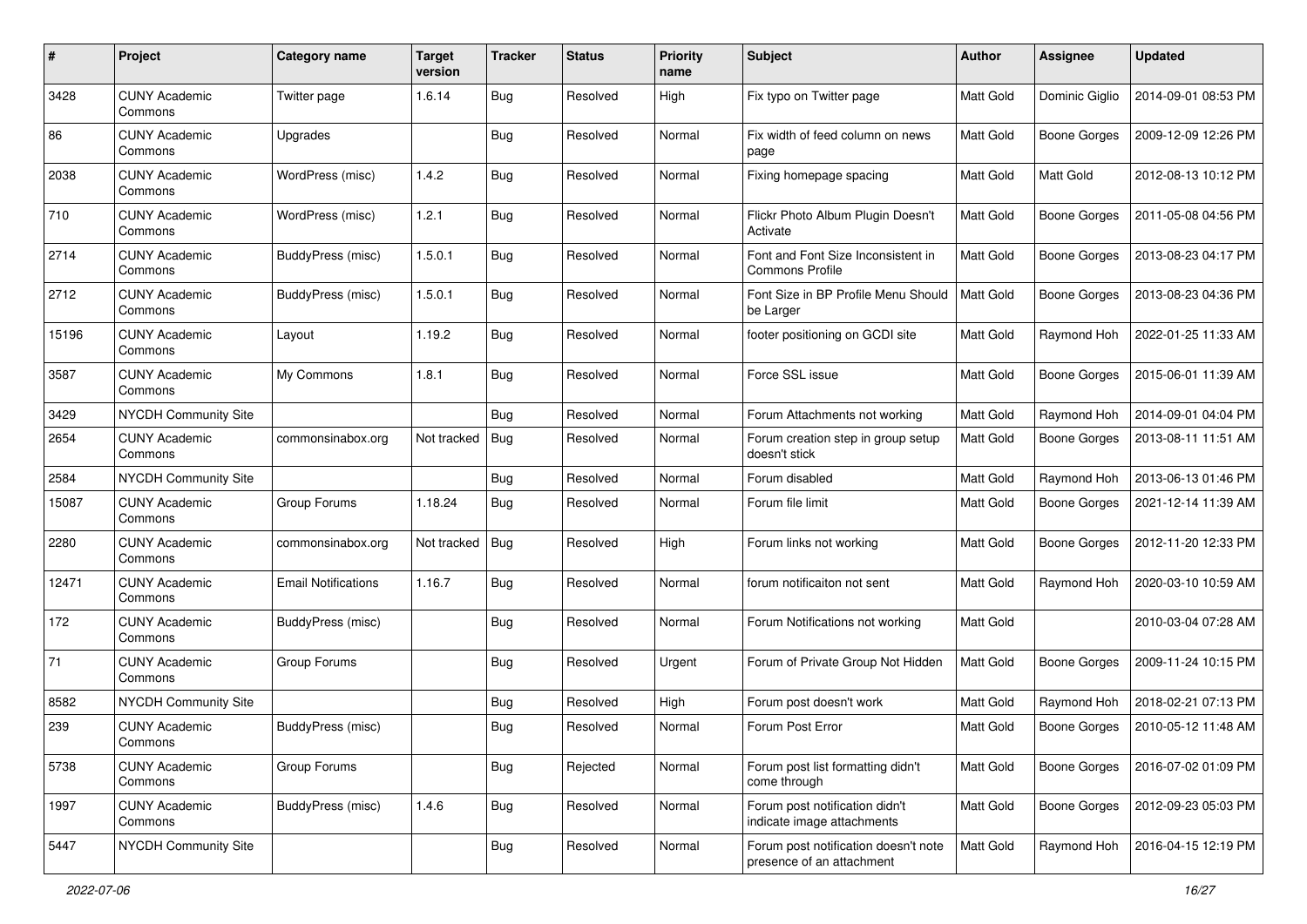| #     | Project                         | Category name              | <b>Target</b><br>version | <b>Tracker</b> | <b>Status</b> | <b>Priority</b><br>name | <b>Subject</b>                                                    | Author           | <b>Assignee</b>     | <b>Updated</b>      |
|-------|---------------------------------|----------------------------|--------------------------|----------------|---------------|-------------------------|-------------------------------------------------------------------|------------------|---------------------|---------------------|
| 3428  | <b>CUNY Academic</b><br>Commons | Twitter page               | 1.6.14                   | Bug            | Resolved      | High                    | Fix typo on Twitter page                                          | Matt Gold        | Dominic Giglio      | 2014-09-01 08:53 PM |
| 86    | <b>CUNY Academic</b><br>Commons | Upgrades                   |                          | <b>Bug</b>     | Resolved      | Normal                  | Fix width of feed column on news<br>page                          | <b>Matt Gold</b> | <b>Boone Gorges</b> | 2009-12-09 12:26 PM |
| 2038  | <b>CUNY Academic</b><br>Commons | WordPress (misc)           | 1.4.2                    | <b>Bug</b>     | Resolved      | Normal                  | Fixing homepage spacing                                           | <b>Matt Gold</b> | Matt Gold           | 2012-08-13 10:12 PM |
| 710   | <b>CUNY Academic</b><br>Commons | WordPress (misc)           | 1.2.1                    | Bug            | Resolved      | Normal                  | Flickr Photo Album Plugin Doesn't<br>Activate                     | <b>Matt Gold</b> | <b>Boone Gorges</b> | 2011-05-08 04:56 PM |
| 2714  | <b>CUNY Academic</b><br>Commons | BuddyPress (misc)          | 1.5.0.1                  | <b>Bug</b>     | Resolved      | Normal                  | Font and Font Size Inconsistent in<br><b>Commons Profile</b>      | <b>Matt Gold</b> | <b>Boone Gorges</b> | 2013-08-23 04:17 PM |
| 2712  | <b>CUNY Academic</b><br>Commons | <b>BuddyPress (misc)</b>   | 1.5.0.1                  | <b>Bug</b>     | Resolved      | Normal                  | Font Size in BP Profile Menu Should<br>be Larger                  | Matt Gold        | <b>Boone Gorges</b> | 2013-08-23 04:36 PM |
| 15196 | <b>CUNY Academic</b><br>Commons | Layout                     | 1.19.2                   | Bug            | Resolved      | Normal                  | footer positioning on GCDI site                                   | <b>Matt Gold</b> | Raymond Hoh         | 2022-01-25 11:33 AM |
| 3587  | <b>CUNY Academic</b><br>Commons | My Commons                 | 1.8.1                    | <b>Bug</b>     | Resolved      | Normal                  | Force SSL issue                                                   | Matt Gold        | <b>Boone Gorges</b> | 2015-06-01 11:39 AM |
| 3429  | NYCDH Community Site            |                            |                          | <b>Bug</b>     | Resolved      | Normal                  | Forum Attachments not working                                     | Matt Gold        | Raymond Hoh         | 2014-09-01 04:04 PM |
| 2654  | <b>CUNY Academic</b><br>Commons | commonsinabox.org          | Not tracked              | Bug            | Resolved      | Normal                  | Forum creation step in group setup<br>doesn't stick               | Matt Gold        | <b>Boone Gorges</b> | 2013-08-11 11:51 AM |
| 2584  | NYCDH Community Site            |                            |                          | <b>Bug</b>     | Resolved      | Normal                  | Forum disabled                                                    | Matt Gold        | Raymond Hoh         | 2013-06-13 01:46 PM |
| 15087 | <b>CUNY Academic</b><br>Commons | Group Forums               | 1.18.24                  | Bug            | Resolved      | Normal                  | Forum file limit                                                  | Matt Gold        | <b>Boone Gorges</b> | 2021-12-14 11:39 AM |
| 2280  | <b>CUNY Academic</b><br>Commons | commonsinabox.org          | Not tracked              | <b>Bug</b>     | Resolved      | High                    | Forum links not working                                           | <b>Matt Gold</b> | <b>Boone Gorges</b> | 2012-11-20 12:33 PM |
| 12471 | <b>CUNY Academic</b><br>Commons | <b>Email Notifications</b> | 1.16.7                   | Bug            | Resolved      | Normal                  | forum notificaiton not sent                                       | Matt Gold        | Raymond Hoh         | 2020-03-10 10:59 AM |
| 172   | <b>CUNY Academic</b><br>Commons | BuddyPress (misc)          |                          | Bug            | Resolved      | Normal                  | Forum Notifications not working                                   | <b>Matt Gold</b> |                     | 2010-03-04 07:28 AM |
| 71    | <b>CUNY Academic</b><br>Commons | Group Forums               |                          | Bug            | Resolved      | Urgent                  | Forum of Private Group Not Hidden                                 | <b>Matt Gold</b> | <b>Boone Gorges</b> | 2009-11-24 10:15 PM |
| 8582  | <b>NYCDH Community Site</b>     |                            |                          | <b>Bug</b>     | Resolved      | High                    | Forum post doesn't work                                           | Matt Gold        | Raymond Hoh         | 2018-02-21 07:13 PM |
| 239   | <b>CUNY Academic</b><br>Commons | BuddyPress (misc)          |                          | <b>Bug</b>     | Resolved      | Normal                  | Forum Post Error                                                  | Matt Gold        | Boone Gorges        | 2010-05-12 11:48 AM |
| 5738  | <b>CUNY Academic</b><br>Commons | Group Forums               |                          | <b>Bug</b>     | Rejected      | Normal                  | Forum post list formatting didn't<br>come through                 | Matt Gold        | <b>Boone Gorges</b> | 2016-07-02 01:09 PM |
| 1997  | <b>CUNY Academic</b><br>Commons | BuddyPress (misc)          | 1.4.6                    | <b>Bug</b>     | Resolved      | Normal                  | Forum post notification didn't<br>indicate image attachments      | Matt Gold        | Boone Gorges        | 2012-09-23 05:03 PM |
| 5447  | NYCDH Community Site            |                            |                          | <b>Bug</b>     | Resolved      | Normal                  | Forum post notification doesn't note<br>presence of an attachment | Matt Gold        | Raymond Hoh         | 2016-04-15 12:19 PM |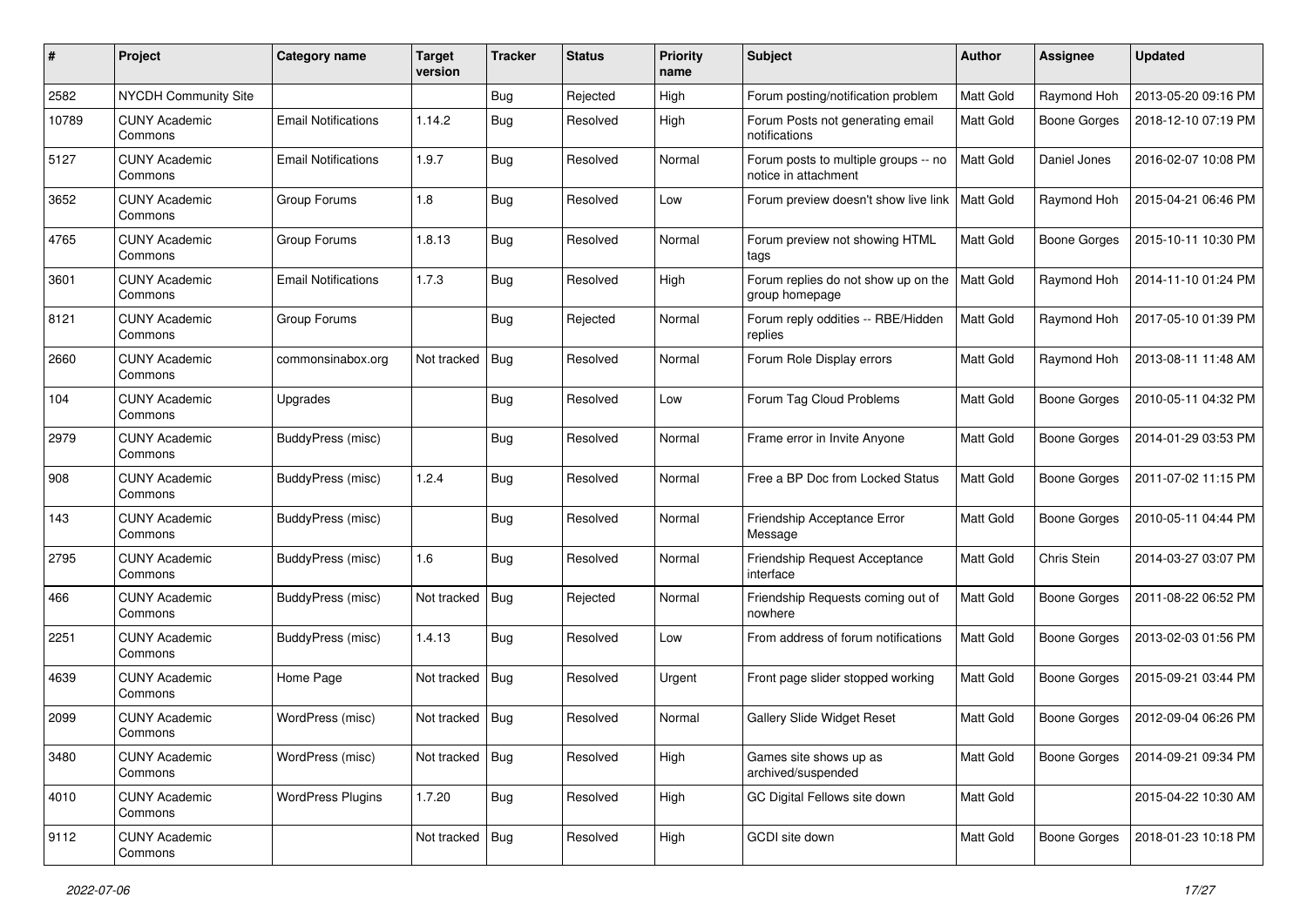| #     | Project                         | Category name              | Target<br>version | <b>Tracker</b> | <b>Status</b> | <b>Priority</b><br>name | <b>Subject</b>                                               | Author           | <b>Assignee</b>     | <b>Updated</b>      |
|-------|---------------------------------|----------------------------|-------------------|----------------|---------------|-------------------------|--------------------------------------------------------------|------------------|---------------------|---------------------|
| 2582  | <b>NYCDH Community Site</b>     |                            |                   | Bug            | Rejected      | High                    | Forum posting/notification problem                           | Matt Gold        | Raymond Hoh         | 2013-05-20 09:16 PM |
| 10789 | <b>CUNY Academic</b><br>Commons | <b>Email Notifications</b> | 1.14.2            | <b>Bug</b>     | Resolved      | High                    | Forum Posts not generating email<br>notifications            | Matt Gold        | <b>Boone Gorges</b> | 2018-12-10 07:19 PM |
| 5127  | <b>CUNY Academic</b><br>Commons | <b>Email Notifications</b> | 1.9.7             | Bug            | Resolved      | Normal                  | Forum posts to multiple groups -- no<br>notice in attachment | <b>Matt Gold</b> | Daniel Jones        | 2016-02-07 10:08 PM |
| 3652  | <b>CUNY Academic</b><br>Commons | Group Forums               | 1.8               | <b>Bug</b>     | Resolved      | Low                     | Forum preview doesn't show live link                         | <b>Matt Gold</b> | Raymond Hoh         | 2015-04-21 06:46 PM |
| 4765  | <b>CUNY Academic</b><br>Commons | Group Forums               | 1.8.13            | <b>Bug</b>     | Resolved      | Normal                  | Forum preview not showing HTML<br>tags                       | Matt Gold        | Boone Gorges        | 2015-10-11 10:30 PM |
| 3601  | <b>CUNY Academic</b><br>Commons | <b>Email Notifications</b> | 1.7.3             | Bug            | Resolved      | High                    | Forum replies do not show up on the<br>group homepage        | Matt Gold        | Raymond Hoh         | 2014-11-10 01:24 PM |
| 8121  | <b>CUNY Academic</b><br>Commons | Group Forums               |                   | Bug            | Rejected      | Normal                  | Forum reply oddities -- RBE/Hidden<br>replies                | <b>Matt Gold</b> | Raymond Hoh         | 2017-05-10 01:39 PM |
| 2660  | <b>CUNY Academic</b><br>Commons | commonsinabox.org          | Not tracked       | Bug            | Resolved      | Normal                  | Forum Role Display errors                                    | Matt Gold        | Raymond Hoh         | 2013-08-11 11:48 AM |
| 104   | CUNY Academic<br>Commons        | Upgrades                   |                   | <b>Bug</b>     | Resolved      | Low                     | Forum Tag Cloud Problems                                     | <b>Matt Gold</b> | <b>Boone Gorges</b> | 2010-05-11 04:32 PM |
| 2979  | <b>CUNY Academic</b><br>Commons | BuddyPress (misc)          |                   | Bug            | Resolved      | Normal                  | Frame error in Invite Anyone                                 | Matt Gold        | <b>Boone Gorges</b> | 2014-01-29 03:53 PM |
| 908   | <b>CUNY Academic</b><br>Commons | BuddyPress (misc)          | 1.2.4             | Bug            | Resolved      | Normal                  | Free a BP Doc from Locked Status                             | <b>Matt Gold</b> | <b>Boone Gorges</b> | 2011-07-02 11:15 PM |
| 143   | <b>CUNY Academic</b><br>Commons | BuddyPress (misc)          |                   | <b>Bug</b>     | Resolved      | Normal                  | Friendship Acceptance Error<br>Message                       | Matt Gold        | <b>Boone Gorges</b> | 2010-05-11 04:44 PM |
| 2795  | <b>CUNY Academic</b><br>Commons | BuddyPress (misc)          | 1.6               | Bug            | Resolved      | Normal                  | Friendship Request Acceptance<br>interface                   | Matt Gold        | Chris Stein         | 2014-03-27 03:07 PM |
| 466   | <b>CUNY Academic</b><br>Commons | BuddyPress (misc)          | Not tracked       | Bug            | Rejected      | Normal                  | Friendship Requests coming out of<br>nowhere                 | Matt Gold        | <b>Boone Gorges</b> | 2011-08-22 06:52 PM |
| 2251  | <b>CUNY Academic</b><br>Commons | BuddyPress (misc)          | 1.4.13            | <b>Bug</b>     | Resolved      | Low                     | From address of forum notifications                          | <b>Matt Gold</b> | <b>Boone Gorges</b> | 2013-02-03 01:56 PM |
| 4639  | CUNY Academic<br>Commons        | Home Page                  | Not tracked       | <b>Bug</b>     | Resolved      | Urgent                  | Front page slider stopped working                            | Matt Gold        | <b>Boone Gorges</b> | 2015-09-21 03:44 PM |
| 2099  | <b>CUNY Academic</b><br>Commons | WordPress (misc)           | Not tracked       | Bug            | Resolved      | Normal                  | <b>Gallery Slide Widget Reset</b>                            | Matt Gold        | <b>Boone Gorges</b> | 2012-09-04 06:26 PM |
| 3480  | <b>CUNY Academic</b><br>Commons | WordPress (misc)           | Not tracked       | Bug            | Resolved      | High                    | Games site shows up as<br>archived/suspended                 | Matt Gold        | <b>Boone Gorges</b> | 2014-09-21 09:34 PM |
| 4010  | <b>CUNY Academic</b><br>Commons | <b>WordPress Plugins</b>   | 1.7.20            | <b>Bug</b>     | Resolved      | High                    | GC Digital Fellows site down                                 | Matt Gold        |                     | 2015-04-22 10:30 AM |
| 9112  | <b>CUNY Academic</b><br>Commons |                            | Not tracked       | <b>Bug</b>     | Resolved      | High                    | GCDI site down                                               | Matt Gold        | <b>Boone Gorges</b> | 2018-01-23 10:18 PM |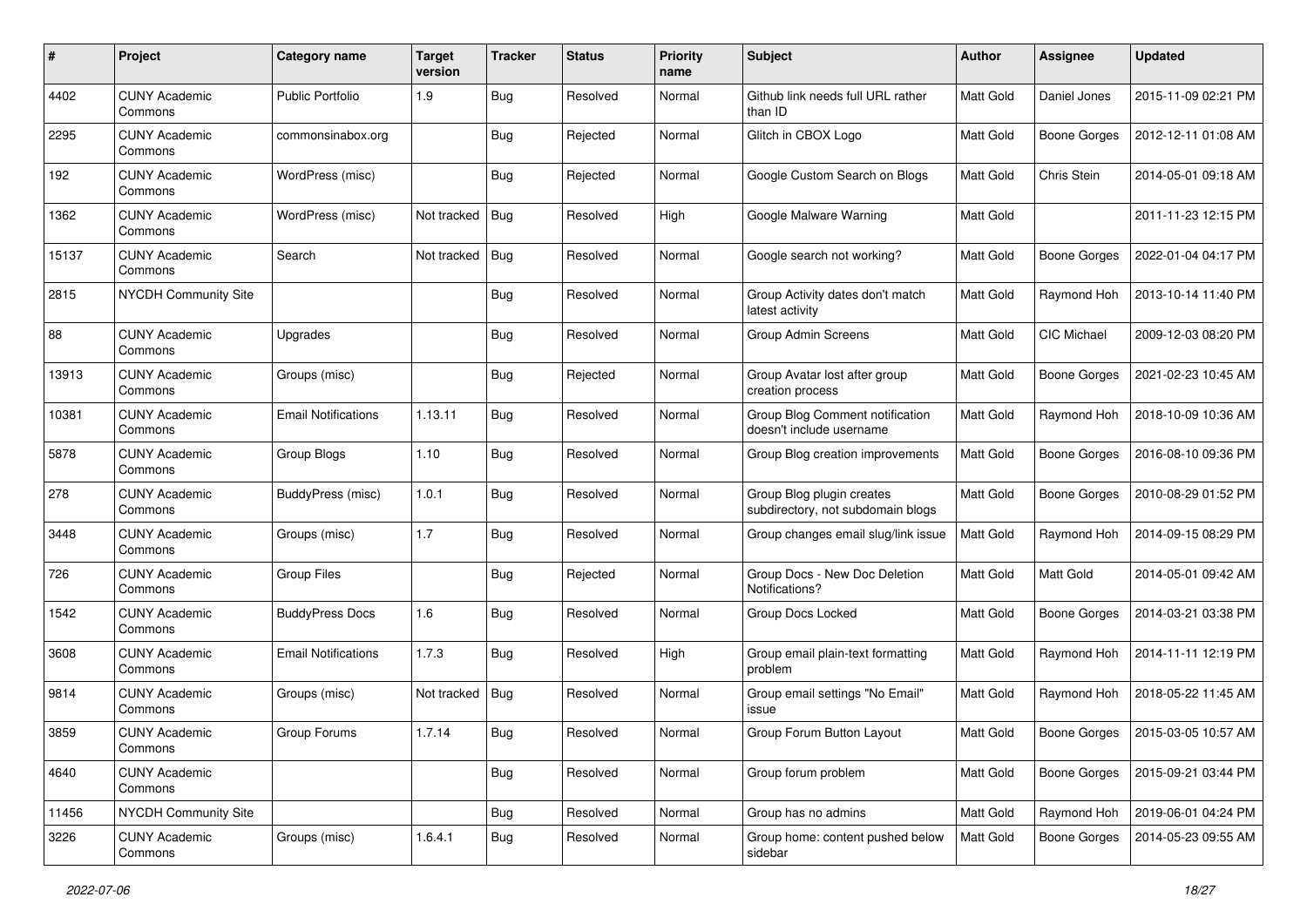| #     | Project                         | Category name              | <b>Target</b><br>version | <b>Tracker</b> | <b>Status</b> | <b>Priority</b><br>name | Subject                                                        | Author           | <b>Assignee</b>     | <b>Updated</b>      |
|-------|---------------------------------|----------------------------|--------------------------|----------------|---------------|-------------------------|----------------------------------------------------------------|------------------|---------------------|---------------------|
| 4402  | <b>CUNY Academic</b><br>Commons | <b>Public Portfolio</b>    | 1.9                      | Bug            | Resolved      | Normal                  | Github link needs full URL rather<br>than ID                   | Matt Gold        | Daniel Jones        | 2015-11-09 02:21 PM |
| 2295  | <b>CUNY Academic</b><br>Commons | commonsinabox.org          |                          | Bug            | Rejected      | Normal                  | Glitch in CBOX Logo                                            | Matt Gold        | <b>Boone Gorges</b> | 2012-12-11 01:08 AM |
| 192   | <b>CUNY Academic</b><br>Commons | WordPress (misc)           |                          | <b>Bug</b>     | Rejected      | Normal                  | Google Custom Search on Blogs                                  | <b>Matt Gold</b> | Chris Stein         | 2014-05-01 09:18 AM |
| 1362  | <b>CUNY Academic</b><br>Commons | WordPress (misc)           | Not tracked              | Bug            | Resolved      | High                    | Google Malware Warning                                         | <b>Matt Gold</b> |                     | 2011-11-23 12:15 PM |
| 15137 | <b>CUNY Academic</b><br>Commons | Search                     | Not tracked              | Bug            | Resolved      | Normal                  | Google search not working?                                     | <b>Matt Gold</b> | <b>Boone Gorges</b> | 2022-01-04 04:17 PM |
| 2815  | NYCDH Community Site            |                            |                          | Bug            | Resolved      | Normal                  | Group Activity dates don't match<br>latest activity            | Matt Gold        | Raymond Hoh         | 2013-10-14 11:40 PM |
| 88    | <b>CUNY Academic</b><br>Commons | Upgrades                   |                          | Bug            | Resolved      | Normal                  | Group Admin Screens                                            | <b>Matt Gold</b> | <b>CIC Michael</b>  | 2009-12-03 08:20 PM |
| 13913 | <b>CUNY Academic</b><br>Commons | Groups (misc)              |                          | Bug            | Rejected      | Normal                  | Group Avatar lost after group<br>creation process              | Matt Gold        | <b>Boone Gorges</b> | 2021-02-23 10:45 AM |
| 10381 | <b>CUNY Academic</b><br>Commons | <b>Email Notifications</b> | 1.13.11                  | <b>Bug</b>     | Resolved      | Normal                  | Group Blog Comment notification<br>doesn't include username    | Matt Gold        | Raymond Hoh         | 2018-10-09 10:36 AM |
| 5878  | <b>CUNY Academic</b><br>Commons | Group Blogs                | 1.10                     | <b>Bug</b>     | Resolved      | Normal                  | Group Blog creation improvements                               | Matt Gold        | <b>Boone Gorges</b> | 2016-08-10 09:36 PM |
| 278   | <b>CUNY Academic</b><br>Commons | BuddyPress (misc)          | 1.0.1                    | <b>Bug</b>     | Resolved      | Normal                  | Group Blog plugin creates<br>subdirectory, not subdomain blogs | Matt Gold        | <b>Boone Gorges</b> | 2010-08-29 01:52 PM |
| 3448  | <b>CUNY Academic</b><br>Commons | Groups (misc)              | 1.7                      | <b>Bug</b>     | Resolved      | Normal                  | Group changes email slug/link issue                            | Matt Gold        | Raymond Hoh         | 2014-09-15 08:29 PM |
| 726   | <b>CUNY Academic</b><br>Commons | <b>Group Files</b>         |                          | Bug            | Rejected      | Normal                  | Group Docs - New Doc Deletion<br>Notifications?                | Matt Gold        | Matt Gold           | 2014-05-01 09:42 AM |
| 1542  | <b>CUNY Academic</b><br>Commons | <b>BuddyPress Docs</b>     | 1.6                      | Bug            | Resolved      | Normal                  | Group Docs Locked                                              | <b>Matt Gold</b> | <b>Boone Gorges</b> | 2014-03-21 03:38 PM |
| 3608  | <b>CUNY Academic</b><br>Commons | <b>Email Notifications</b> | 1.7.3                    | Bug            | Resolved      | High                    | Group email plain-text formatting<br>problem                   | Matt Gold        | Raymond Hoh         | 2014-11-11 12:19 PM |
| 9814  | <b>CUNY Academic</b><br>Commons | Groups (misc)              | Not tracked              | Bug            | Resolved      | Normal                  | Group email settings "No Email"<br>issue                       | Matt Gold        | Raymond Hoh         | 2018-05-22 11:45 AM |
| 3859  | <b>CUNY Academic</b><br>Commons | Group Forums               | 1.7.14                   | Bug            | Resolved      | Normal                  | Group Forum Button Layout                                      | Matt Gold        | <b>Boone Gorges</b> | 2015-03-05 10:57 AM |
| 4640  | <b>CUNY Academic</b><br>Commons |                            |                          | <b>Bug</b>     | Resolved      | Normal                  | Group forum problem                                            | Matt Gold        | Boone Gorges        | 2015-09-21 03:44 PM |
| 11456 | NYCDH Community Site            |                            |                          | Bug            | Resolved      | Normal                  | Group has no admins                                            | Matt Gold        | Raymond Hoh         | 2019-06-01 04:24 PM |
| 3226  | <b>CUNY Academic</b><br>Commons | Groups (misc)              | 1.6.4.1                  | Bug            | Resolved      | Normal                  | Group home: content pushed below<br>sidebar                    | Matt Gold        | <b>Boone Gorges</b> | 2014-05-23 09:55 AM |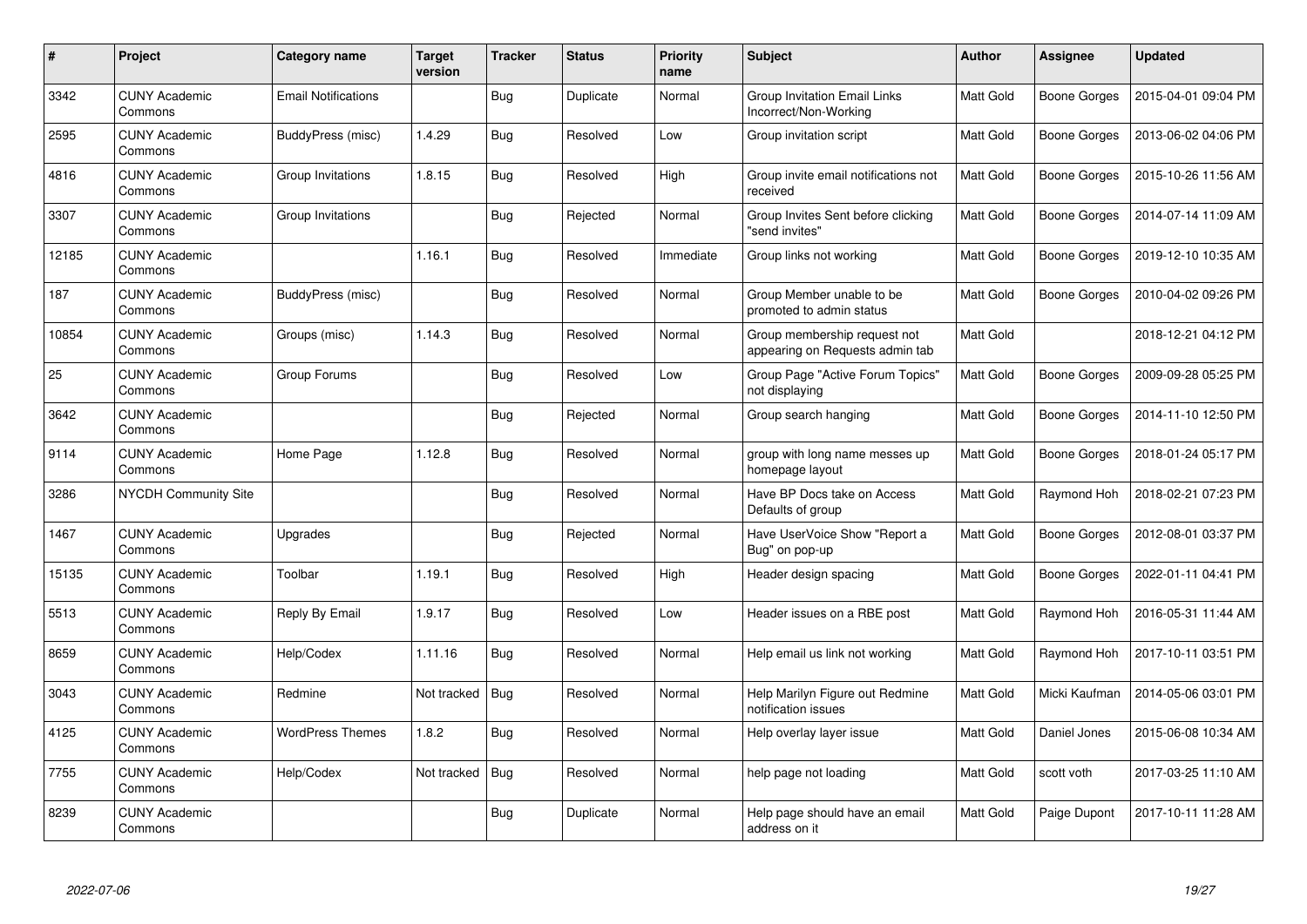| $\#$  | Project                         | Category name              | <b>Target</b><br>version | <b>Tracker</b> | <b>Status</b> | <b>Priority</b><br>name | <b>Subject</b>                                                  | <b>Author</b>    | Assignee            | <b>Updated</b>      |
|-------|---------------------------------|----------------------------|--------------------------|----------------|---------------|-------------------------|-----------------------------------------------------------------|------------------|---------------------|---------------------|
| 3342  | <b>CUNY Academic</b><br>Commons | <b>Email Notifications</b> |                          | <b>Bug</b>     | Duplicate     | Normal                  | <b>Group Invitation Email Links</b><br>Incorrect/Non-Working    | Matt Gold        | Boone Gorges        | 2015-04-01 09:04 PM |
| 2595  | <b>CUNY Academic</b><br>Commons | BuddyPress (misc)          | 1.4.29                   | Bug            | Resolved      | Low                     | Group invitation script                                         | <b>Matt Gold</b> | <b>Boone Gorges</b> | 2013-06-02 04:06 PM |
| 4816  | <b>CUNY Academic</b><br>Commons | Group Invitations          | 1.8.15                   | Bug            | Resolved      | High                    | Group invite email notifications not<br>received                | Matt Gold        | <b>Boone Gorges</b> | 2015-10-26 11:56 AM |
| 3307  | <b>CUNY Academic</b><br>Commons | Group Invitations          |                          | <b>Bug</b>     | Rejected      | Normal                  | Group Invites Sent before clicking<br>"send invites"            | Matt Gold        | <b>Boone Gorges</b> | 2014-07-14 11:09 AM |
| 12185 | <b>CUNY Academic</b><br>Commons |                            | 1.16.1                   | Bug            | Resolved      | Immediate               | Group links not working                                         | Matt Gold        | Boone Gorges        | 2019-12-10 10:35 AM |
| 187   | <b>CUNY Academic</b><br>Commons | BuddyPress (misc)          |                          | Bug            | Resolved      | Normal                  | Group Member unable to be<br>promoted to admin status           | Matt Gold        | Boone Gorges        | 2010-04-02 09:26 PM |
| 10854 | <b>CUNY Academic</b><br>Commons | Groups (misc)              | 1.14.3                   | Bug            | Resolved      | Normal                  | Group membership request not<br>appearing on Requests admin tab | Matt Gold        |                     | 2018-12-21 04:12 PM |
| 25    | <b>CUNY Academic</b><br>Commons | Group Forums               |                          | <b>Bug</b>     | Resolved      | Low                     | Group Page "Active Forum Topics"<br>not displaying              | Matt Gold        | Boone Gorges        | 2009-09-28 05:25 PM |
| 3642  | <b>CUNY Academic</b><br>Commons |                            |                          | <b>Bug</b>     | Rejected      | Normal                  | Group search hanging                                            | Matt Gold        | <b>Boone Gorges</b> | 2014-11-10 12:50 PM |
| 9114  | <b>CUNY Academic</b><br>Commons | Home Page                  | 1.12.8                   | Bug            | Resolved      | Normal                  | group with long name messes up<br>homepage layout               | <b>Matt Gold</b> | Boone Gorges        | 2018-01-24 05:17 PM |
| 3286  | <b>NYCDH Community Site</b>     |                            |                          | <b>Bug</b>     | Resolved      | Normal                  | Have BP Docs take on Access<br>Defaults of group                | Matt Gold        | Raymond Hoh         | 2018-02-21 07:23 PM |
| 1467  | <b>CUNY Academic</b><br>Commons | Upgrades                   |                          | Bug            | Rejected      | Normal                  | Have UserVoice Show "Report a<br>Bug" on pop-up                 | Matt Gold        | Boone Gorges        | 2012-08-01 03:37 PM |
| 15135 | <b>CUNY Academic</b><br>Commons | Toolbar                    | 1.19.1                   | Bug            | Resolved      | High                    | Header design spacing                                           | Matt Gold        | Boone Gorges        | 2022-01-11 04:41 PM |
| 5513  | <b>CUNY Academic</b><br>Commons | Reply By Email             | 1.9.17                   | Bug            | Resolved      | Low                     | Header issues on a RBE post                                     | Matt Gold        | Raymond Hoh         | 2016-05-31 11:44 AM |
| 8659  | <b>CUNY Academic</b><br>Commons | Help/Codex                 | 1.11.16                  | <b>Bug</b>     | Resolved      | Normal                  | Help email us link not working                                  | Matt Gold        | Raymond Hoh         | 2017-10-11 03:51 PM |
| 3043  | <b>CUNY Academic</b><br>Commons | Redmine                    | Not tracked              | Bug            | Resolved      | Normal                  | Help Marilyn Figure out Redmine<br>notification issues          | Matt Gold        | Micki Kaufman       | 2014-05-06 03:01 PM |
| 4125  | <b>CUNY Academic</b><br>Commons | <b>WordPress Themes</b>    | 1.8.2                    | Bug            | Resolved      | Normal                  | Help overlay layer issue                                        | Matt Gold        | Daniel Jones        | 2015-06-08 10:34 AM |
| 7755  | <b>CUNY Academic</b><br>Commons | Help/Codex                 | Not tracked              | Bug            | Resolved      | Normal                  | help page not loading                                           | Matt Gold        | scott voth          | 2017-03-25 11:10 AM |
| 8239  | <b>CUNY Academic</b><br>Commons |                            |                          | <b>Bug</b>     | Duplicate     | Normal                  | Help page should have an email<br>address on it                 | Matt Gold        | Paige Dupont        | 2017-10-11 11:28 AM |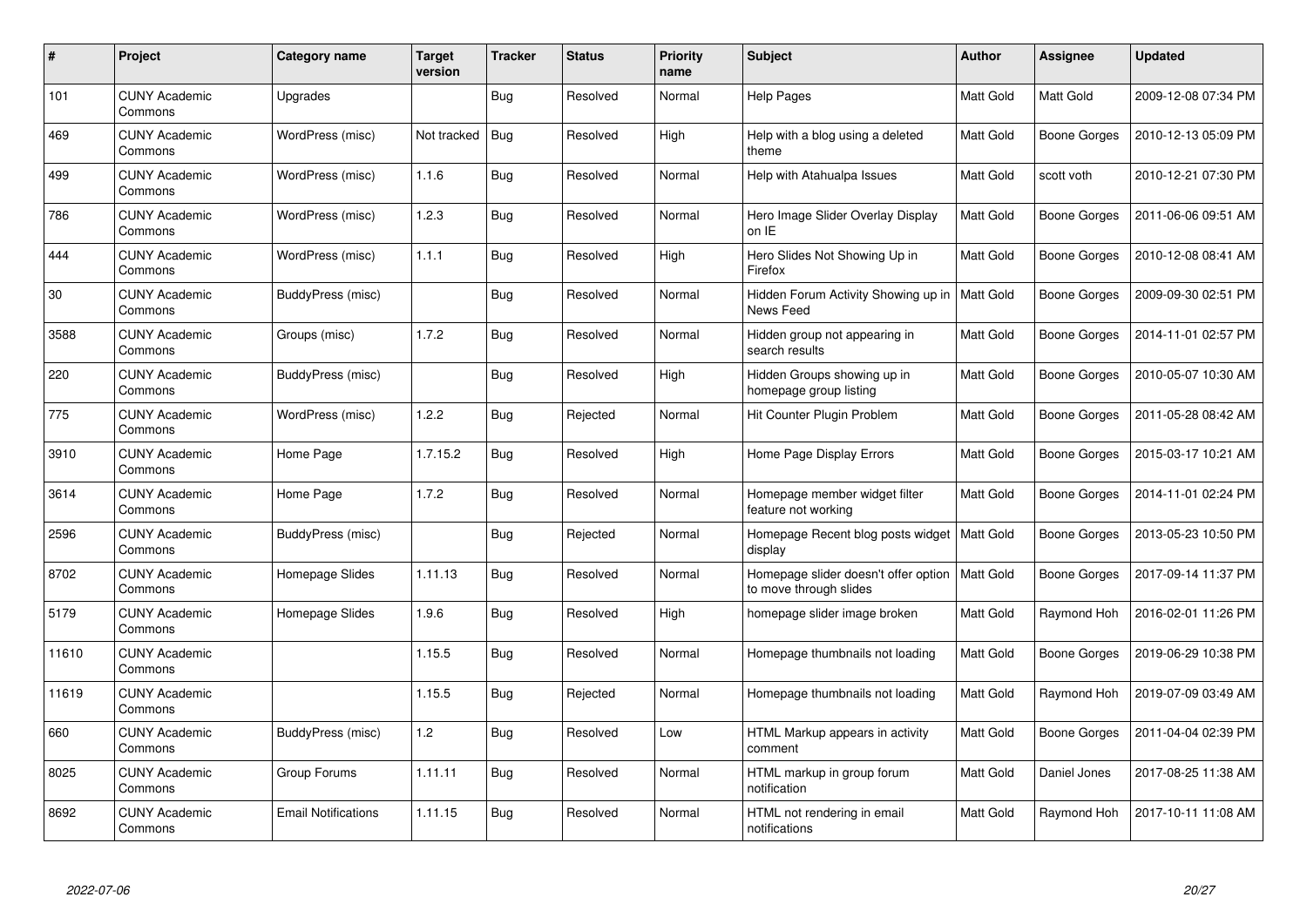| $\#$  | <b>Project</b>                  | Category name              | <b>Target</b><br>version | <b>Tracker</b> | <b>Status</b> | <b>Priority</b><br>name | <b>Subject</b>                                                             | <b>Author</b>    | Assignee            | <b>Updated</b>      |
|-------|---------------------------------|----------------------------|--------------------------|----------------|---------------|-------------------------|----------------------------------------------------------------------------|------------------|---------------------|---------------------|
| 101   | <b>CUNY Academic</b><br>Commons | Upgrades                   |                          | <b>Bug</b>     | Resolved      | Normal                  | <b>Help Pages</b>                                                          | Matt Gold        | Matt Gold           | 2009-12-08 07:34 PM |
| 469   | <b>CUNY Academic</b><br>Commons | WordPress (misc)           | Not tracked              | <b>Bug</b>     | Resolved      | High                    | Help with a blog using a deleted<br>theme                                  | <b>Matt Gold</b> | <b>Boone Gorges</b> | 2010-12-13 05:09 PM |
| 499   | <b>CUNY Academic</b><br>Commons | WordPress (misc)           | 1.1.6                    | Bug            | Resolved      | Normal                  | Help with Atahualpa Issues                                                 | Matt Gold        | scott voth          | 2010-12-21 07:30 PM |
| 786   | <b>CUNY Academic</b><br>Commons | WordPress (misc)           | 1.2.3                    | Bug            | Resolved      | Normal                  | Hero Image Slider Overlay Display<br>on IE                                 | Matt Gold        | <b>Boone Gorges</b> | 2011-06-06 09:51 AM |
| 444   | <b>CUNY Academic</b><br>Commons | WordPress (misc)           | 1.1.1                    | <b>Bug</b>     | Resolved      | High                    | Hero Slides Not Showing Up in<br>Firefox                                   | Matt Gold        | Boone Gorges        | 2010-12-08 08:41 AM |
| 30    | <b>CUNY Academic</b><br>Commons | BuddyPress (misc)          |                          | Bug            | Resolved      | Normal                  | Hidden Forum Activity Showing up in<br>News Feed                           | <b>Matt Gold</b> | Boone Gorges        | 2009-09-30 02:51 PM |
| 3588  | <b>CUNY Academic</b><br>Commons | Groups (misc)              | 1.7.2                    | <b>Bug</b>     | Resolved      | Normal                  | Hidden group not appearing in<br>search results                            | Matt Gold        | <b>Boone Gorges</b> | 2014-11-01 02:57 PM |
| 220   | <b>CUNY Academic</b><br>Commons | BuddyPress (misc)          |                          | Bug            | Resolved      | High                    | Hidden Groups showing up in<br>homepage group listing                      | Matt Gold        | Boone Gorges        | 2010-05-07 10:30 AM |
| 775   | <b>CUNY Academic</b><br>Commons | WordPress (misc)           | 1.2.2                    | Bug            | Rejected      | Normal                  | Hit Counter Plugin Problem                                                 | Matt Gold        | <b>Boone Gorges</b> | 2011-05-28 08:42 AM |
| 3910  | <b>CUNY Academic</b><br>Commons | Home Page                  | 1.7.15.2                 | Bug            | Resolved      | High                    | Home Page Display Errors                                                   | Matt Gold        | Boone Gorges        | 2015-03-17 10:21 AM |
| 3614  | <b>CUNY Academic</b><br>Commons | Home Page                  | 1.7.2                    | Bug            | Resolved      | Normal                  | Homepage member widget filter<br>feature not working                       | Matt Gold        | <b>Boone Gorges</b> | 2014-11-01 02:24 PM |
| 2596  | <b>CUNY Academic</b><br>Commons | BuddyPress (misc)          |                          | Bug            | Rejected      | Normal                  | Homepage Recent blog posts widget<br>display                               | Matt Gold        | Boone Gorges        | 2013-05-23 10:50 PM |
| 8702  | <b>CUNY Academic</b><br>Commons | Homepage Slides            | 1.11.13                  | Bug            | Resolved      | Normal                  | Homepage slider doesn't offer option   Matt Gold<br>to move through slides |                  | Boone Gorges        | 2017-09-14 11:37 PM |
| 5179  | <b>CUNY Academic</b><br>Commons | Homepage Slides            | 1.9.6                    | <b>Bug</b>     | Resolved      | High                    | homepage slider image broken                                               | Matt Gold        | Raymond Hoh         | 2016-02-01 11:26 PM |
| 11610 | <b>CUNY Academic</b><br>Commons |                            | 1.15.5                   | Bug            | Resolved      | Normal                  | Homepage thumbnails not loading                                            | Matt Gold        | Boone Gorges        | 2019-06-29 10:38 PM |
| 11619 | <b>CUNY Academic</b><br>Commons |                            | 1.15.5                   | <b>Bug</b>     | Rejected      | Normal                  | Homepage thumbnails not loading                                            | Matt Gold        | Raymond Hoh         | 2019-07-09 03:49 AM |
| 660   | <b>CUNY Academic</b><br>Commons | BuddyPress (misc)          | 1.2                      | <b>Bug</b>     | Resolved      | Low                     | HTML Markup appears in activity<br>comment                                 | Matt Gold        | <b>Boone Gorges</b> | 2011-04-04 02:39 PM |
| 8025  | <b>CUNY Academic</b><br>Commons | Group Forums               | 1.11.11                  | Bug            | Resolved      | Normal                  | HTML markup in group forum<br>notification                                 | Matt Gold        | Daniel Jones        | 2017-08-25 11:38 AM |
| 8692  | <b>CUNY Academic</b><br>Commons | <b>Email Notifications</b> | 1.11.15                  | Bug            | Resolved      | Normal                  | HTML not rendering in email<br>notifications                               | <b>Matt Gold</b> | Raymond Hoh         | 2017-10-11 11:08 AM |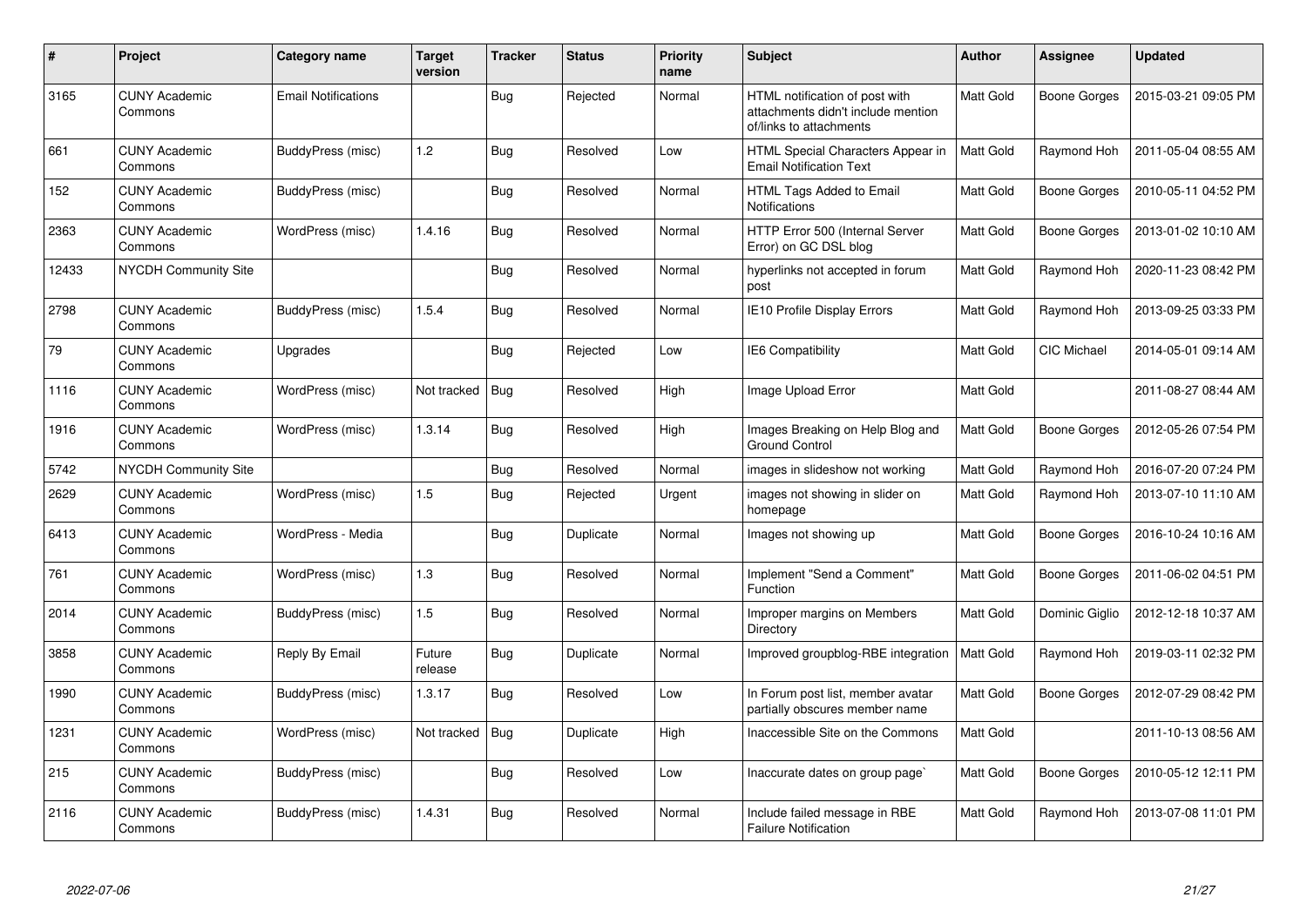| #     | Project                         | Category name              | Target<br>version | <b>Tracker</b> | <b>Status</b> | <b>Priority</b><br>name | Subject                                                                                         | Author           | Assignee            | <b>Updated</b>      |
|-------|---------------------------------|----------------------------|-------------------|----------------|---------------|-------------------------|-------------------------------------------------------------------------------------------------|------------------|---------------------|---------------------|
| 3165  | <b>CUNY Academic</b><br>Commons | <b>Email Notifications</b> |                   | <b>Bug</b>     | Rejected      | Normal                  | HTML notification of post with<br>attachments didn't include mention<br>of/links to attachments | Matt Gold        | <b>Boone Gorges</b> | 2015-03-21 09:05 PM |
| 661   | <b>CUNY Academic</b><br>Commons | <b>BuddyPress (misc)</b>   | 1.2               | <b>Bug</b>     | Resolved      | Low                     | HTML Special Characters Appear in<br><b>Email Notification Text</b>                             | Matt Gold        | Raymond Hoh         | 2011-05-04 08:55 AM |
| 152   | <b>CUNY Academic</b><br>Commons | BuddyPress (misc)          |                   | <b>Bug</b>     | Resolved      | Normal                  | HTML Tags Added to Email<br>Notifications                                                       | Matt Gold        | <b>Boone Gorges</b> | 2010-05-11 04:52 PM |
| 2363  | <b>CUNY Academic</b><br>Commons | WordPress (misc)           | 1.4.16            | <b>Bug</b>     | Resolved      | Normal                  | HTTP Error 500 (Internal Server<br>Error) on GC DSL blog                                        | Matt Gold        | <b>Boone Gorges</b> | 2013-01-02 10:10 AM |
| 12433 | NYCDH Community Site            |                            |                   | Bug            | Resolved      | Normal                  | hyperlinks not accepted in forum<br>post                                                        | Matt Gold        | Raymond Hoh         | 2020-11-23 08:42 PM |
| 2798  | <b>CUNY Academic</b><br>Commons | <b>BuddyPress (misc)</b>   | 1.5.4             | <b>Bug</b>     | Resolved      | Normal                  | IE10 Profile Display Errors                                                                     | Matt Gold        | Raymond Hoh         | 2013-09-25 03:33 PM |
| 79    | <b>CUNY Academic</b><br>Commons | Upgrades                   |                   | Bug            | Rejected      | Low                     | <b>IE6 Compatibility</b>                                                                        | <b>Matt Gold</b> | CIC Michael         | 2014-05-01 09:14 AM |
| 1116  | <b>CUNY Academic</b><br>Commons | WordPress (misc)           | Not tracked       | Bug            | Resolved      | High                    | Image Upload Error                                                                              | Matt Gold        |                     | 2011-08-27 08:44 AM |
| 1916  | <b>CUNY Academic</b><br>Commons | WordPress (misc)           | 1.3.14            | Bug            | Resolved      | High                    | Images Breaking on Help Blog and<br><b>Ground Control</b>                                       | Matt Gold        | <b>Boone Gorges</b> | 2012-05-26 07:54 PM |
| 5742  | <b>NYCDH Community Site</b>     |                            |                   | Bug            | Resolved      | Normal                  | images in slideshow not working                                                                 | Matt Gold        | Raymond Hoh         | 2016-07-20 07:24 PM |
| 2629  | <b>CUNY Academic</b><br>Commons | WordPress (misc)           | 1.5               | <b>Bug</b>     | Rejected      | Urgent                  | images not showing in slider on<br>homepage                                                     | Matt Gold        | Raymond Hoh         | 2013-07-10 11:10 AM |
| 6413  | <b>CUNY Academic</b><br>Commons | WordPress - Media          |                   | Bug            | Duplicate     | Normal                  | Images not showing up                                                                           | Matt Gold        | Boone Gorges        | 2016-10-24 10:16 AM |
| 761   | <b>CUNY Academic</b><br>Commons | WordPress (misc)           | 1.3               | Bug            | Resolved      | Normal                  | Implement "Send a Comment"<br><b>Function</b>                                                   | <b>Matt Gold</b> | Boone Gorges        | 2011-06-02 04:51 PM |
| 2014  | <b>CUNY Academic</b><br>Commons | BuddyPress (misc)          | 1.5               | Bug            | Resolved      | Normal                  | Improper margins on Members<br>Directory                                                        | Matt Gold        | Dominic Giglio      | 2012-12-18 10:37 AM |
| 3858  | <b>CUNY Academic</b><br>Commons | Reply By Email             | Future<br>release | <b>Bug</b>     | Duplicate     | Normal                  | Improved groupblog-RBE integration                                                              | Matt Gold        | Raymond Hoh         | 2019-03-11 02:32 PM |
| 1990  | <b>CUNY Academic</b><br>Commons | BuddyPress (misc)          | 1.3.17            | <b>Bug</b>     | Resolved      | Low                     | In Forum post list, member avatar<br>partially obscures member name                             | Matt Gold        | <b>Boone Gorges</b> | 2012-07-29 08:42 PM |
| 1231  | <b>CUNY Academic</b><br>Commons | WordPress (misc)           | Not tracked       | <b>Bug</b>     | Duplicate     | High                    | Inaccessible Site on the Commons                                                                | Matt Gold        |                     | 2011-10-13 08:56 AM |
| 215   | <b>CUNY Academic</b><br>Commons | BuddyPress (misc)          |                   | Bug            | Resolved      | Low                     | Inaccurate dates on group page`                                                                 | Matt Gold        | <b>Boone Gorges</b> | 2010-05-12 12:11 PM |
| 2116  | <b>CUNY Academic</b><br>Commons | BuddyPress (misc)          | 1.4.31            | <b>Bug</b>     | Resolved      | Normal                  | Include failed message in RBE<br><b>Failure Notification</b>                                    | Matt Gold        | Raymond Hoh         | 2013-07-08 11:01 PM |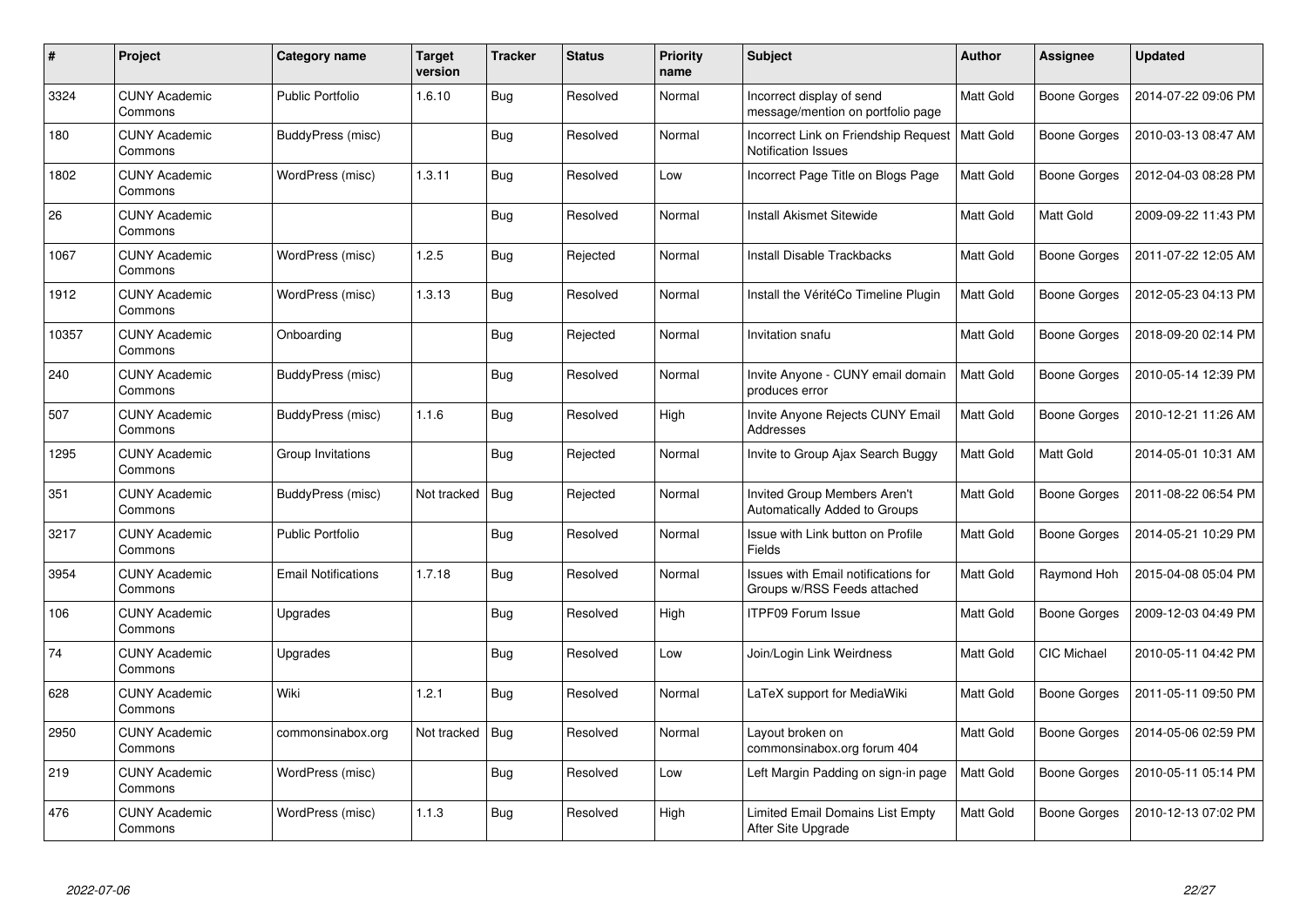| $\#$  | Project                         | Category name              | <b>Target</b><br>version | <b>Tracker</b> | <b>Status</b> | <b>Priority</b><br>name | <b>Subject</b>                                                     | <b>Author</b>    | Assignee            | <b>Updated</b>      |
|-------|---------------------------------|----------------------------|--------------------------|----------------|---------------|-------------------------|--------------------------------------------------------------------|------------------|---------------------|---------------------|
| 3324  | <b>CUNY Academic</b><br>Commons | <b>Public Portfolio</b>    | 1.6.10                   | <b>Bug</b>     | Resolved      | Normal                  | Incorrect display of send<br>message/mention on portfolio page     | Matt Gold        | Boone Gorges        | 2014-07-22 09:06 PM |
| 180   | <b>CUNY Academic</b><br>Commons | BuddyPress (misc)          |                          | <b>Bug</b>     | Resolved      | Normal                  | Incorrect Link on Friendship Request<br><b>Notification Issues</b> | <b>Matt Gold</b> | Boone Gorges        | 2010-03-13 08:47 AM |
| 1802  | <b>CUNY Academic</b><br>Commons | WordPress (misc)           | 1.3.11                   | Bug            | Resolved      | Low                     | Incorrect Page Title on Blogs Page                                 | Matt Gold        | <b>Boone Gorges</b> | 2012-04-03 08:28 PM |
| 26    | <b>CUNY Academic</b><br>Commons |                            |                          | Bug            | Resolved      | Normal                  | <b>Install Akismet Sitewide</b>                                    | Matt Gold        | Matt Gold           | 2009-09-22 11:43 PM |
| 1067  | <b>CUNY Academic</b><br>Commons | WordPress (misc)           | 1.2.5                    | <b>Bug</b>     | Rejected      | Normal                  | Install Disable Trackbacks                                         | Matt Gold        | Boone Gorges        | 2011-07-22 12:05 AM |
| 1912  | <b>CUNY Academic</b><br>Commons | WordPress (misc)           | 1.3.13                   | <b>Bug</b>     | Resolved      | Normal                  | Install the VéritéCo Timeline Plugin                               | <b>Matt Gold</b> | Boone Gorges        | 2012-05-23 04:13 PM |
| 10357 | <b>CUNY Academic</b><br>Commons | Onboarding                 |                          | <b>Bug</b>     | Rejected      | Normal                  | Invitation snafu                                                   | Matt Gold        | <b>Boone Gorges</b> | 2018-09-20 02:14 PM |
| 240   | <b>CUNY Academic</b><br>Commons | BuddyPress (misc)          |                          | <b>Bug</b>     | Resolved      | Normal                  | Invite Anyone - CUNY email domain<br>produces error                | Matt Gold        | Boone Gorges        | 2010-05-14 12:39 PM |
| 507   | <b>CUNY Academic</b><br>Commons | BuddyPress (misc)          | 1.1.6                    | <b>Bug</b>     | Resolved      | High                    | Invite Anyone Rejects CUNY Email<br>Addresses                      | Matt Gold        | <b>Boone Gorges</b> | 2010-12-21 11:26 AM |
| 1295  | <b>CUNY Academic</b><br>Commons | Group Invitations          |                          | Bug            | Rejected      | Normal                  | Invite to Group Ajax Search Buggy                                  | Matt Gold        | Matt Gold           | 2014-05-01 10:31 AM |
| 351   | <b>CUNY Academic</b><br>Commons | BuddyPress (misc)          | Not tracked              | Bug            | Rejected      | Normal                  | Invited Group Members Aren't<br>Automatically Added to Groups      | Matt Gold        | <b>Boone Gorges</b> | 2011-08-22 06:54 PM |
| 3217  | <b>CUNY Academic</b><br>Commons | <b>Public Portfolio</b>    |                          | Bug            | Resolved      | Normal                  | Issue with Link button on Profile<br><b>Fields</b>                 | Matt Gold        | <b>Boone Gorges</b> | 2014-05-21 10:29 PM |
| 3954  | <b>CUNY Academic</b><br>Commons | <b>Email Notifications</b> | 1.7.18                   | <b>Bug</b>     | Resolved      | Normal                  | Issues with Email notifications for<br>Groups w/RSS Feeds attached | Matt Gold        | Raymond Hoh         | 2015-04-08 05:04 PM |
| 106   | <b>CUNY Academic</b><br>Commons | Upgrades                   |                          | <b>Bug</b>     | Resolved      | High                    | <b>ITPF09 Forum Issue</b>                                          | Matt Gold        | Boone Gorges        | 2009-12-03 04:49 PM |
| 74    | <b>CUNY Academic</b><br>Commons | Upgrades                   |                          | <b>Bug</b>     | Resolved      | Low                     | Join/Login Link Weirdness                                          | Matt Gold        | CIC Michael         | 2010-05-11 04:42 PM |
| 628   | <b>CUNY Academic</b><br>Commons | Wiki                       | 1.2.1                    | Bug            | Resolved      | Normal                  | LaTeX support for MediaWiki                                        | Matt Gold        | Boone Gorges        | 2011-05-11 09:50 PM |
| 2950  | <b>CUNY Academic</b><br>Commons | commonsinabox.org          | Not tracked              | Bug            | Resolved      | Normal                  | Layout broken on<br>commonsinabox.org forum 404                    | Matt Gold        | Boone Gorges        | 2014-05-06 02:59 PM |
| 219   | <b>CUNY Academic</b><br>Commons | WordPress (misc)           |                          | Bug            | Resolved      | Low                     | Left Margin Padding on sign-in page                                | Matt Gold        | Boone Gorges        | 2010-05-11 05:14 PM |
| 476   | <b>CUNY Academic</b><br>Commons | WordPress (misc)           | 1.1.3                    | Bug            | Resolved      | High                    | Limited Email Domains List Empty<br>After Site Upgrade             | <b>Matt Gold</b> | <b>Boone Gorges</b> | 2010-12-13 07:02 PM |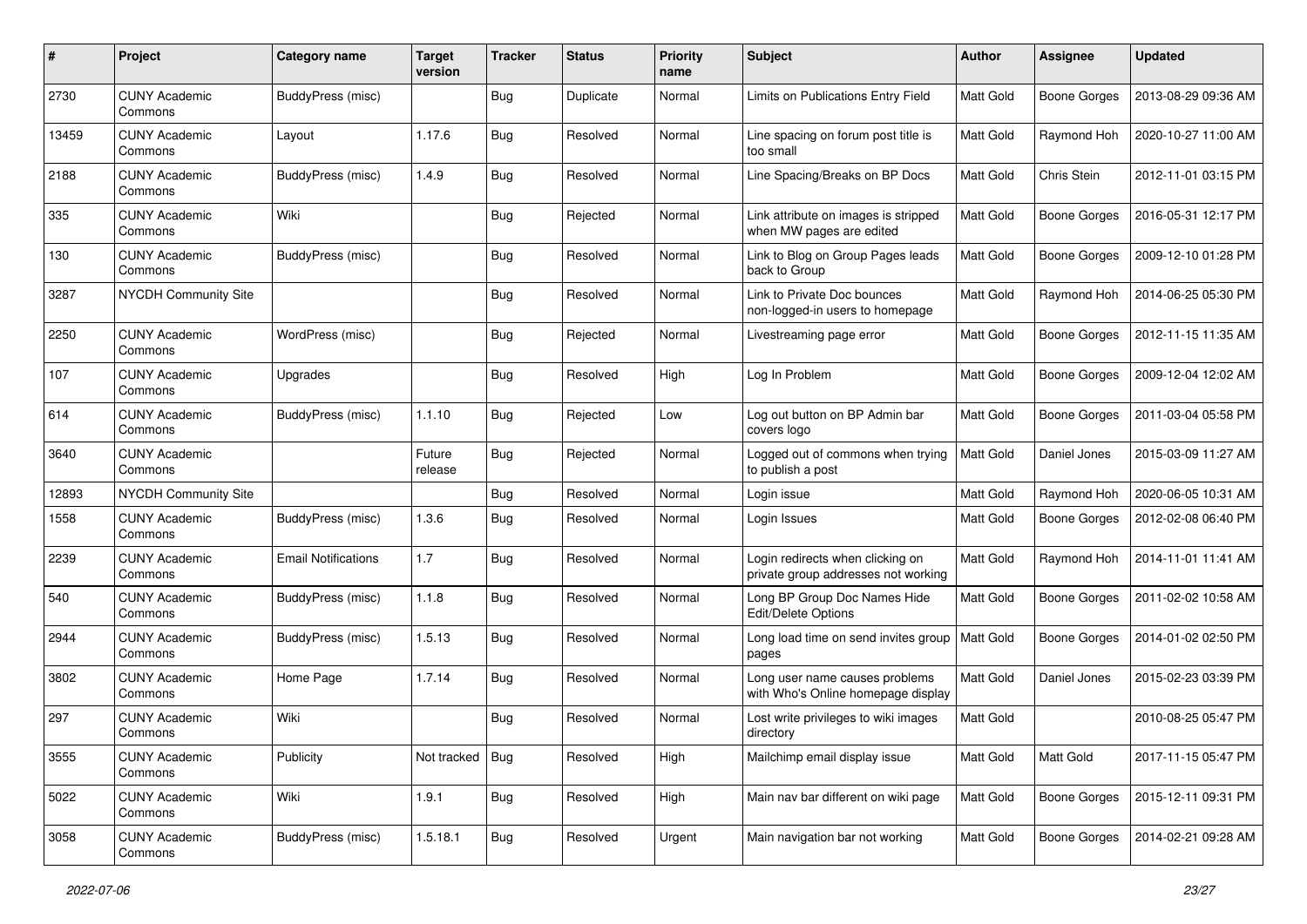| $\#$  | Project                         | Category name              | <b>Target</b><br>version | <b>Tracker</b> | <b>Status</b> | <b>Priority</b><br>name | Subject                                                                 | Author    | Assignee            | <b>Updated</b>      |
|-------|---------------------------------|----------------------------|--------------------------|----------------|---------------|-------------------------|-------------------------------------------------------------------------|-----------|---------------------|---------------------|
| 2730  | <b>CUNY Academic</b><br>Commons | BuddyPress (misc)          |                          | <b>Bug</b>     | Duplicate     | Normal                  | Limits on Publications Entry Field                                      | Matt Gold | <b>Boone Gorges</b> | 2013-08-29 09:36 AM |
| 13459 | <b>CUNY Academic</b><br>Commons | Layout                     | 1.17.6                   | <b>Bug</b>     | Resolved      | Normal                  | Line spacing on forum post title is<br>too small                        | Matt Gold | Raymond Hoh         | 2020-10-27 11:00 AM |
| 2188  | <b>CUNY Academic</b><br>Commons | BuddyPress (misc)          | 1.4.9                    | <b>Bug</b>     | Resolved      | Normal                  | Line Spacing/Breaks on BP Docs                                          | Matt Gold | Chris Stein         | 2012-11-01 03:15 PM |
| 335   | <b>CUNY Academic</b><br>Commons | Wiki                       |                          | Bug            | Rejected      | Normal                  | Link attribute on images is stripped<br>when MW pages are edited        | Matt Gold | <b>Boone Gorges</b> | 2016-05-31 12:17 PM |
| 130   | <b>CUNY Academic</b><br>Commons | BuddyPress (misc)          |                          | Bug            | Resolved      | Normal                  | Link to Blog on Group Pages leads<br>back to Group                      | Matt Gold | <b>Boone Gorges</b> | 2009-12-10 01:28 PM |
| 3287  | NYCDH Community Site            |                            |                          | Bug            | Resolved      | Normal                  | Link to Private Doc bounces<br>non-logged-in users to homepage          | Matt Gold | Raymond Hoh         | 2014-06-25 05:30 PM |
| 2250  | <b>CUNY Academic</b><br>Commons | WordPress (misc)           |                          | Bug            | Rejected      | Normal                  | Livestreaming page error                                                | Matt Gold | <b>Boone Gorges</b> | 2012-11-15 11:35 AM |
| 107   | <b>CUNY Academic</b><br>Commons | Upgrades                   |                          | <b>Bug</b>     | Resolved      | High                    | Log In Problem                                                          | Matt Gold | <b>Boone Gorges</b> | 2009-12-04 12:02 AM |
| 614   | <b>CUNY Academic</b><br>Commons | BuddyPress (misc)          | 1.1.10                   | Bug            | Rejected      | Low                     | Log out button on BP Admin bar<br>covers logo                           | Matt Gold | <b>Boone Gorges</b> | 2011-03-04 05:58 PM |
| 3640  | <b>CUNY Academic</b><br>Commons |                            | Future<br>release        | <b>Bug</b>     | Rejected      | Normal                  | Logged out of commons when trying<br>to publish a post                  | Matt Gold | Daniel Jones        | 2015-03-09 11:27 AM |
| 12893 | <b>NYCDH Community Site</b>     |                            |                          | <b>Bug</b>     | Resolved      | Normal                  | Login issue                                                             | Matt Gold | Raymond Hoh         | 2020-06-05 10:31 AM |
| 1558  | <b>CUNY Academic</b><br>Commons | BuddyPress (misc)          | 1.3.6                    | Bug            | Resolved      | Normal                  | Login Issues                                                            | Matt Gold | <b>Boone Gorges</b> | 2012-02-08 06:40 PM |
| 2239  | <b>CUNY Academic</b><br>Commons | <b>Email Notifications</b> | 1.7                      | <b>Bug</b>     | Resolved      | Normal                  | Login redirects when clicking on<br>private group addresses not working | Matt Gold | Raymond Hoh         | 2014-11-01 11:41 AM |
| 540   | <b>CUNY Academic</b><br>Commons | BuddyPress (misc)          | 1.1.8                    | <b>Bug</b>     | Resolved      | Normal                  | Long BP Group Doc Names Hide<br>Edit/Delete Options                     | Matt Gold | <b>Boone Gorges</b> | 2011-02-02 10:58 AM |
| 2944  | <b>CUNY Academic</b><br>Commons | BuddyPress (misc)          | 1.5.13                   | <b>Bug</b>     | Resolved      | Normal                  | Long load time on send invites group<br>pages                           | Matt Gold | <b>Boone Gorges</b> | 2014-01-02 02:50 PM |
| 3802  | <b>CUNY Academic</b><br>Commons | Home Page                  | 1.7.14                   | <b>Bug</b>     | Resolved      | Normal                  | Long user name causes problems<br>with Who's Online homepage display    | Matt Gold | Daniel Jones        | 2015-02-23 03:39 PM |
| 297   | <b>CUNY Academic</b><br>Commons | Wiki                       |                          | Bug            | Resolved      | Normal                  | Lost write privileges to wiki images<br>directory                       | Matt Gold |                     | 2010-08-25 05:47 PM |
| 3555  | <b>CUNY Academic</b><br>Commons | Publicity                  | Not tracked              | <b>Bug</b>     | Resolved      | High                    | Mailchimp email display issue                                           | Matt Gold | Matt Gold           | 2017-11-15 05:47 PM |
| 5022  | <b>CUNY Academic</b><br>Commons | Wiki                       | 1.9.1                    | <b>Bug</b>     | Resolved      | High                    | Main nav bar different on wiki page                                     | Matt Gold | <b>Boone Gorges</b> | 2015-12-11 09:31 PM |
| 3058  | <b>CUNY Academic</b><br>Commons | BuddyPress (misc)          | 1.5.18.1                 | <b>Bug</b>     | Resolved      | Urgent                  | Main navigation bar not working                                         | Matt Gold | <b>Boone Gorges</b> | 2014-02-21 09:28 AM |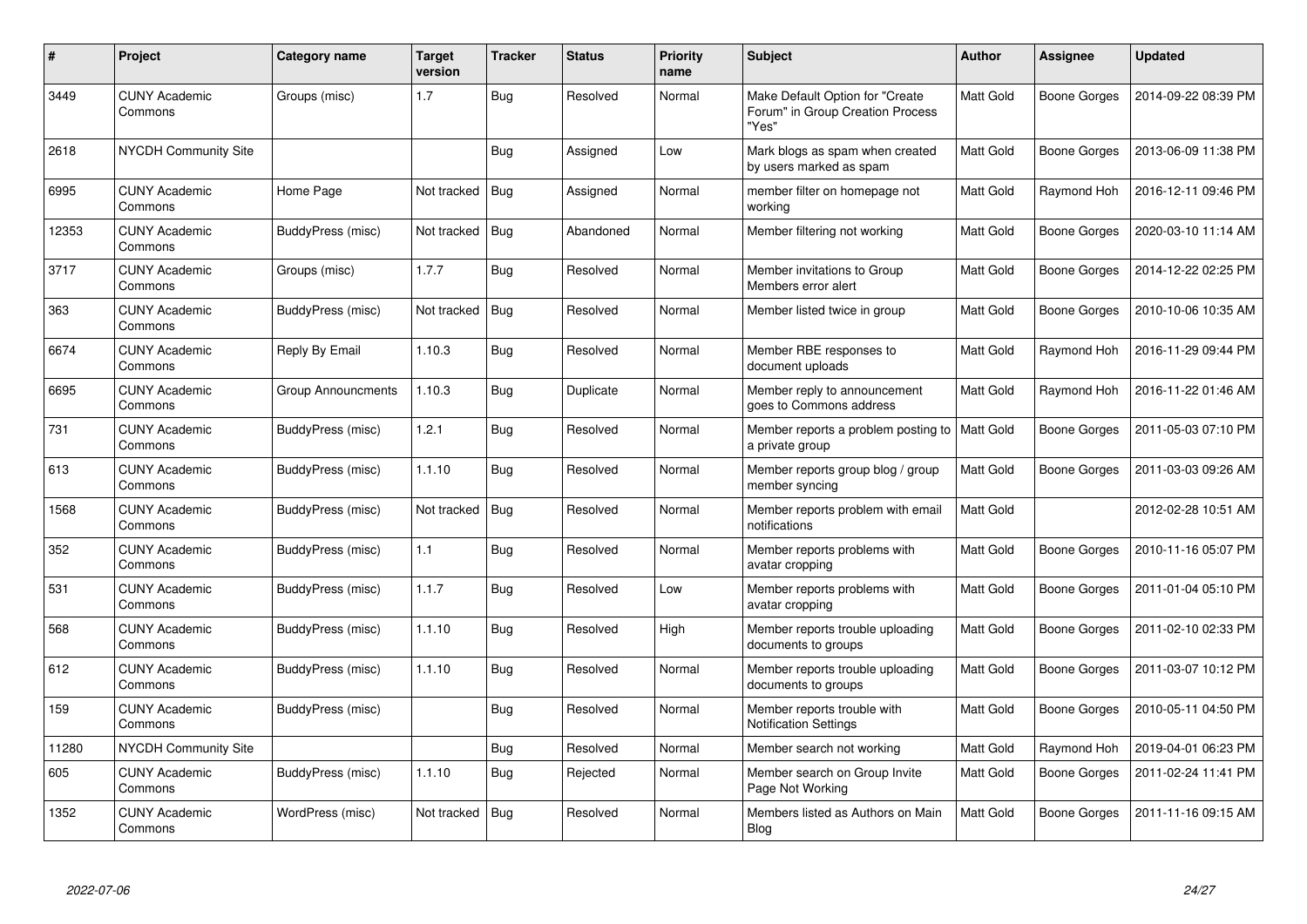| $\#$  | Project                         | Category name      | Target<br>version | <b>Tracker</b> | <b>Status</b> | <b>Priority</b><br>name | <b>Subject</b>                                                               | <b>Author</b> | Assignee            | <b>Updated</b>      |
|-------|---------------------------------|--------------------|-------------------|----------------|---------------|-------------------------|------------------------------------------------------------------------------|---------------|---------------------|---------------------|
| 3449  | <b>CUNY Academic</b><br>Commons | Groups (misc)      | 1.7               | <b>Bug</b>     | Resolved      | Normal                  | Make Default Option for "Create<br>Forum" in Group Creation Process<br>"Yes" | Matt Gold     | <b>Boone Gorges</b> | 2014-09-22 08:39 PM |
| 2618  | <b>NYCDH Community Site</b>     |                    |                   | <b>Bug</b>     | Assigned      | Low                     | Mark blogs as spam when created<br>by users marked as spam                   | Matt Gold     | Boone Gorges        | 2013-06-09 11:38 PM |
| 6995  | <b>CUNY Academic</b><br>Commons | Home Page          | Not tracked       | <b>Bug</b>     | Assigned      | Normal                  | member filter on homepage not<br>working                                     | Matt Gold     | Raymond Hoh         | 2016-12-11 09:46 PM |
| 12353 | <b>CUNY Academic</b><br>Commons | BuddyPress (misc)  | Not tracked       | <b>Bug</b>     | Abandoned     | Normal                  | Member filtering not working                                                 | Matt Gold     | Boone Gorges        | 2020-03-10 11:14 AM |
| 3717  | <b>CUNY Academic</b><br>Commons | Groups (misc)      | 1.7.7             | Bug            | Resolved      | Normal                  | Member invitations to Group<br>Members error alert                           | Matt Gold     | Boone Gorges        | 2014-12-22 02:25 PM |
| 363   | <b>CUNY Academic</b><br>Commons | BuddyPress (misc)  | Not tracked       | <b>Bug</b>     | Resolved      | Normal                  | Member listed twice in group                                                 | Matt Gold     | Boone Gorges        | 2010-10-06 10:35 AM |
| 6674  | <b>CUNY Academic</b><br>Commons | Reply By Email     | 1.10.3            | Bug            | Resolved      | Normal                  | Member RBE responses to<br>document uploads                                  | Matt Gold     | Raymond Hoh         | 2016-11-29 09:44 PM |
| 6695  | <b>CUNY Academic</b><br>Commons | Group Announcments | 1.10.3            | <b>Bug</b>     | Duplicate     | Normal                  | Member reply to announcement<br>goes to Commons address                      | Matt Gold     | Raymond Hoh         | 2016-11-22 01:46 AM |
| 731   | <b>CUNY Academic</b><br>Commons | BuddyPress (misc)  | 1.2.1             | Bug            | Resolved      | Normal                  | Member reports a problem posting to<br>a private group                       | Matt Gold     | Boone Gorges        | 2011-05-03 07:10 PM |
| 613   | <b>CUNY Academic</b><br>Commons | BuddyPress (misc)  | 1.1.10            | <b>Bug</b>     | Resolved      | Normal                  | Member reports group blog / group<br>member syncing                          | Matt Gold     | Boone Gorges        | 2011-03-03 09:26 AM |
| 1568  | <b>CUNY Academic</b><br>Commons | BuddyPress (misc)  | Not tracked       | Bug            | Resolved      | Normal                  | Member reports problem with email<br>notifications                           | Matt Gold     |                     | 2012-02-28 10:51 AM |
| 352   | <b>CUNY Academic</b><br>Commons | BuddyPress (misc)  | 1.1               | <b>Bug</b>     | Resolved      | Normal                  | Member reports problems with<br>avatar cropping                              | Matt Gold     | Boone Gorges        | 2010-11-16 05:07 PM |
| 531   | <b>CUNY Academic</b><br>Commons | BuddyPress (misc)  | 1.1.7             | <b>Bug</b>     | Resolved      | Low                     | Member reports problems with<br>avatar cropping                              | Matt Gold     | Boone Gorges        | 2011-01-04 05:10 PM |
| 568   | <b>CUNY Academic</b><br>Commons | BuddyPress (misc)  | 1.1.10            | Bug            | Resolved      | High                    | Member reports trouble uploading<br>documents to groups                      | Matt Gold     | Boone Gorges        | 2011-02-10 02:33 PM |
| 612   | <b>CUNY Academic</b><br>Commons | BuddyPress (misc)  | 1.1.10            | Bug            | Resolved      | Normal                  | Member reports trouble uploading<br>documents to groups                      | Matt Gold     | Boone Gorges        | 2011-03-07 10:12 PM |
| 159   | <b>CUNY Academic</b><br>Commons | BuddyPress (misc)  |                   | <b>Bug</b>     | Resolved      | Normal                  | Member reports trouble with<br><b>Notification Settings</b>                  | Matt Gold     | Boone Gorges        | 2010-05-11 04:50 PM |
| 11280 | NYCDH Community Site            |                    |                   | <b>Bug</b>     | Resolved      | Normal                  | Member search not working                                                    | Matt Gold     | Raymond Hoh         | 2019-04-01 06:23 PM |
| 605   | <b>CUNY Academic</b><br>Commons | BuddyPress (misc)  | 1.1.10            | <b>Bug</b>     | Rejected      | Normal                  | Member search on Group Invite<br>Page Not Working                            | Matt Gold     | Boone Gorges        | 2011-02-24 11:41 PM |
| 1352  | <b>CUNY Academic</b><br>Commons | WordPress (misc)   | Not tracked       | <b>Bug</b>     | Resolved      | Normal                  | Members listed as Authors on Main<br>Blog                                    | Matt Gold     | Boone Gorges        | 2011-11-16 09:15 AM |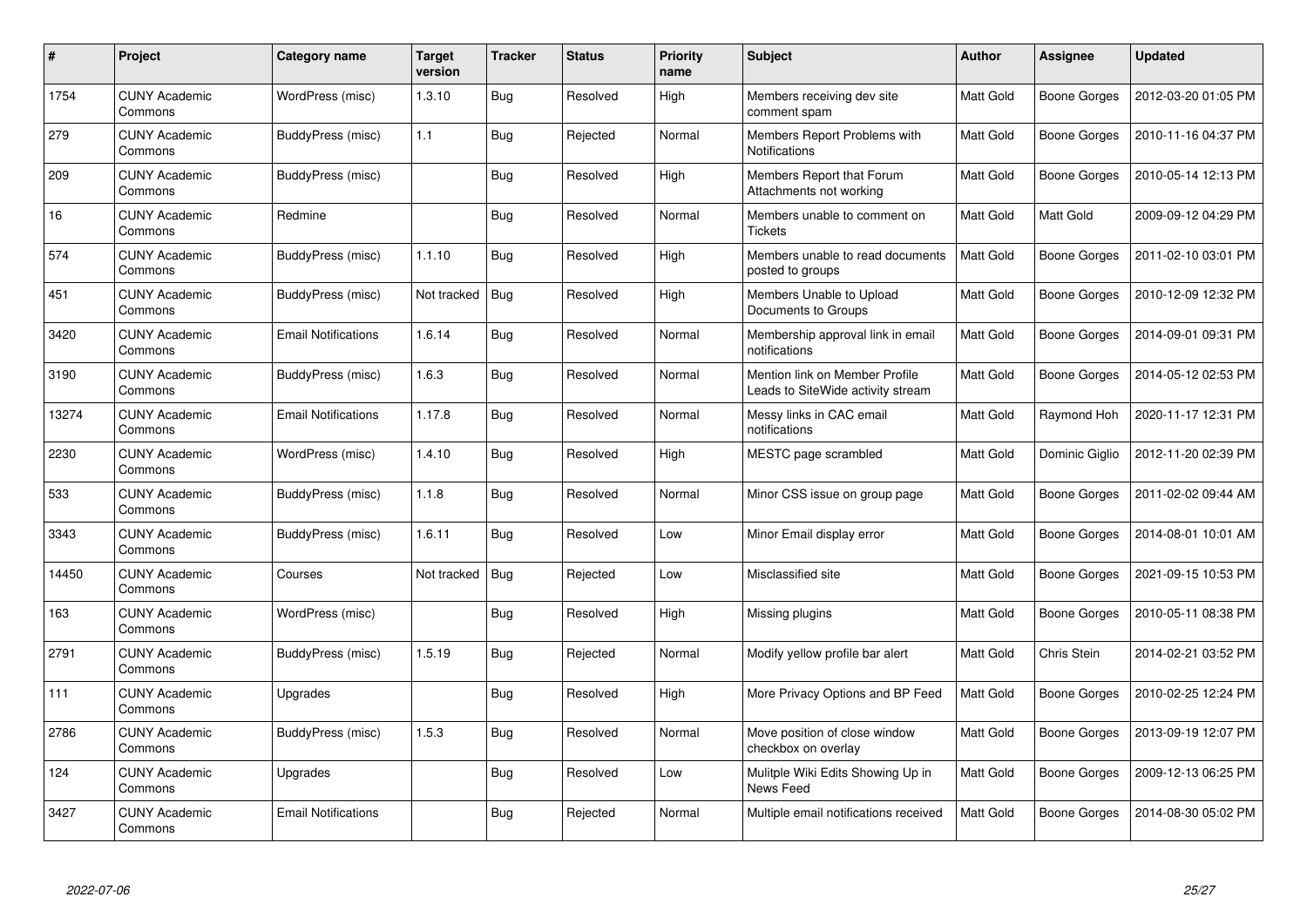| $\#$  | <b>Project</b>                  | Category name              | <b>Target</b><br>version | <b>Tracker</b> | <b>Status</b> | <b>Priority</b><br>name | <b>Subject</b>                                                      | <b>Author</b>    | Assignee            | <b>Updated</b>      |
|-------|---------------------------------|----------------------------|--------------------------|----------------|---------------|-------------------------|---------------------------------------------------------------------|------------------|---------------------|---------------------|
| 1754  | <b>CUNY Academic</b><br>Commons | WordPress (misc)           | 1.3.10                   | <b>Bug</b>     | Resolved      | High                    | Members receiving dev site<br>comment spam                          | <b>Matt Gold</b> | Boone Gorges        | 2012-03-20 01:05 PM |
| 279   | <b>CUNY Academic</b><br>Commons | BuddyPress (misc)          | 1.1                      | Bug            | Rejected      | Normal                  | Members Report Problems with<br>Notifications                       | <b>Matt Gold</b> | <b>Boone Gorges</b> | 2010-11-16 04:37 PM |
| 209   | <b>CUNY Academic</b><br>Commons | BuddyPress (misc)          |                          | <b>Bug</b>     | Resolved      | High                    | Members Report that Forum<br>Attachments not working                | <b>Matt Gold</b> | <b>Boone Gorges</b> | 2010-05-14 12:13 PM |
| 16    | <b>CUNY Academic</b><br>Commons | Redmine                    |                          | <b>Bug</b>     | Resolved      | Normal                  | Members unable to comment on<br><b>Tickets</b>                      | Matt Gold        | Matt Gold           | 2009-09-12 04:29 PM |
| 574   | <b>CUNY Academic</b><br>Commons | BuddyPress (misc)          | 1.1.10                   | Bug            | Resolved      | High                    | Members unable to read documents<br>posted to groups                | <b>Matt Gold</b> | Boone Gorges        | 2011-02-10 03:01 PM |
| 451   | <b>CUNY Academic</b><br>Commons | BuddyPress (misc)          | Not tracked              | Bug            | Resolved      | High                    | Members Unable to Upload<br>Documents to Groups                     | Matt Gold        | Boone Gorges        | 2010-12-09 12:32 PM |
| 3420  | <b>CUNY Academic</b><br>Commons | <b>Email Notifications</b> | 1.6.14                   | Bug            | Resolved      | Normal                  | Membership approval link in email<br>notifications                  | Matt Gold        | <b>Boone Gorges</b> | 2014-09-01 09:31 PM |
| 3190  | <b>CUNY Academic</b><br>Commons | BuddyPress (misc)          | 1.6.3                    | Bug            | Resolved      | Normal                  | Mention link on Member Profile<br>Leads to SiteWide activity stream | Matt Gold        | Boone Gorges        | 2014-05-12 02:53 PM |
| 13274 | <b>CUNY Academic</b><br>Commons | <b>Email Notifications</b> | 1.17.8                   | Bug            | Resolved      | Normal                  | Messy links in CAC email<br>notifications                           | Matt Gold        | Raymond Hoh         | 2020-11-17 12:31 PM |
| 2230  | <b>CUNY Academic</b><br>Commons | WordPress (misc)           | 1.4.10                   | Bug            | Resolved      | High                    | MESTC page scrambled                                                | <b>Matt Gold</b> | Dominic Giglio      | 2012-11-20 02:39 PM |
| 533   | <b>CUNY Academic</b><br>Commons | BuddyPress (misc)          | 1.1.8                    | Bug            | Resolved      | Normal                  | Minor CSS issue on group page                                       | Matt Gold        | Boone Gorges        | 2011-02-02 09:44 AM |
| 3343  | <b>CUNY Academic</b><br>Commons | BuddyPress (misc)          | 1.6.11                   | Bug            | Resolved      | Low                     | Minor Email display error                                           | Matt Gold        | Boone Gorges        | 2014-08-01 10:01 AM |
| 14450 | <b>CUNY Academic</b><br>Commons | Courses                    | Not tracked              | Bug            | Rejected      | Low                     | Misclassified site                                                  | Matt Gold        | Boone Gorges        | 2021-09-15 10:53 PM |
| 163   | <b>CUNY Academic</b><br>Commons | WordPress (misc)           |                          | Bug            | Resolved      | High                    | Missing plugins                                                     | Matt Gold        | <b>Boone Gorges</b> | 2010-05-11 08:38 PM |
| 2791  | <b>CUNY Academic</b><br>Commons | BuddyPress (misc)          | 1.5.19                   | Bug            | Rejected      | Normal                  | Modify yellow profile bar alert                                     | Matt Gold        | Chris Stein         | 2014-02-21 03:52 PM |
| 111   | <b>CUNY Academic</b><br>Commons | Upgrades                   |                          | <b>Bug</b>     | Resolved      | High                    | More Privacy Options and BP Feed                                    | Matt Gold        | Boone Gorges        | 2010-02-25 12:24 PM |
| 2786  | <b>CUNY Academic</b><br>Commons | BuddyPress (misc)          | 1.5.3                    | Bug            | Resolved      | Normal                  | Move position of close window<br>checkbox on overlay                | Matt Gold        | Boone Gorges        | 2013-09-19 12:07 PM |
| 124   | <b>CUNY Academic</b><br>Commons | Upgrades                   |                          | <b>Bug</b>     | Resolved      | Low                     | Mulitple Wiki Edits Showing Up in<br>News Feed                      | Matt Gold        | Boone Gorges        | 2009-12-13 06:25 PM |
| 3427  | <b>CUNY Academic</b><br>Commons | <b>Email Notifications</b> |                          | Bug            | Rejected      | Normal                  | Multiple email notifications received                               | Matt Gold        | Boone Gorges        | 2014-08-30 05:02 PM |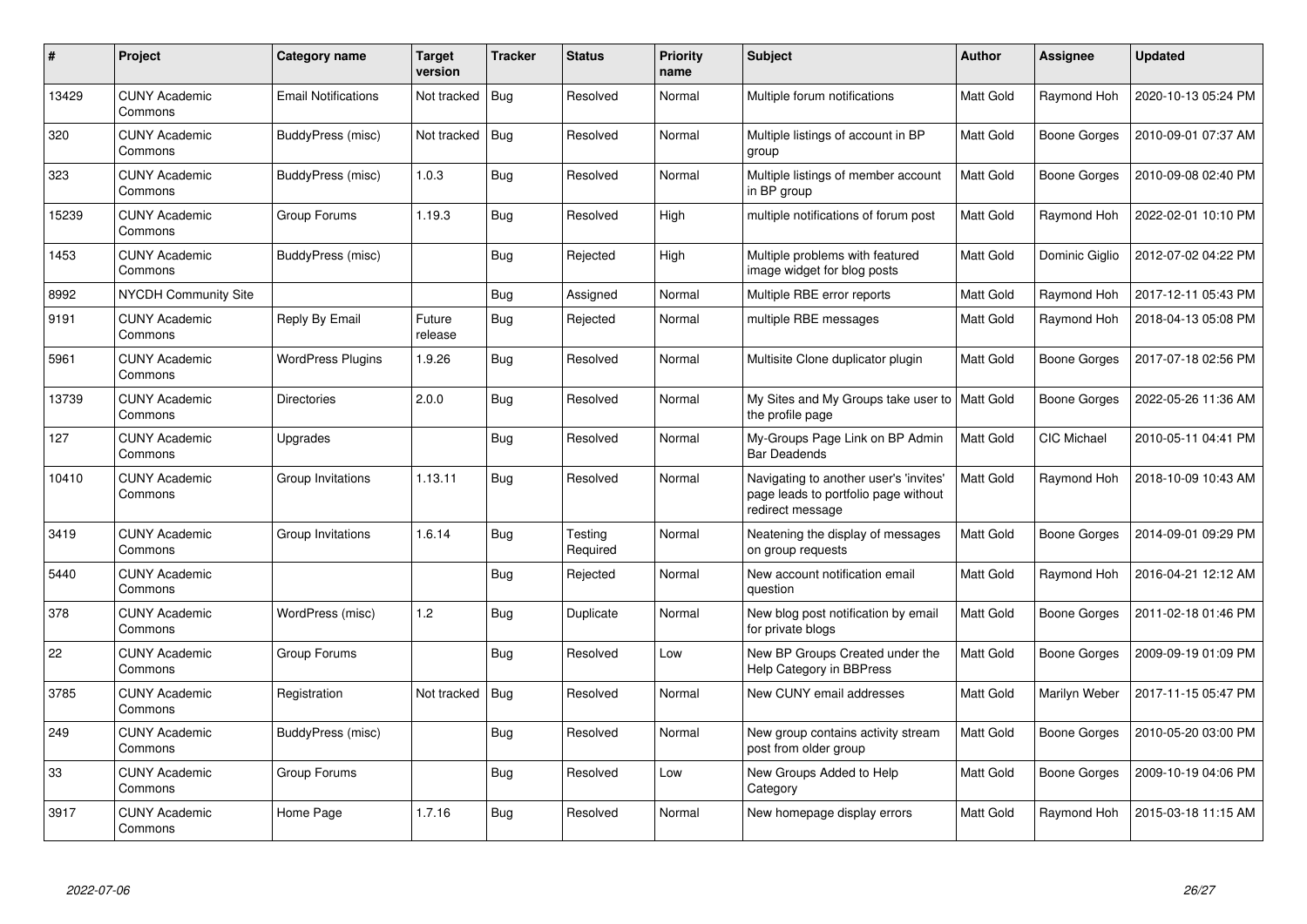| $\#$  | Project                         | Category name              | <b>Target</b><br>version | <b>Tracker</b> | <b>Status</b>       | <b>Priority</b><br>name | <b>Subject</b>                                                                                     | <b>Author</b>    | Assignee            | <b>Updated</b>      |
|-------|---------------------------------|----------------------------|--------------------------|----------------|---------------------|-------------------------|----------------------------------------------------------------------------------------------------|------------------|---------------------|---------------------|
| 13429 | <b>CUNY Academic</b><br>Commons | <b>Email Notifications</b> | Not tracked              | Bug            | Resolved            | Normal                  | Multiple forum notifications                                                                       | <b>Matt Gold</b> | Raymond Hoh         | 2020-10-13 05:24 PM |
| 320   | <b>CUNY Academic</b><br>Commons | BuddyPress (misc)          | Not tracked              | Bug            | Resolved            | Normal                  | Multiple listings of account in BP<br>group                                                        | <b>Matt Gold</b> | <b>Boone Gorges</b> | 2010-09-01 07:37 AM |
| 323   | <b>CUNY Academic</b><br>Commons | BuddyPress (misc)          | 1.0.3                    | Bug            | Resolved            | Normal                  | Multiple listings of member account<br>in BP group                                                 | Matt Gold        | <b>Boone Gorges</b> | 2010-09-08 02:40 PM |
| 15239 | <b>CUNY Academic</b><br>Commons | Group Forums               | 1.19.3                   | <b>Bug</b>     | Resolved            | High                    | multiple notifications of forum post                                                               | Matt Gold        | Raymond Hoh         | 2022-02-01 10:10 PM |
| 1453  | <b>CUNY Academic</b><br>Commons | BuddyPress (misc)          |                          | Bug            | Rejected            | High                    | Multiple problems with featured<br>image widget for blog posts                                     | <b>Matt Gold</b> | Dominic Giglio      | 2012-07-02 04:22 PM |
| 8992  | <b>NYCDH Community Site</b>     |                            |                          | Bug            | Assigned            | Normal                  | Multiple RBE error reports                                                                         | Matt Gold        | Raymond Hoh         | 2017-12-11 05:43 PM |
| 9191  | <b>CUNY Academic</b><br>Commons | <b>Reply By Email</b>      | Future<br>release        | Bug            | Rejected            | Normal                  | multiple RBE messages                                                                              | Matt Gold        | Raymond Hoh         | 2018-04-13 05:08 PM |
| 5961  | <b>CUNY Academic</b><br>Commons | <b>WordPress Plugins</b>   | 1.9.26                   | Bug            | Resolved            | Normal                  | Multisite Clone duplicator plugin                                                                  | Matt Gold        | Boone Gorges        | 2017-07-18 02:56 PM |
| 13739 | <b>CUNY Academic</b><br>Commons | <b>Directories</b>         | 2.0.0                    | Bug            | Resolved            | Normal                  | My Sites and My Groups take user to   Matt Gold<br>the profile page                                |                  | <b>Boone Gorges</b> | 2022-05-26 11:36 AM |
| 127   | <b>CUNY Academic</b><br>Commons | Upgrades                   |                          | <b>Bug</b>     | Resolved            | Normal                  | My-Groups Page Link on BP Admin<br><b>Bar Deadends</b>                                             | Matt Gold        | CIC Michael         | 2010-05-11 04:41 PM |
| 10410 | <b>CUNY Academic</b><br>Commons | Group Invitations          | 1.13.11                  | Bug            | Resolved            | Normal                  | Navigating to another user's 'invites'<br>page leads to portfolio page without<br>redirect message | Matt Gold        | Raymond Hoh         | 2018-10-09 10:43 AM |
| 3419  | <b>CUNY Academic</b><br>Commons | Group Invitations          | 1.6.14                   | Bug            | Testing<br>Required | Normal                  | Neatening the display of messages<br>on group requests                                             | Matt Gold        | <b>Boone Gorges</b> | 2014-09-01 09:29 PM |
| 5440  | <b>CUNY Academic</b><br>Commons |                            |                          | Bug            | Rejected            | Normal                  | New account notification email<br>question                                                         | Matt Gold        | Raymond Hoh         | 2016-04-21 12:12 AM |
| 378   | <b>CUNY Academic</b><br>Commons | WordPress (misc)           | 1.2                      | Bug            | Duplicate           | Normal                  | New blog post notification by email<br>for private blogs                                           | Matt Gold        | Boone Gorges        | 2011-02-18 01:46 PM |
| 22    | <b>CUNY Academic</b><br>Commons | Group Forums               |                          | <b>Bug</b>     | Resolved            | Low                     | New BP Groups Created under the<br><b>Help Category in BBPress</b>                                 | Matt Gold        | Boone Gorges        | 2009-09-19 01:09 PM |
| 3785  | <b>CUNY Academic</b><br>Commons | Registration               | Not tracked              | Bug            | Resolved            | Normal                  | New CUNY email addresses                                                                           | Matt Gold        | Marilyn Weber       | 2017-11-15 05:47 PM |
| 249   | <b>CUNY Academic</b><br>Commons | BuddyPress (misc)          |                          | Bug            | Resolved            | Normal                  | New group contains activity stream<br>post from older group                                        | Matt Gold        | Boone Gorges        | 2010-05-20 03:00 PM |
| 33    | <b>CUNY Academic</b><br>Commons | Group Forums               |                          | <b>Bug</b>     | Resolved            | Low                     | New Groups Added to Help<br>Category                                                               | Matt Gold        | <b>Boone Gorges</b> | 2009-10-19 04:06 PM |
| 3917  | <b>CUNY Academic</b><br>Commons | Home Page                  | 1.7.16                   | <b>Bug</b>     | Resolved            | Normal                  | New homepage display errors                                                                        | Matt Gold        | Raymond Hoh         | 2015-03-18 11:15 AM |